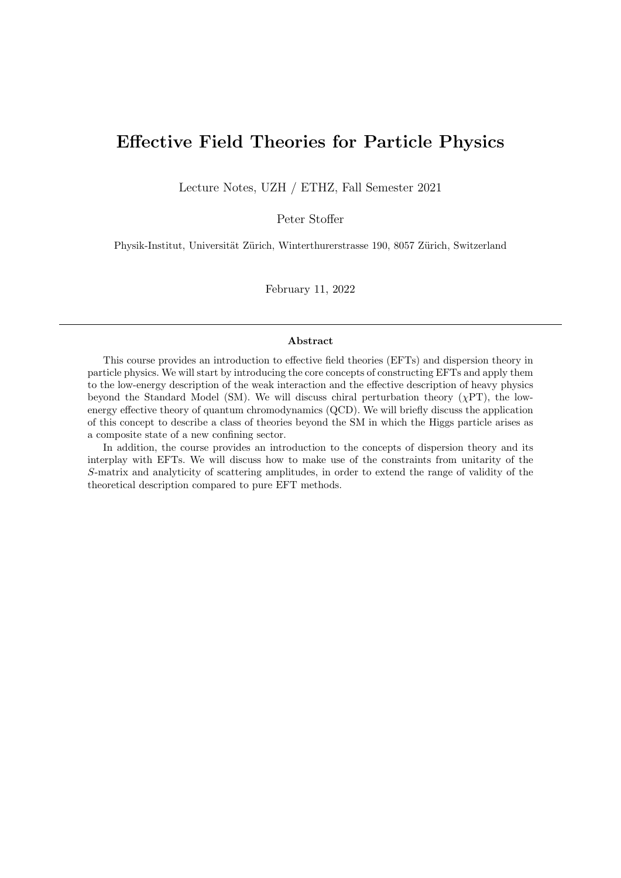# Effective Field Theories for Particle Physics

Lecture Notes, UZH / ETHZ, Fall Semester 2021

Peter Stoffer

Physik-Institut, Universität Zürich, Winterthurerstrasse 190, 8057 Zürich, Switzerland

February 11, 2022

#### Abstract

This course provides an introduction to effective field theories (EFTs) and dispersion theory in particle physics. We will start by introducing the core concepts of constructing EFTs and apply them to the low-energy description of the weak interaction and the effective description of heavy physics beyond the Standard Model (SM). We will discuss chiral perturbation theory ( $\chi PT$ ), the lowenergy effective theory of quantum chromodynamics (QCD). We will briefly discuss the application of this concept to describe a class of theories beyond the SM in which the Higgs particle arises as a composite state of a new confining sector.

In addition, the course provides an introduction to the concepts of dispersion theory and its interplay with EFTs. We will discuss how to make use of the constraints from unitarity of the S-matrix and analyticity of scattering amplitudes, in order to extend the range of validity of the theoretical description compared to pure EFT methods.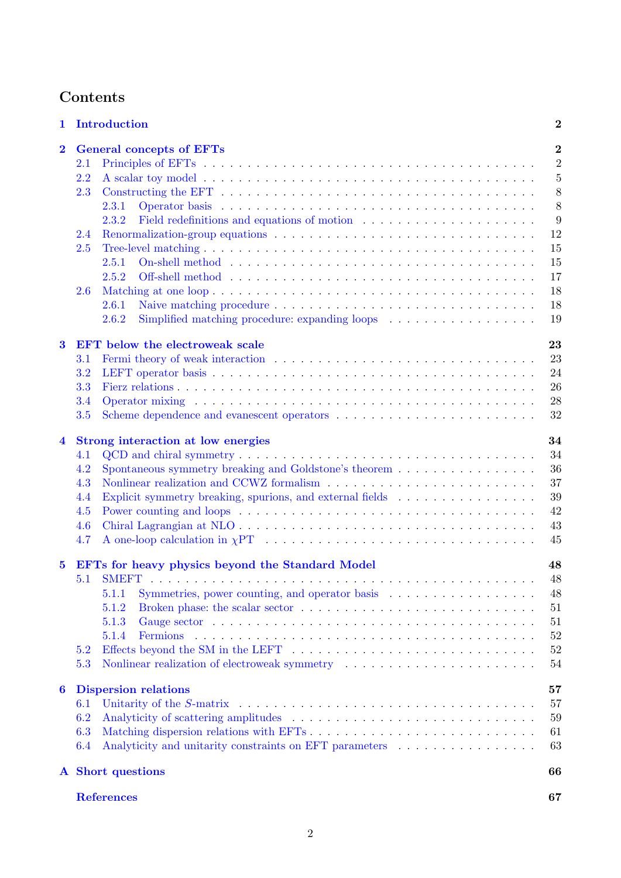# Contents

| 1                       | Introduction                                                                                                                                                                                                                          | $\boldsymbol{2}$ |
|-------------------------|---------------------------------------------------------------------------------------------------------------------------------------------------------------------------------------------------------------------------------------|------------------|
| $\overline{\mathbf{2}}$ | <b>General concepts of EFTs</b>                                                                                                                                                                                                       | $\overline{2}$   |
|                         | 2.1                                                                                                                                                                                                                                   | $\overline{2}$   |
|                         | 2.2                                                                                                                                                                                                                                   | $\overline{5}$   |
|                         | 2.3<br>Constructing the EFT $\dots \dots \dots \dots \dots \dots \dots \dots \dots \dots \dots \dots \dots \dots \dots$                                                                                                               | 8                |
|                         | 2.3.1                                                                                                                                                                                                                                 | 8                |
|                         | 2.3.2                                                                                                                                                                                                                                 | 9                |
|                         | 2.4                                                                                                                                                                                                                                   | 12               |
|                         | 2.5                                                                                                                                                                                                                                   | 15               |
|                         | 2.5.1                                                                                                                                                                                                                                 | 15               |
|                         | 2.5.2                                                                                                                                                                                                                                 | 17               |
|                         | 2.6                                                                                                                                                                                                                                   | 18               |
|                         | 2.6.1                                                                                                                                                                                                                                 | 18               |
|                         | 2.6.2                                                                                                                                                                                                                                 | 19               |
|                         |                                                                                                                                                                                                                                       |                  |
| $\bf{3}$                | <b>EFT</b> below the electroweak scale                                                                                                                                                                                                | 23               |
|                         | 3.1                                                                                                                                                                                                                                   | 23               |
|                         | 3.2                                                                                                                                                                                                                                   | 24               |
|                         | 3.3                                                                                                                                                                                                                                   | 26               |
|                         | 3.4<br>Operator mixing enterpreteration of the contract of the contract of the contract of the contract of the contract of the contract of the contract of the contract of the contract of the contract of the contract of the contra | 28               |
|                         | 3.5                                                                                                                                                                                                                                   | 32               |
| $\overline{\mathbf{4}}$ | Strong interaction at low energies                                                                                                                                                                                                    | 34               |
|                         | 4.1                                                                                                                                                                                                                                   | 34               |
|                         | 4.2                                                                                                                                                                                                                                   | 36               |
|                         | 4.3                                                                                                                                                                                                                                   | 37               |
|                         | Explicit symmetry breaking, spurions, and external fields<br>4.4                                                                                                                                                                      | 39               |
|                         | Power counting and loops $\dots \dots \dots \dots \dots \dots \dots \dots \dots \dots \dots \dots \dots \dots$                                                                                                                        | 42               |
|                         | 4.5                                                                                                                                                                                                                                   | 43               |
|                         | 4.6                                                                                                                                                                                                                                   |                  |
|                         | 4.7                                                                                                                                                                                                                                   | 45               |
| $\bf{5}$                | EFTs for heavy physics beyond the Standard Model                                                                                                                                                                                      | 48               |
|                         | 5.1                                                                                                                                                                                                                                   | 48               |
|                         | 5.1.1                                                                                                                                                                                                                                 | 48               |
|                         | 5.1.2                                                                                                                                                                                                                                 | 51               |
|                         | 5.1.3                                                                                                                                                                                                                                 | 51               |
|                         | 5.1.4                                                                                                                                                                                                                                 | 52               |
|                         | 5.2                                                                                                                                                                                                                                   | 52               |
|                         | 5.3<br>Nonlinear realization of electroweak symmetry entertainment of the state of the state of the state of the state of the state of the state of the state of the state of the state of the state of the state of the state of the | 54               |
| 6                       | <b>Dispersion relations</b>                                                                                                                                                                                                           | 57               |
|                         | 6.1                                                                                                                                                                                                                                   | 57               |
|                         | 6.2                                                                                                                                                                                                                                   | 59               |
|                         | 6.3                                                                                                                                                                                                                                   | 61               |
|                         | Analyticity and unitarity constraints on EFT parameters<br>6.4                                                                                                                                                                        | 63               |
|                         |                                                                                                                                                                                                                                       |                  |
|                         | A Short questions                                                                                                                                                                                                                     | 66               |
|                         | <b>References</b>                                                                                                                                                                                                                     | 67               |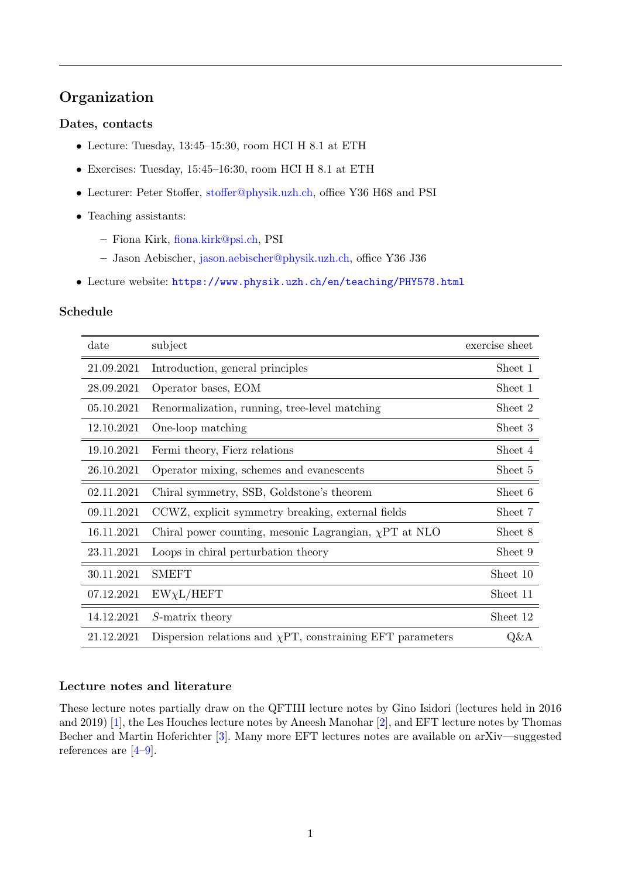# Organization

## Dates, contacts

- Lecture: Tuesday, 13:45–15:30, room HCI H 8.1 at ETH
- Exercises: Tuesday, 15:45–16:30, room HCI H 8.1 at ETH
- Lecturer: Peter Stoffer, [stoffer@physik.uzh.ch,](mailto:stoffer@physik.uzh.ch) office Y36 H68 and PSI
- Teaching assistants:
	- Fiona Kirk, [fiona.kirk@psi.ch,](mailto:fiona.kirk@psi.ch) PSI
	- Jason Aebischer, [jason.aebischer@physik.uzh.ch,](mailto:jason.aebischer@physik.uzh.ch) office Y36 J36
- Lecture website: <https://www.physik.uzh.ch/en/teaching/PHY578.html>

## Schedule

| date       | subject                                                         | exercise sheet |
|------------|-----------------------------------------------------------------|----------------|
| 21.09.2021 | Introduction, general principles                                | Sheet 1        |
| 28.09.2021 | Operator bases, EOM                                             | Sheet 1        |
| 05.10.2021 | Renormalization, running, tree-level matching                   | Sheet 2        |
| 12.10.2021 | One-loop matching                                               | Sheet 3        |
| 19.10.2021 | Fermi theory, Fierz relations                                   | Sheet 4        |
| 26.10.2021 | Operator mixing, schemes and evanescents                        | Sheet 5        |
| 02.11.2021 | Chiral symmetry, SSB, Goldstone's theorem                       | Sheet 6        |
| 09.11.2021 | CCWZ, explicit symmetry breaking, external fields               | Sheet 7        |
| 16.11.2021 | Chiral power counting, mesonic Lagrangian, $\chi PT$ at NLO     | Sheet 8        |
| 23.11.2021 | Loops in chiral perturbation theory                             | Sheet 9        |
| 30.11.2021 | SMEFT                                                           | Sheet 10       |
| 07.12.2021 | $EW\chi L/HEFT$                                                 | Sheet 11       |
| 14.12.2021 | S-matrix theory                                                 | Sheet 12       |
| 21.12.2021 | Dispersion relations and $\chi$ PT, constraining EFT parameters | $Q\&A$         |

## Lecture notes and literature

These lecture notes partially draw on the QFTIII lecture notes by Gino Isidori (lectures held in 2016 and 2019) [\[1\]](#page-68-1), the Les Houches lecture notes by Aneesh Manohar [\[2\]](#page-68-2), and EFT lecture notes by Thomas Becher and Martin Hoferichter [\[3\]](#page-68-3). Many more EFT lectures notes are available on arXiv—suggested references are [\[4–](#page-68-4)[9\]](#page-68-5).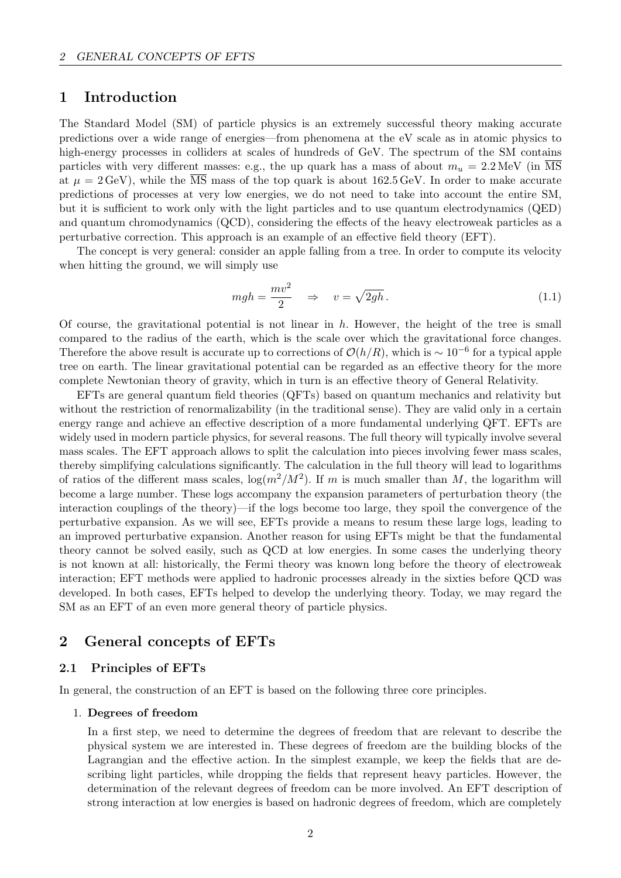# <span id="page-3-0"></span>1 Introduction

The Standard Model (SM) of particle physics is an extremely successful theory making accurate predictions over a wide range of energies—from phenomena at the eV scale as in atomic physics to high-energy processes in colliders at scales of hundreds of GeV. The spectrum of the SM contains particles with very different masses: e.g., the up quark has a mass of about  $m_u = 2.2 \text{ MeV (in }\overline{\text{MS}}$ at  $\mu = 2 \,\text{GeV}$ ), while the  $\overline{\text{MS}}$  mass of the top quark is about 162.5 GeV. In order to make accurate predictions of processes at very low energies, we do not need to take into account the entire SM, but it is sufficient to work only with the light particles and to use quantum electrodynamics (QED) and quantum chromodynamics (QCD), considering the effects of the heavy electroweak particles as a perturbative correction. This approach is an example of an effective field theory (EFT).

The concept is very general: consider an apple falling from a tree. In order to compute its velocity when hitting the ground, we will simply use

$$
mgh = \frac{mv^2}{2} \quad \Rightarrow \quad v = \sqrt{2gh} \,. \tag{1.1}
$$

Of course, the gravitational potential is not linear in  $h$ . However, the height of the tree is small compared to the radius of the earth, which is the scale over which the gravitational force changes. Therefore the above result is accurate up to corrections of  $\mathcal{O}(h/R)$ , which is  $\sim 10^{-6}$  for a typical apple tree on earth. The linear gravitational potential can be regarded as an effective theory for the more complete Newtonian theory of gravity, which in turn is an effective theory of General Relativity.

EFTs are general quantum field theories (QFTs) based on quantum mechanics and relativity but without the restriction of renormalizability (in the traditional sense). They are valid only in a certain energy range and achieve an effective description of a more fundamental underlying QFT. EFTs are widely used in modern particle physics, for several reasons. The full theory will typically involve several mass scales. The EFT approach allows to split the calculation into pieces involving fewer mass scales, thereby simplifying calculations significantly. The calculation in the full theory will lead to logarithms of ratios of the different mass scales,  $\log(m^2/M^2)$ . If m is much smaller than M, the logarithm will become a large number. These logs accompany the expansion parameters of perturbation theory (the interaction couplings of the theory)—if the logs become too large, they spoil the convergence of the perturbative expansion. As we will see, EFTs provide a means to resum these large logs, leading to an improved perturbative expansion. Another reason for using EFTs might be that the fundamental theory cannot be solved easily, such as QCD at low energies. In some cases the underlying theory is not known at all: historically, the Fermi theory was known long before the theory of electroweak interaction; EFT methods were applied to hadronic processes already in the sixties before QCD was developed. In both cases, EFTs helped to develop the underlying theory. Today, we may regard the SM as an EFT of an even more general theory of particle physics.

# <span id="page-3-1"></span>2 General concepts of EFTs

## <span id="page-3-2"></span>2.1 Principles of EFTs

In general, the construction of an EFT is based on the following three core principles.

#### 1. Degrees of freedom

In a first step, we need to determine the degrees of freedom that are relevant to describe the physical system we are interested in. These degrees of freedom are the building blocks of the Lagrangian and the effective action. In the simplest example, we keep the fields that are describing light particles, while dropping the fields that represent heavy particles. However, the determination of the relevant degrees of freedom can be more involved. An EFT description of strong interaction at low energies is based on hadronic degrees of freedom, which are completely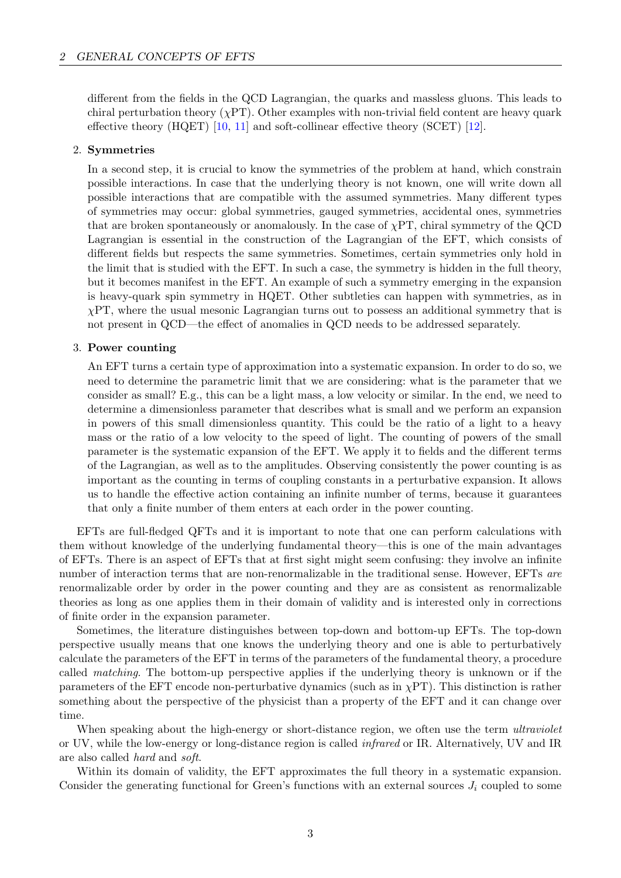different from the fields in the QCD Lagrangian, the quarks and massless gluons. This leads to chiral perturbation theory  $(\chi PT)$ . Other examples with non-trivial field content are heavy quark effective theory (HQET) [\[10,](#page-68-6) [11\]](#page-68-7) and soft-collinear effective theory (SCET) [\[12\]](#page-68-8).

## 2. Symmetries

In a second step, it is crucial to know the symmetries of the problem at hand, which constrain possible interactions. In case that the underlying theory is not known, one will write down all possible interactions that are compatible with the assumed symmetries. Many different types of symmetries may occur: global symmetries, gauged symmetries, accidental ones, symmetries that are broken spontaneously or anomalously. In the case of  $\chi PT$ , chiral symmetry of the QCD Lagrangian is essential in the construction of the Lagrangian of the EFT, which consists of different fields but respects the same symmetries. Sometimes, certain symmetries only hold in the limit that is studied with the EFT. In such a case, the symmetry is hidden in the full theory, but it becomes manifest in the EFT. An example of such a symmetry emerging in the expansion is heavy-quark spin symmetry in HQET. Other subtleties can happen with symmetries, as in  $\chi PT$ , where the usual mesonic Lagrangian turns out to possess an additional symmetry that is not present in QCD—the effect of anomalies in QCD needs to be addressed separately.

## 3. Power counting

An EFT turns a certain type of approximation into a systematic expansion. In order to do so, we need to determine the parametric limit that we are considering: what is the parameter that we consider as small? E.g., this can be a light mass, a low velocity or similar. In the end, we need to determine a dimensionless parameter that describes what is small and we perform an expansion in powers of this small dimensionless quantity. This could be the ratio of a light to a heavy mass or the ratio of a low velocity to the speed of light. The counting of powers of the small parameter is the systematic expansion of the EFT. We apply it to fields and the different terms of the Lagrangian, as well as to the amplitudes. Observing consistently the power counting is as important as the counting in terms of coupling constants in a perturbative expansion. It allows us to handle the effective action containing an infinite number of terms, because it guarantees that only a finite number of them enters at each order in the power counting.

EFTs are full-fledged QFTs and it is important to note that one can perform calculations with them without knowledge of the underlying fundamental theory—this is one of the main advantages of EFTs. There is an aspect of EFTs that at first sight might seem confusing: they involve an infinite number of interaction terms that are non-renormalizable in the traditional sense. However, EFTs are renormalizable order by order in the power counting and they are as consistent as renormalizable theories as long as one applies them in their domain of validity and is interested only in corrections of finite order in the expansion parameter.

Sometimes, the literature distinguishes between top-down and bottom-up EFTs. The top-down perspective usually means that one knows the underlying theory and one is able to perturbatively calculate the parameters of the EFT in terms of the parameters of the fundamental theory, a procedure called matching. The bottom-up perspective applies if the underlying theory is unknown or if the parameters of the EFT encode non-perturbative dynamics (such as in  $\chi PT$ ). This distinction is rather something about the perspective of the physicist than a property of the EFT and it can change over time.

When speaking about the high-energy or short-distance region, we often use the term *ultraviolet* or UV, while the low-energy or long-distance region is called infrared or IR. Alternatively, UV and IR are also called hard and soft.

Within its domain of validity, the EFT approximates the full theory in a systematic expansion. Consider the generating functional for Green's functions with an external sources  $J_i$  coupled to some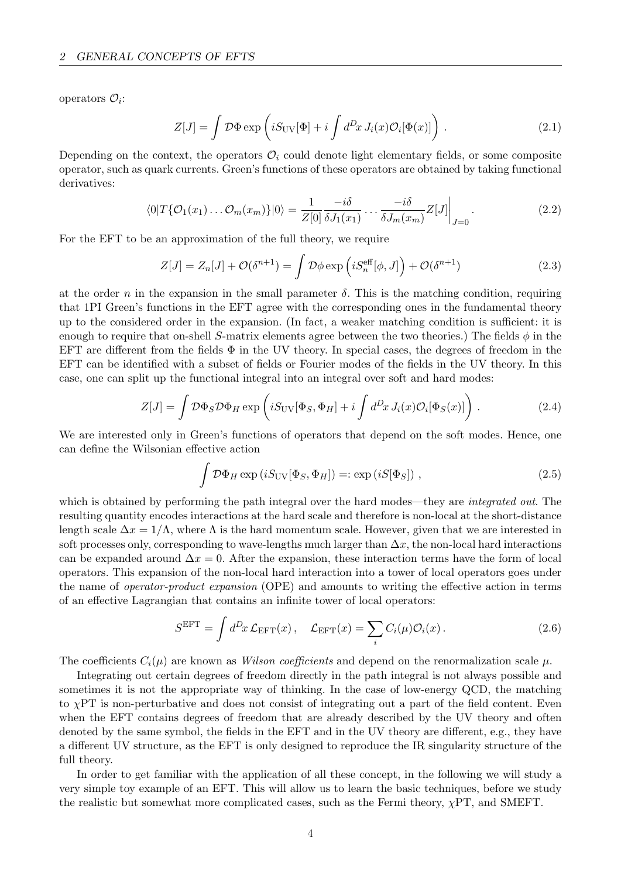operators  $\mathcal{O}_i$ :

$$
Z[J] = \int \mathcal{D}\Phi \exp\left(iS_{\rm UV}[\Phi] + i \int d^D x J_i(x) \mathcal{O}_i[\Phi(x)]\right). \tag{2.1}
$$

Depending on the context, the operators  $\mathcal{O}_i$  could denote light elementary fields, or some composite operator, such as quark currents. Green's functions of these operators are obtained by taking functional derivatives:

$$
\langle 0|T\{\mathcal{O}_1(x_1)\dots\mathcal{O}_m(x_m)\}|0\rangle = \frac{1}{Z[0]}\frac{-i\delta}{\delta J_1(x_1)}\dots\frac{-i\delta}{\delta J_m(x_m)}Z[J]\bigg|_{J=0}.
$$
\n(2.2)

For the EFT to be an approximation of the full theory, we require

$$
Z[J] = Z_n[J] + \mathcal{O}(\delta^{n+1}) = \int \mathcal{D}\phi \exp\left(iS_n^{\text{eff}}[\phi, J]\right) + \mathcal{O}(\delta^{n+1})
$$
\n(2.3)

at the order n in the expansion in the small parameter  $\delta$ . This is the matching condition, requiring that 1PI Green's functions in the EFT agree with the corresponding ones in the fundamental theory up to the considered order in the expansion. (In fact, a weaker matching condition is sufficient: it is enough to require that on-shell S-matrix elements agree between the two theories.) The fields  $\phi$  in the EFT are different from the fields  $\Phi$  in the UV theory. In special cases, the degrees of freedom in the EFT can be identified with a subset of fields or Fourier modes of the fields in the UV theory. In this case, one can split up the functional integral into an integral over soft and hard modes:

$$
Z[J] = \int \mathcal{D}\Phi_S \mathcal{D}\Phi_H \exp\left(iS_{\rm UV}[\Phi_S, \Phi_H] + i \int d^D x J_i(x) \mathcal{O}_i[\Phi_S(x)]\right). \tag{2.4}
$$

We are interested only in Green's functions of operators that depend on the soft modes. Hence, one can define the Wilsonian effective action

$$
\int \mathcal{D}\Phi_H \exp(iS_{\rm UV}[\Phi_S, \Phi_H]) =: \exp(iS[\Phi_S]), \qquad (2.5)
$$

which is obtained by performing the path integral over the hard modes—they are *integrated out*. The resulting quantity encodes interactions at the hard scale and therefore is non-local at the short-distance length scale  $\Delta x = 1/\Lambda$ , where  $\Lambda$  is the hard momentum scale. However, given that we are interested in soft processes only, corresponding to wave-lengths much larger than  $\Delta x$ , the non-local hard interactions can be expanded around  $\Delta x = 0$ . After the expansion, these interaction terms have the form of local operators. This expansion of the non-local hard interaction into a tower of local operators goes under the name of operator-product expansion (OPE) and amounts to writing the effective action in terms of an effective Lagrangian that contains an infinite tower of local operators:

$$
S^{\text{EFT}} = \int d^D x \, \mathcal{L}_{\text{EFT}}(x) \, , \quad \mathcal{L}_{\text{EFT}}(x) = \sum_i C_i(\mu) \mathcal{O}_i(x) \, . \tag{2.6}
$$

The coefficients  $C_i(\mu)$  are known as *Wilson coefficients* and depend on the renormalization scale  $\mu$ .

Integrating out certain degrees of freedom directly in the path integral is not always possible and sometimes it is not the appropriate way of thinking. In the case of low-energy QCD, the matching to  $\chi$ PT is non-perturbative and does not consist of integrating out a part of the field content. Even when the EFT contains degrees of freedom that are already described by the UV theory and often denoted by the same symbol, the fields in the EFT and in the UV theory are different, e.g., they have a different UV structure, as the EFT is only designed to reproduce the IR singularity structure of the full theory.

In order to get familiar with the application of all these concept, in the following we will study a very simple toy example of an EFT. This will allow us to learn the basic techniques, before we study the realistic but somewhat more complicated cases, such as the Fermi theory,  $\chi PT$ , and SMEFT.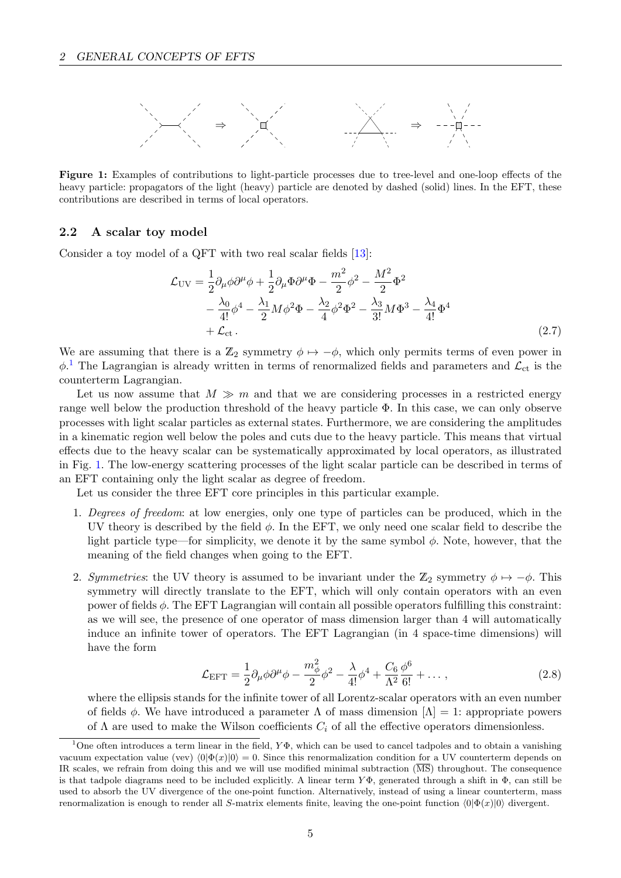<span id="page-6-2"></span>

Figure 1: Examples of contributions to light-particle processes due to tree-level and one-loop effects of the heavy particle: propagators of the light (heavy) particle are denoted by dashed (solid) lines. In the EFT, these contributions are described in terms of local operators.

## <span id="page-6-0"></span>2.2 A scalar toy model

Consider a toy model of a QFT with two real scalar fields [\[13\]](#page-68-9):

$$
\mathcal{L}_{\text{UV}} = \frac{1}{2} \partial_{\mu} \phi \partial^{\mu} \phi + \frac{1}{2} \partial_{\mu} \Phi \partial^{\mu} \Phi - \frac{m^2}{2} \phi^2 - \frac{M^2}{2} \Phi^2 \n- \frac{\lambda_0}{4!} \phi^4 - \frac{\lambda_1}{2} M \phi^2 \Phi - \frac{\lambda_2}{4} \phi^2 \Phi^2 - \frac{\lambda_3}{3!} M \Phi^3 - \frac{\lambda_4}{4!} \Phi^4 \n+ \mathcal{L}_{\text{ct}}.
$$
\n(2.7)

We are assuming that there is a  $\mathbb{Z}_2$  symmetry  $\phi \mapsto -\phi$ , which only permits terms of even power in  $\phi$ <sup>[1](#page-6-1)</sup>. The Lagrangian is already written in terms of renormalized fields and parameters and  $\mathcal{L}_{ct}$  is the counterterm Lagrangian.

Let us now assume that  $M \gg m$  and that we are considering processes in a restricted energy range well below the production threshold of the heavy particle Φ. In this case, we can only observe processes with light scalar particles as external states. Furthermore, we are considering the amplitudes in a kinematic region well below the poles and cuts due to the heavy particle. This means that virtual effects due to the heavy scalar can be systematically approximated by local operators, as illustrated in Fig. [1.](#page-6-2) The low-energy scattering processes of the light scalar particle can be described in terms of an EFT containing only the light scalar as degree of freedom.

Let us consider the three EFT core principles in this particular example.

- 1. Degrees of freedom: at low energies, only one type of particles can be produced, which in the UV theory is described by the field  $\phi$ . In the EFT, we only need one scalar field to describe the light particle type—for simplicity, we denote it by the same symbol  $\phi$ . Note, however, that the meaning of the field changes when going to the EFT.
- 2. Symmetries: the UV theory is assumed to be invariant under the  $\mathbb{Z}_2$  symmetry  $\phi \mapsto -\phi$ . This symmetry will directly translate to the EFT, which will only contain operators with an even power of fields  $\phi$ . The EFT Lagrangian will contain all possible operators fulfilling this constraint: as we will see, the presence of one operator of mass dimension larger than 4 will automatically induce an infinite tower of operators. The EFT Lagrangian (in 4 space-time dimensions) will have the form

$$
\mathcal{L}_{\text{EFT}} = \frac{1}{2} \partial_{\mu} \phi \partial^{\mu} \phi - \frac{m_{\phi}^{2}}{2} \phi^{2} - \frac{\lambda}{4!} \phi^{4} + \frac{C_{6}}{\Lambda^{2}} \frac{\phi^{6}}{6!} + \dots,
$$
\n(2.8)

where the ellipsis stands for the infinite tower of all Lorentz-scalar operators with an even number of fields  $\phi$ . We have introduced a parameter  $\Lambda$  of mass dimension  $[\Lambda] = 1$ : appropriate powers of  $\Lambda$  are used to make the Wilson coefficients  $C_i$  of all the effective operators dimensionless.

<span id="page-6-1"></span><sup>&</sup>lt;sup>1</sup>One often introduces a term linear in the field,  $Y\Phi$ , which can be used to cancel tadpoles and to obtain a vanishing vacuum expectation value (vev)  $\langle 0|\Phi(x)|0\rangle = 0$ . Since this renormalization condition for a UV counterterm depends on IR scales, we refrain from doing this and we will use modified minimal subtraction  $(\overline{\text{MS}})$  throughout. The consequence is that tadpole diagrams need to be included explicitly. A linear term  $Y\Phi$ , generated through a shift in  $\Phi$ , can still be used to absorb the UV divergence of the one-point function. Alternatively, instead of using a linear counterterm, mass renormalization is enough to render all S-matrix elements finite, leaving the one-point function  $\langle 0|\Phi(x)|0\rangle$  divergent.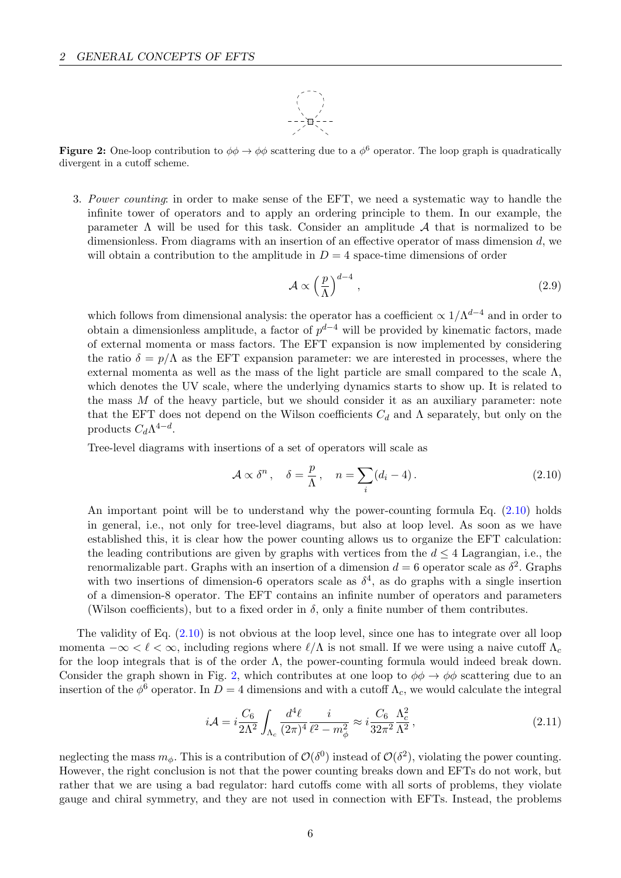

<span id="page-7-1"></span>**Figure 2:** One-loop contribution to  $\phi\phi \to \phi\phi$  scattering due to a  $\phi^6$  operator. The loop graph is quadratically divergent in a cutoff scheme.

3. Power counting: in order to make sense of the EFT, we need a systematic way to handle the infinite tower of operators and to apply an ordering principle to them. In our example, the parameter  $\Lambda$  will be used for this task. Consider an amplitude  $\mathcal A$  that is normalized to be dimensionless. From diagrams with an insertion of an effective operator of mass dimension d, we will obtain a contribution to the amplitude in  $D = 4$  space-time dimensions of order

$$
\mathcal{A} \propto \left(\frac{p}{\Lambda}\right)^{d-4},\tag{2.9}
$$

which follows from dimensional analysis: the operator has a coefficient  $\propto 1/\Lambda^{d-4}$  and in order to obtain a dimensionless amplitude, a factor of  $p^{d-4}$  will be provided by kinematic factors, made of external momenta or mass factors. The EFT expansion is now implemented by considering the ratio  $\delta = p/\Lambda$  as the EFT expansion parameter: we are interested in processes, where the external momenta as well as the mass of the light particle are small compared to the scale  $\Lambda$ , which denotes the UV scale, where the underlying dynamics starts to show up. It is related to the mass  $M$  of the heavy particle, but we should consider it as an auxiliary parameter: note that the EFT does not depend on the Wilson coefficients  $C_d$  and  $\Lambda$  separately, but only on the products  $C_d \Lambda^{4-d}$ .

Tree-level diagrams with insertions of a set of operators will scale as

<span id="page-7-0"></span>
$$
\mathcal{A} \propto \delta^n, \quad \delta = \frac{p}{\Lambda}, \quad n = \sum_i (d_i - 4). \tag{2.10}
$$

An important point will be to understand why the power-counting formula Eq.  $(2.10)$  holds in general, i.e., not only for tree-level diagrams, but also at loop level. As soon as we have established this, it is clear how the power counting allows us to organize the EFT calculation: the leading contributions are given by graphs with vertices from the  $d \leq 4$  Lagrangian, i.e., the renormalizable part. Graphs with an insertion of a dimension  $d = 6$  operator scale as  $\delta^2$ . Graphs with two insertions of dimension-6 operators scale as  $\delta^4$ , as do graphs with a single insertion of a dimension-8 operator. The EFT contains an infinite number of operators and parameters (Wilson coefficients), but to a fixed order in  $\delta$ , only a finite number of them contributes.

The validity of Eq. [\(2.10\)](#page-7-0) is not obvious at the loop level, since one has to integrate over all loop momenta  $-\infty < \ell < \infty$ , including regions where  $\ell/\Lambda$  is not small. If we were using a naive cutoff  $\Lambda_c$ for the loop integrals that is of the order  $\Lambda$ , the power-counting formula would indeed break down. Consider the graph shown in Fig. [2,](#page-7-1) which contributes at one loop to  $\phi\phi \to \phi\phi$  scattering due to an insertion of the  $\phi^6$  operator. In  $D=4$  dimensions and with a cutoff  $\Lambda_c$ , we would calculate the integral

$$
i\mathcal{A} = i\frac{C_6}{2\Lambda^2} \int_{\Lambda_c} \frac{d^4\ell}{(2\pi)^4} \frac{i}{\ell^2 - m_\phi^2} \approx i\frac{C_6}{32\pi^2} \frac{\Lambda_c^2}{\Lambda^2},\tag{2.11}
$$

neglecting the mass  $m_{\phi}$ . This is a contribution of  $\mathcal{O}(\delta^0)$  instead of  $\mathcal{O}(\delta^2)$ , violating the power counting. However, the right conclusion is not that the power counting breaks down and EFTs do not work, but rather that we are using a bad regulator: hard cutoffs come with all sorts of problems, they violate gauge and chiral symmetry, and they are not used in connection with EFTs. Instead, the problems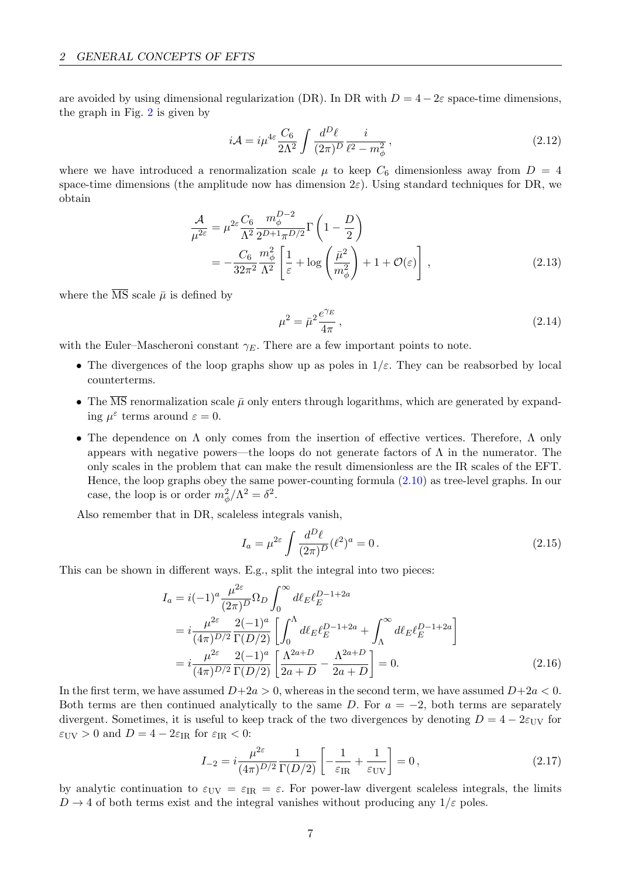are avoided by using dimensional regularization (DR). In DR with  $D = 4 - 2\varepsilon$  space-time dimensions. the graph in Fig. [2](#page-7-1) is given by

$$
i\mathcal{A} = i\mu^{4\varepsilon} \frac{C_6}{2\Lambda^2} \int \frac{d^D \ell}{(2\pi)^D} \frac{i}{\ell^2 - m_\phi^2},\tag{2.12}
$$

where we have introduced a renormalization scale  $\mu$  to keep  $C_6$  dimensionless away from  $D = 4$ space-time dimensions (the amplitude now has dimension  $2\varepsilon$ ). Using standard techniques for DR, we obtain

$$
\frac{\mathcal{A}}{\mu^{2\varepsilon}} = \mu^{2\varepsilon} \frac{C_6}{\Lambda^2} \frac{m_{\phi}^{D-2}}{2^{D+1} \pi^{D/2}} \Gamma\left(1 - \frac{D}{2}\right)
$$
\n
$$
= -\frac{C_6}{32\pi^2} \frac{m_{\phi}^2}{\Lambda^2} \left[\frac{1}{\varepsilon} + \log\left(\frac{\bar{\mu}^2}{m_{\phi}^2}\right) + 1 + \mathcal{O}(\varepsilon)\right],
$$
\n(2.13)

where the  $\overline{\text{MS}}$  scale  $\overline{\mu}$  is defined by

$$
\mu^2 = \bar{\mu}^2 \frac{e^{\gamma_E}}{4\pi},\tag{2.14}
$$

with the Euler–Mascheroni constant  $\gamma_E$ . There are a few important points to note.

- The divergences of the loop graphs show up as poles in  $1/\varepsilon$ . They can be reabsorbed by local counterterms.
- The  $\overline{\text{MS}}$  renormalization scale  $\bar{\mu}$  only enters through logarithms, which are generated by expanding  $\mu^{\varepsilon}$  terms around  $\varepsilon = 0$ .
- The dependence on Λ only comes from the insertion of effective vertices. Therefore, Λ only appears with negative powers—the loops do not generate factors of  $\Lambda$  in the numerator. The only scales in the problem that can make the result dimensionless are the IR scales of the EFT. Hence, the loop graphs obey the same power-counting formula [\(2.10\)](#page-7-0) as tree-level graphs. In our case, the loop is or order  $m_{\phi}^2/\Lambda^2 = \delta^2$ .

Also remember that in DR, scaleless integrals vanish,

$$
I_a = \mu^{2\varepsilon} \int \frac{d^D \ell}{(2\pi)^D} (\ell^2)^a = 0.
$$
 (2.15)

This can be shown in different ways. E.g., split the integral into two pieces:

$$
I_{a} = i(-1)^{a} \frac{\mu^{2\varepsilon}}{(2\pi)^{D}} \Omega_{D} \int_{0}^{\infty} d\ell_{E} \ell_{E}^{D-1+2a}
$$
  
\n
$$
= i \frac{\mu^{2\varepsilon}}{(4\pi)^{D/2}} \frac{2(-1)^{a}}{\Gamma(D/2)} \left[ \int_{0}^{\Lambda} d\ell_{E} \ell_{E}^{D-1+2a} + \int_{\Lambda}^{\infty} d\ell_{E} \ell_{E}^{D-1+2a} \right]
$$
  
\n
$$
= i \frac{\mu^{2\varepsilon}}{(4\pi)^{D/2}} \frac{2(-1)^{a}}{\Gamma(D/2)} \left[ \frac{\Lambda^{2a+D}}{2a+D} - \frac{\Lambda^{2a+D}}{2a+D} \right] = 0.
$$
 (2.16)

In the first term, we have assumed  $D+2a > 0$ , whereas in the second term, we have assumed  $D+2a < 0$ . Both terms are then continued analytically to the same D. For  $a = -2$ , both terms are separately divergent. Sometimes, it is useful to keep track of the two divergences by denoting  $D = 4 - 2\varepsilon_{UV}$  for  $\varepsilon_{\text{UV}} > 0$  and  $D = 4 - 2\varepsilon_{\text{IR}}$  for  $\varepsilon_{\text{IR}} < 0$ :

$$
I_{-2} = i \frac{\mu^{2\varepsilon}}{(4\pi)^{D/2}} \frac{1}{\Gamma(D/2)} \left[ -\frac{1}{\varepsilon_{\text{IR}}} + \frac{1}{\varepsilon_{\text{UV}}} \right] = 0, \tag{2.17}
$$

by analytic continuation to  $\varepsilon_{\text{UV}} = \varepsilon_{\text{IR}} = \varepsilon$ . For power-law divergent scaleless integrals, the limits  $D \rightarrow 4$  of both terms exist and the integral vanishes without producing any  $1/\varepsilon$  poles.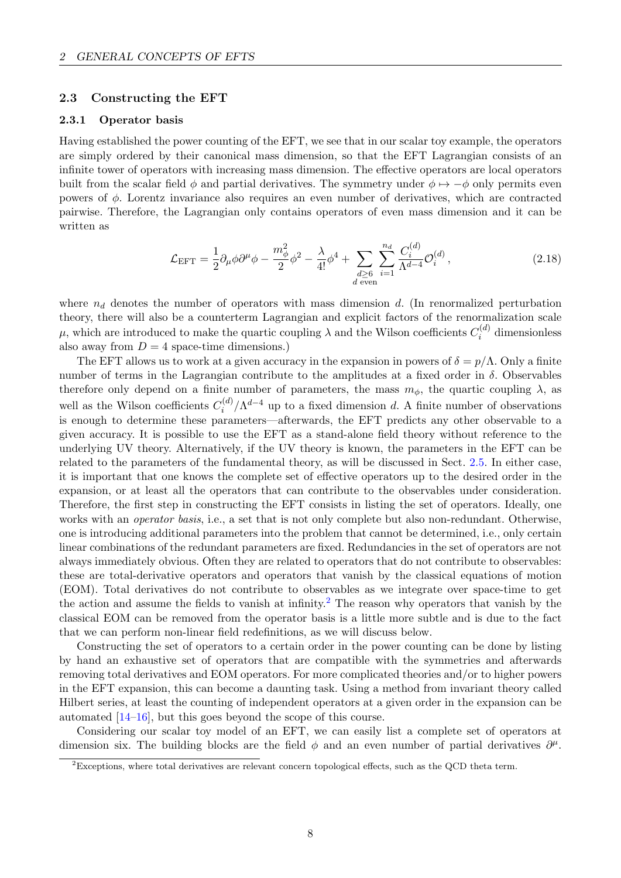## <span id="page-9-0"></span>2.3 Constructing the EFT

## <span id="page-9-1"></span>2.3.1 Operator basis

Having established the power counting of the EFT, we see that in our scalar toy example, the operators are simply ordered by their canonical mass dimension, so that the EFT Lagrangian consists of an infinite tower of operators with increasing mass dimension. The effective operators are local operators built from the scalar field  $\phi$  and partial derivatives. The symmetry under  $\phi \mapsto -\phi$  only permits even powers of  $\phi$ . Lorentz invariance also requires an even number of derivatives, which are contracted pairwise. Therefore, the Lagrangian only contains operators of even mass dimension and it can be written as

$$
\mathcal{L}_{\text{EFT}} = \frac{1}{2} \partial_{\mu} \phi \partial^{\mu} \phi - \frac{m_{\phi}^{2}}{2} \phi^{2} - \frac{\lambda}{4!} \phi^{4} + \sum_{\substack{d \geq 6 \\ d \text{ even}}} \sum_{i=1}^{n_{d}} \frac{C_{i}^{(d)}}{\Lambda^{d-4}} \mathcal{O}_{i}^{(d)}, \qquad (2.18)
$$

where  $n_d$  denotes the number of operators with mass dimension d. (In renormalized perturbation theory, there will also be a counterterm Lagrangian and explicit factors of the renormalization scale  $\mu$ , which are introduced to make the quartic coupling  $\lambda$  and the Wilson coefficients  $C_i^{(d)}$  $\binom{a}{i}$  dimensionless also away from  $D = 4$  space-time dimensions.)

The EFT allows us to work at a given accuracy in the expansion in powers of  $\delta = p/\Lambda$ . Only a finite number of terms in the Lagrangian contribute to the amplitudes at a fixed order in  $\delta$ . Observables therefore only depend on a finite number of parameters, the mass  $m_{\phi}$ , the quartic coupling  $\lambda$ , as well as the Wilson coefficients  $C_i^{(d)}$  $\int_{i}^{(d)} / \Lambda^{d-4}$  up to a fixed dimension d. A finite number of observations is enough to determine these parameters—afterwards, the EFT predicts any other observable to a given accuracy. It is possible to use the EFT as a stand-alone field theory without reference to the underlying UV theory. Alternatively, if the UV theory is known, the parameters in the EFT can be related to the parameters of the fundamental theory, as will be discussed in Sect. [2.5.](#page-16-0) In either case, it is important that one knows the complete set of effective operators up to the desired order in the expansion, or at least all the operators that can contribute to the observables under consideration. Therefore, the first step in constructing the EFT consists in listing the set of operators. Ideally, one works with an *operator basis*, i.e., a set that is not only complete but also non-redundant. Otherwise, one is introducing additional parameters into the problem that cannot be determined, i.e., only certain linear combinations of the redundant parameters are fixed. Redundancies in the set of operators are not always immediately obvious. Often they are related to operators that do not contribute to observables: these are total-derivative operators and operators that vanish by the classical equations of motion (EOM). Total derivatives do not contribute to observables as we integrate over space-time to get the action and assume the fields to vanish at infinity.<sup>[2](#page-9-2)</sup> The reason why operators that vanish by the classical EOM can be removed from the operator basis is a little more subtle and is due to the fact that we can perform non-linear field redefinitions, as we will discuss below.

Constructing the set of operators to a certain order in the power counting can be done by listing by hand an exhaustive set of operators that are compatible with the symmetries and afterwards removing total derivatives and EOM operators. For more complicated theories and/or to higher powers in the EFT expansion, this can become a daunting task. Using a method from invariant theory called Hilbert series, at least the counting of independent operators at a given order in the expansion can be automated [\[14–](#page-68-10)[16\]](#page-68-11), but this goes beyond the scope of this course.

Considering our scalar toy model of an EFT, we can easily list a complete set of operators at dimension six. The building blocks are the field  $\phi$  and an even number of partial derivatives  $\partial^{\mu}$ .

<span id="page-9-2"></span> ${}^{2}$ Exceptions, where total derivatives are relevant concern topological effects, such as the QCD theta term.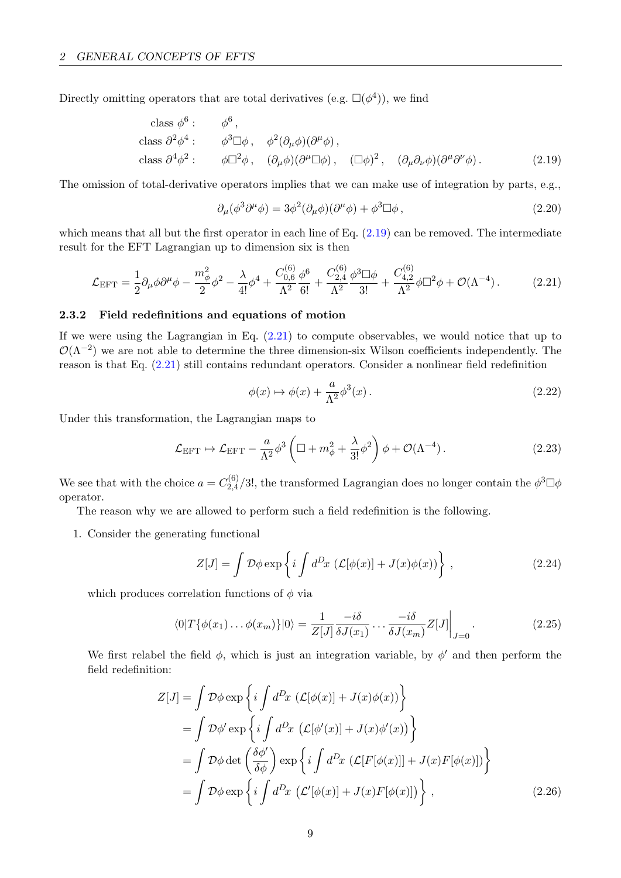Directly omitting operators that are total derivatives (e.g.  $\square(\phi^4)$ ), we find

class 
$$
\phi^6
$$
:  $\phi^6$ ,  
class  $\partial^2 \phi^4$ :  $\phi^3 \Box \phi$ ,  $\phi^2 (\partial_\mu \phi)(\partial^\mu \phi)$ ,  
class  $\partial^4 \phi^2$ :  $\phi \Box^2 \phi$ ,  $(\partial_\mu \phi)(\partial^\mu \Box \phi)$ ,  $(\Box \phi)^2$ ,  $(\partial_\mu \partial_\nu \phi)(\partial^\mu \partial^\nu \phi)$ . (2.19)

The omission of total-derivative operators implies that we can make use of integration by parts, e.g.,

<span id="page-10-1"></span>
$$
\partial_{\mu}(\phi^3 \partial^{\mu} \phi) = 3\phi^2 (\partial_{\mu} \phi)(\partial^{\mu} \phi) + \phi^3 \Box \phi , \qquad (2.20)
$$

which means that all but the first operator in each line of Eq.  $(2.19)$  can be removed. The intermediate result for the EFT Lagrangian up to dimension six is then

$$
\mathcal{L}_{\text{EFT}} = \frac{1}{2} \partial_{\mu} \phi \partial^{\mu} \phi - \frac{m_{\phi}^{2}}{2} \phi^{2} - \frac{\lambda}{4!} \phi^{4} + \frac{C_{0,6}^{(6)}}{\Lambda^{2}} \frac{\phi^{6}}{6!} + \frac{C_{2,4}^{(6)}}{\Lambda^{2}} \frac{\phi^{3} \Box \phi}{3!} + \frac{C_{4,2}^{(6)}}{\Lambda^{2}} \phi \Box^{2} \phi + \mathcal{O}(\Lambda^{-4}). \tag{2.21}
$$

#### <span id="page-10-0"></span>2.3.2 Field redefinitions and equations of motion

If we were using the Lagrangian in Eq.  $(2.21)$  to compute observables, we would notice that up to  $\mathcal{O}(\Lambda^{-2})$  we are not able to determine the three dimension-six Wilson coefficients independently. The reason is that Eq. [\(2.21\)](#page-10-2) still contains redundant operators. Consider a nonlinear field redefinition

<span id="page-10-2"></span>
$$
\phi(x) \mapsto \phi(x) + \frac{a}{\Lambda^2} \phi^3(x). \tag{2.22}
$$

Under this transformation, the Lagrangian maps to

$$
\mathcal{L}_{\text{EFT}} \mapsto \mathcal{L}_{\text{EFT}} - \frac{a}{\Lambda^2} \phi^3 \left( \Box + m_\phi^2 + \frac{\lambda}{3!} \phi^2 \right) \phi + \mathcal{O}(\Lambda^{-4}). \tag{2.23}
$$

We see that with the choice  $a = C_{2,4}^{(6)}$  $\frac{2.4}{2.4}$ /3!, the transformed Lagrangian does no longer contain the  $\phi^3 \Box \phi$ operator.

The reason why we are allowed to perform such a field redefinition is the following.

1. Consider the generating functional

$$
Z[J] = \int \mathcal{D}\phi \exp\left\{i \int d^D x \left(\mathcal{L}[\phi(x)] + J(x)\phi(x)\right)\right\},\qquad(2.24)
$$

which produces correlation functions of  $\phi$  via

$$
\langle 0|T\{\phi(x_1)\dots\phi(x_m)\}|0\rangle = \frac{1}{Z[J]} \frac{-i\delta}{\delta J(x_1)} \dots \frac{-i\delta}{\delta J(x_m)} Z[J]\Big|_{J=0}.
$$
\n(2.25)

We first relabel the field  $\phi$ , which is just an integration variable, by  $\phi'$  and then perform the field redefinition:

$$
Z[J] = \int \mathcal{D}\phi \exp\left\{i\int d^Dx \left(\mathcal{L}[\phi(x)] + J(x)\phi(x)\right)\right\}
$$
  
\n
$$
= \int \mathcal{D}\phi' \exp\left\{i\int d^Dx \left(\mathcal{L}[\phi'(x)] + J(x)\phi'(x)\right)\right\}
$$
  
\n
$$
= \int \mathcal{D}\phi \det\left(\frac{\delta\phi'}{\delta\phi}\right) \exp\left\{i\int d^Dx \left(\mathcal{L}[F[\phi(x)]] + J(x)F[\phi(x)]\right)\right\}
$$
  
\n
$$
= \int \mathcal{D}\phi \exp\left\{i\int d^Dx \left(\mathcal{L}'[\phi(x)] + J(x)F[\phi(x)]\right)\right\},
$$
\n(2.26)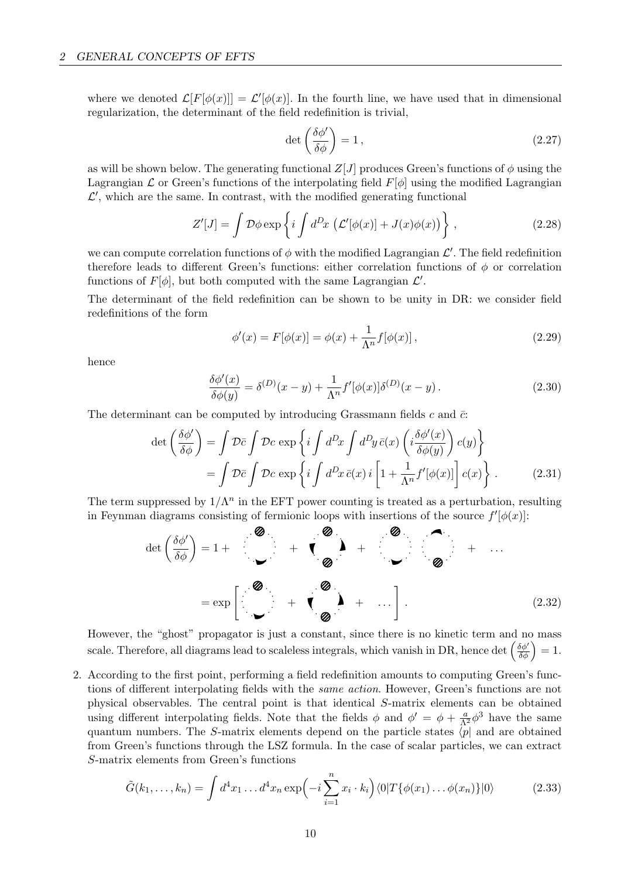where we denoted  $\mathcal{L}[F[\phi(x)]] = \mathcal{L}'[\phi(x)]$ . In the fourth line, we have used that in dimensional regularization, the determinant of the field redefinition is trivial,

$$
\det\left(\frac{\delta\phi'}{\delta\phi}\right) = 1\,,\tag{2.27}
$$

as will be shown below. The generating functional  $Z[J]$  produces Green's functions of  $\phi$  using the Lagrangian  $\mathcal L$  or Green's functions of the interpolating field  $F[\phi]$  using the modified Lagrangian  $\mathcal{L}',$  which are the same. In contrast, with the modified generating functional

$$
Z'[J] = \int \mathcal{D}\phi \exp\left\{i \int d^D x \, \left(\mathcal{L}'[\phi(x)] + J(x)\phi(x)\right)\right\},\tag{2.28}
$$

we can compute correlation functions of  $\phi$  with the modified Lagrangian  $\mathcal{L}'$ . The field redefinition therefore leads to different Green's functions: either correlation functions of  $\phi$  or correlation functions of  $F[\phi]$ , but both computed with the same Lagrangian  $\mathcal{L}'$ .

The determinant of the field redefinition can be shown to be unity in DR: we consider field redefinitions of the form

<span id="page-11-0"></span>
$$
\phi'(x) = F[\phi(x)] = \phi(x) + \frac{1}{\Lambda^n} f[\phi(x)],
$$
\n(2.29)

hence

$$
\frac{\delta\phi'(x)}{\delta\phi(y)} = \delta^{(D)}(x-y) + \frac{1}{\Lambda^n} f'[\phi(x)]\delta^{(D)}(x-y). \tag{2.30}
$$

The determinant can be computed by introducing Grassmann fields c and  $\bar{c}$ :

$$
\det\left(\frac{\delta\phi'}{\delta\phi}\right) = \int \mathcal{D}\bar{c} \int \mathcal{D}c \, \exp\left\{i \int d^D x \int d^D y \, \bar{c}(x) \left(i \frac{\delta\phi'(x)}{\delta\phi(y)}\right) c(y)\right\}
$$

$$
= \int \mathcal{D}\bar{c} \int \mathcal{D}c \, \exp\left\{i \int d^D x \, \bar{c}(x) \, i \left[1 + \frac{1}{\Lambda^n} f'[\phi(x)]\right] c(x)\right\} \, . \tag{2.31}
$$

The term suppressed by  $1/\Lambda^n$  in the EFT power counting is treated as a perturbation, resulting in Feynman diagrams consisting of fermionic loops with insertions of the source  $f'[\phi(x)]$ :

$$
\det\left(\frac{\delta\phi'}{\delta\phi}\right) = 1 + \frac{\mathbf{Q}}{\mathbf{Q}} + \mathbf{Q} + \frac{\mathbf{Q}}{\mathbf{Q}} + \cdots
$$
\n
$$
= \exp\left[\frac{\mathbf{Q}}{\mathbf{Q}} + \mathbf{Q} + \cdots\right]. \tag{2.32}
$$

However, the "ghost" propagator is just a constant, since there is no kinetic term and no mass scale. Therefore, all diagrams lead to scaleless integrals, which vanish in DR, hence det  $\left(\frac{\delta\phi'}{\delta\phi}\right) = 1$ .

2. According to the first point, performing a field redefinition amounts to computing Green's functions of different interpolating fields with the same action. However, Green's functions are not physical observables. The central point is that identical S-matrix elements can be obtained using different interpolating fields. Note that the fields  $\phi$  and  $\phi' = \phi + \frac{a}{\Lambda^2} \phi^3$  have the same quantum numbers. The S-matrix elements depend on the particle states  $\langle p|$  and are obtained from Green's functions through the LSZ formula. In the case of scalar particles, we can extract S-matrix elements from Green's functions

$$
\tilde{G}(k_1,\ldots,k_n) = \int d^4x_1\ldots d^4x_n \exp\left(-i\sum_{i=1}^n x_i \cdot k_i\right) \langle 0|T\{\phi(x_1)\ldots\phi(x_n)\}|0\rangle \tag{2.33}
$$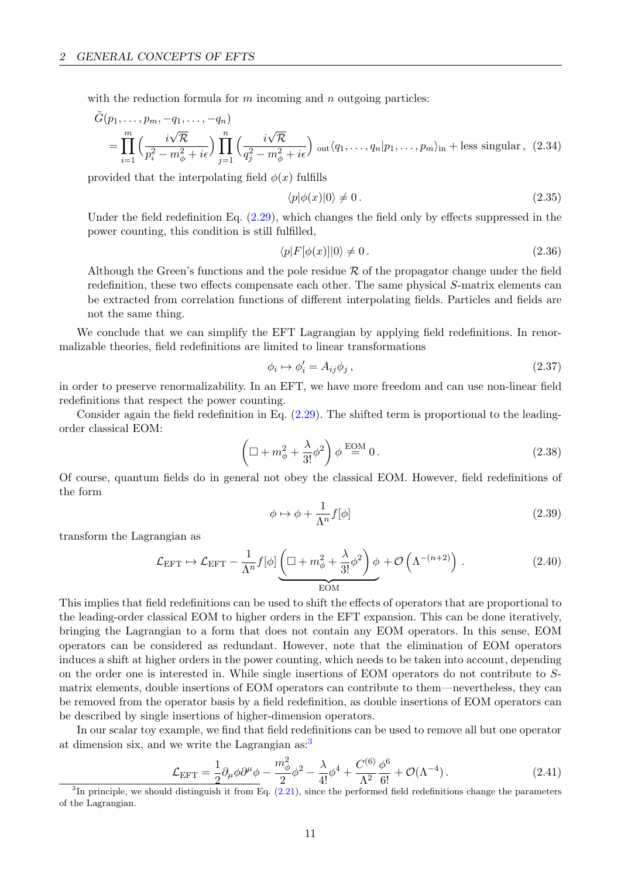with the reduction formula for  $m$  incoming and  $n$  outgoing particles:

$$
\tilde{G}(p_1,\ldots,p_m,-q_1,\ldots,-q_n)
$$
\n
$$
= \prod_{i=1}^m \left(\frac{i\sqrt{\mathcal{R}}}{p_i^2 - m_\phi^2 + i\epsilon}\right) \prod_{j=1}^n \left(\frac{i\sqrt{\mathcal{R}}}{q_j^2 - m_\phi^2 + i\epsilon}\right) \text{ out} \langle q_1,\ldots,q_n|p_1,\ldots,p_m\rangle_{\text{in}} + \text{less singular},
$$
\n(2.34)

provided that the interpolating field  $\phi(x)$  fulfills

$$
\langle p|\phi(x)|0\rangle \neq 0. \tag{2.35}
$$

Under the field redefinition Eq. [\(2.29\)](#page-11-0), which changes the field only by effects suppressed in the power counting, this condition is still fulfilled,

$$
\langle p|F[\phi(x)]|0\rangle \neq 0. \tag{2.36}
$$

Although the Green's functions and the pole residue  $\mathcal R$  of the propagator change under the field redefinition, these two effects compensate each other. The same physical S-matrix elements can be extracted from correlation functions of different interpolating fields. Particles and fields are not the same thing.

We conclude that we can simplify the EFT Lagrangian by applying field redefinitions. In renormalizable theories, field redefinitions are limited to linear transformations

$$
\phi_i \mapsto \phi'_i = A_{ij}\phi_j \,,\tag{2.37}
$$

in order to preserve renormalizability. In an EFT, we have more freedom and can use non-linear field redefinitions that respect the power counting.

Consider again the field redefinition in Eq. [\(2.29\)](#page-11-0). The shifted term is proportional to the leadingorder classical EOM:

$$
\left(\Box + m_{\phi}^2 + \frac{\lambda}{3!} \phi^2\right) \phi \stackrel{\text{EOM}}{=} 0. \tag{2.38}
$$

Of course, quantum fields do in general not obey the classical EOM. However, field redefinitions of the form

$$
\phi \mapsto \phi + \frac{1}{\Lambda^n} f[\phi] \tag{2.39}
$$

transform the Lagrangian as

$$
\mathcal{L}_{\text{EFT}} \mapsto \mathcal{L}_{\text{EFT}} - \frac{1}{\Lambda^n} f[\phi] \underbrace{\left(\Box + m_\phi^2 + \frac{\lambda}{3!} \phi^2\right) \phi}_{\text{EOM}} + \mathcal{O}\left(\Lambda^{-(n+2)}\right). \tag{2.40}
$$

This implies that field redefinitions can be used to shift the effects of operators that are proportional to the leading-order classical EOM to higher orders in the EFT expansion. This can be done iteratively, bringing the Lagrangian to a form that does not contain any EOM operators. In this sense, EOM operators can be considered as redundant. However, note that the elimination of EOM operators induces a shift at higher orders in the power counting, which needs to be taken into account, depending on the order one is interested in. While single insertions of EOM operators do not contribute to Smatrix elements, double insertions of EOM operators can contribute to them—nevertheless, they can be removed from the operator basis by a field redefinition, as double insertions of EOM operators can be described by single insertions of higher-dimension operators.

In our scalar toy example, we find that field redefinitions can be used to remove all but one operator at dimension six, and we write the Lagrangian  $as:3$  $as:3$ 

<span id="page-12-1"></span>
$$
\mathcal{L}_{\rm EFT} = \frac{1}{2} \partial_{\mu} \phi \partial^{\mu} \phi - \frac{m_{\phi}^{2}}{2} \phi^{2} - \frac{\lambda}{4!} \phi^{4} + \frac{C^{(6)}}{\Lambda^{2}} \frac{\phi^{6}}{6!} + \mathcal{O}(\Lambda^{-4}).
$$
\n(2.41)

<span id="page-12-0"></span> ${}^{3}$ In principle, we should distinguish it from Eq.  $(2.21)$ , since the performed field redefinitions change the parameters of the Lagrangian.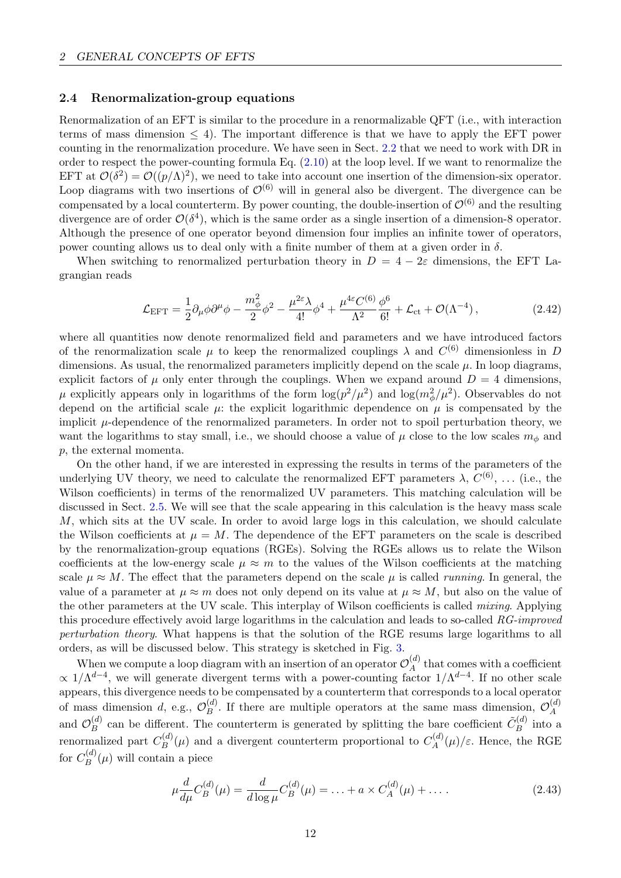## <span id="page-13-0"></span>2.4 Renormalization-group equations

Renormalization of an EFT is similar to the procedure in a renormalizable QFT (i.e., with interaction terms of mass dimension  $\leq 4$ ). The important difference is that we have to apply the EFT power counting in the renormalization procedure. We have seen in Sect. [2.2](#page-6-0) that we need to work with DR in order to respect the power-counting formula Eq.  $(2.10)$  at the loop level. If we want to renormalize the EFT at  $\mathcal{O}(\delta^2) = \mathcal{O}((p/\Lambda)^2)$ , we need to take into account one insertion of the dimension-six operator. Loop diagrams with two insertions of  $\mathcal{O}^{(6)}$  will in general also be divergent. The divergence can be compensated by a local counterterm. By power counting, the double-insertion of  $\mathcal{O}^{(6)}$  and the resulting divergence are of order  $\mathcal{O}(\delta^4)$ , which is the same order as a single insertion of a dimension-8 operator. Although the presence of one operator beyond dimension four implies an infinite tower of operators, power counting allows us to deal only with a finite number of them at a given order in  $\delta$ .

When switching to renormalized perturbation theory in  $D = 4 - 2\varepsilon$  dimensions, the EFT Lagrangian reads

$$
\mathcal{L}_{\rm EFT} = \frac{1}{2} \partial_{\mu} \phi \partial^{\mu} \phi - \frac{m_{\phi}^2}{2} \phi^2 - \frac{\mu^{2\varepsilon} \lambda}{4!} \phi^4 + \frac{\mu^{4\varepsilon} C^{(6)}}{\Lambda^2} \frac{\phi^6}{6!} + \mathcal{L}_{\rm ct} + \mathcal{O}(\Lambda^{-4}), \tag{2.42}
$$

where all quantities now denote renormalized field and parameters and we have introduced factors of the renormalization scale  $\mu$  to keep the renormalized couplings  $\lambda$  and  $C^{(6)}$  dimensionless in D dimensions. As usual, the renormalized parameters implicitly depend on the scale  $\mu$ . In loop diagrams, explicit factors of  $\mu$  only enter through the couplings. When we expand around  $D = 4$  dimensions,  $\mu$  explicitly appears only in logarithms of the form  $\log(p^2/\mu^2)$  and  $\log(m_\phi^2/\mu^2)$ . Observables do not depend on the artificial scale  $\mu$ : the explicit logarithmic dependence on  $\mu$  is compensated by the implicit  $\mu$ -dependence of the renormalized parameters. In order not to spoil perturbation theory, we want the logarithms to stay small, i.e., we should choose a value of  $\mu$  close to the low scales  $m_{\phi}$  and p, the external momenta.

On the other hand, if we are interested in expressing the results in terms of the parameters of the underlying UV theory, we need to calculate the renormalized EFT parameters  $\lambda$ ,  $C^{(6)}$ , ... (i.e., the Wilson coefficients) in terms of the renormalized UV parameters. This matching calculation will be discussed in Sect. [2.5.](#page-16-0) We will see that the scale appearing in this calculation is the heavy mass scale M, which sits at the UV scale. In order to avoid large logs in this calculation, we should calculate the Wilson coefficients at  $\mu = M$ . The dependence of the EFT parameters on the scale is described by the renormalization-group equations (RGEs). Solving the RGEs allows us to relate the Wilson coefficients at the low-energy scale  $\mu \approx m$  to the values of the Wilson coefficients at the matching scale  $\mu \approx M$ . The effect that the parameters depend on the scale  $\mu$  is called *running*. In general, the value of a parameter at  $\mu \approx m$  does not only depend on its value at  $\mu \approx M$ , but also on the value of the other parameters at the UV scale. This interplay of Wilson coefficients is called mixing. Applying this procedure effectively avoid large logarithms in the calculation and leads to so-called RG-improved perturbation theory. What happens is that the solution of the RGE resums large logarithms to all orders, as will be discussed below. This strategy is sketched in Fig. [3.](#page-14-0)

When we compute a loop diagram with an insertion of an operator  $\mathcal{O}_A^{(d)}$  $A^{(a)}_A$  that comes with a coefficient  $\propto 1/\Lambda^{d-4}$ , we will generate divergent terms with a power-counting factor  $1/\Lambda^{d-4}$ . If no other scale appears, this divergence needs to be compensated by a counterterm that corresponds to a local operator of mass dimension d, e.g.,  $\mathcal{O}_B^{(d)}$  $B_B^{(d)}$ . If there are multiple operators at the same mass dimension,  $\mathcal{O}_A^{(d)}$ A and  $\mathcal{O}_B^{(d)}$  $B_B^{(d)}$  can be different. The counterterm is generated by splitting the bare coefficient  $\tilde{C}_B^{(d)}$  $\int_B^{(a)}$  into a renormalized part  $C_B^{(d)}$  $B^{(d)}(\mu)$  and a divergent counterterm proportional to  $C_A^{(d)}$  $\chi_A^{(a)}(\mu)/\varepsilon$ . Hence, the RGE for  $C_R^{(d)}$  $B^{(u)}(\mu)$  will contain a piece

$$
\mu \frac{d}{d\mu} C_B^{(d)}(\mu) = \frac{d}{d\log \mu} C_B^{(d)}(\mu) = \ldots + a \times C_A^{(d)}(\mu) + \ldots
$$
\n(2.43)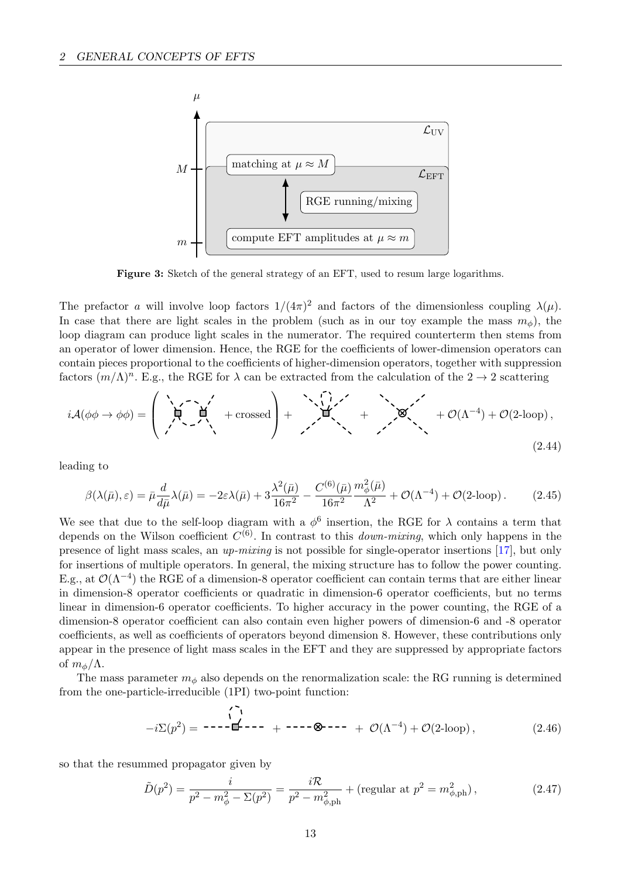<span id="page-14-0"></span>

Figure 3: Sketch of the general strategy of an EFT, used to resum large logarithms.

The prefactor a will involve loop factors  $1/(4\pi)^2$  and factors of the dimensionless coupling  $\lambda(\mu)$ . In case that there are light scales in the problem (such as in our toy example the mass  $m_{\phi}$ ), the loop diagram can produce light scales in the numerator. The required counterterm then stems from an operator of lower dimension. Hence, the RGE for the coefficients of lower-dimension operators can contain pieces proportional to the coefficients of higher-dimension operators, together with suppression factors  $(m/\Lambda)^n$ . E.g., the RGE for  $\lambda$  can be extracted from the calculation of the  $2 \to 2$  scattering

iA(ϕϕ → ϕϕ) = + crossed <sup>+</sup> <sup>+</sup> <sup>+</sup> <sup>O</sup>(Λ−<sup>4</sup> ) + O(2-loop), (2.44)

leading to

$$
\beta(\lambda(\bar{\mu}), \varepsilon) = \bar{\mu} \frac{d}{d\bar{\mu}} \lambda(\bar{\mu}) = -2\varepsilon \lambda(\bar{\mu}) + 3 \frac{\lambda^2(\bar{\mu})}{16\pi^2} - \frac{C^{(6)}(\bar{\mu})}{16\pi^2} \frac{m_\phi^2(\bar{\mu})}{\Lambda^2} + \mathcal{O}(\Lambda^{-4}) + \mathcal{O}(2\text{-loop}).
$$
 (2.45)

We see that due to the self-loop diagram with a  $\phi^6$  insertion, the RGE for  $\lambda$  contains a term that depends on the Wilson coefficient  $C^{(6)}$ . In contrast to this *down-mixing*, which only happens in the presence of light mass scales, an up-mixing is not possible for single-operator insertions [\[17\]](#page-68-12), but only for insertions of multiple operators. In general, the mixing structure has to follow the power counting. E.g., at  $\mathcal{O}(\Lambda^{-4})$  the RGE of a dimension-8 operator coefficient can contain terms that are either linear in dimension-8 operator coefficients or quadratic in dimension-6 operator coefficients, but no terms linear in dimension-6 operator coefficients. To higher accuracy in the power counting, the RGE of a dimension-8 operator coefficient can also contain even higher powers of dimension-6 and -8 operator coefficients, as well as coefficients of operators beyond dimension 8. However, these contributions only appear in the presence of light mass scales in the EFT and they are suppressed by appropriate factors of  $m_{\phi}/\Lambda$ .

The mass parameter  $m_{\phi}$  also depends on the renormalization scale: the RG running is determined from the one-particle-irreducible (1PI) two-point function:

$$
-i\Sigma(p^2) = \mathbf{---} \mathbf{---} + \mathbf{---} \otimes \mathbf{---} + \mathcal{O}(\Lambda^{-4}) + \mathcal{O}(2\text{-loop}),
$$
 (2.46)

so that the resummed propagator given by

$$
\tilde{D}(p^2) = \frac{i}{p^2 - m_\phi^2 - \Sigma(p^2)} = \frac{i\mathcal{R}}{p^2 - m_{\phi, \text{ph}}^2} + (\text{regular at } p^2 = m_{\phi, \text{ph}}^2),\tag{2.47}
$$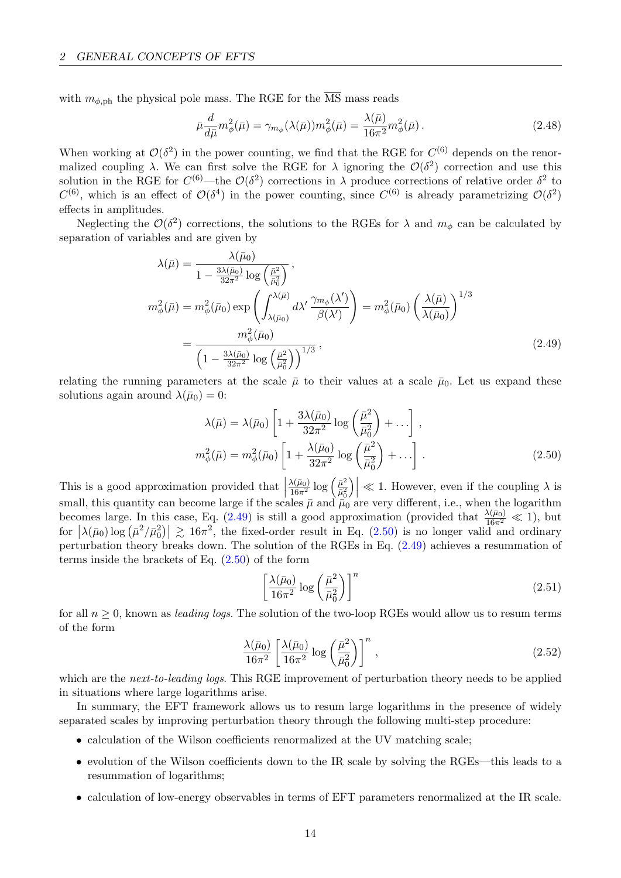with  $m_{\phi, \text{ph}}$  the physical pole mass. The RGE for the  $\overline{\text{MS}}$  mass reads

$$
\bar{\mu}\frac{d}{d\bar{\mu}}m_{\phi}^{2}(\bar{\mu}) = \gamma_{m_{\phi}}(\lambda(\bar{\mu}))m_{\phi}^{2}(\bar{\mu}) = \frac{\lambda(\bar{\mu})}{16\pi^{2}}m_{\phi}^{2}(\bar{\mu}).
$$
\n(2.48)

When working at  $\mathcal{O}(\delta^2)$  in the power counting, we find that the RGE for  $C^{(6)}$  depends on the renormalized coupling  $\lambda$ . We can first solve the RGE for  $\lambda$  ignoring the  $\mathcal{O}(\delta^2)$  correction and use this solution in the RGE for  $C^{(6)}$ —the  $\mathcal{O}(\delta^2)$  corrections in  $\lambda$  produce corrections of relative order  $\delta^2$  to  $C^{(6)}$ , which is an effect of  $\mathcal{O}(\delta^4)$  in the power counting, since  $C^{(6)}$  is already parametrizing  $\mathcal{O}(\delta^2)$ effects in amplitudes.

Neglecting the  $\mathcal{O}(\delta^2)$  corrections, the solutions to the RGEs for  $\lambda$  and  $m_\phi$  can be calculated by separation of variables and are given by

$$
\lambda(\bar{\mu}) = \frac{\lambda(\bar{\mu}_{0})}{1 - \frac{3\lambda(\bar{\mu}_{0})}{32\pi^{2}} \log\left(\frac{\bar{\mu}^{2}}{\bar{\mu}_{0}^{2}}\right)},
$$
\n
$$
m_{\phi}^{2}(\bar{\mu}) = m_{\phi}^{2}(\bar{\mu}_{0}) \exp\left(\int_{\lambda(\bar{\mu}_{0})}^{\lambda(\bar{\mu})} d\lambda' \frac{\gamma_{m_{\phi}}(\lambda')}{\beta(\lambda')}\right) = m_{\phi}^{2}(\bar{\mu}_{0}) \left(\frac{\lambda(\bar{\mu})}{\lambda(\bar{\mu}_{0})}\right)^{1/3}
$$
\n
$$
= \frac{m_{\phi}^{2}(\bar{\mu}_{0})}{\left(1 - \frac{3\lambda(\bar{\mu}_{0})}{32\pi^{2}} \log\left(\frac{\bar{\mu}^{2}}{\bar{\mu}_{0}^{2}}\right)\right)^{1/3}},
$$
\n(2.49)

relating the running parameters at the scale  $\bar{\mu}$  to their values at a scale  $\bar{\mu}_0$ . Let us expand these solutions again around  $\lambda(\bar{\mu}_0) = 0$ :

<span id="page-15-0"></span>
$$
\lambda(\bar{\mu}) = \lambda(\bar{\mu}_0) \left[ 1 + \frac{3\lambda(\bar{\mu}_0)}{32\pi^2} \log\left(\frac{\bar{\mu}^2}{\bar{\mu}_0^2}\right) + \ldots \right],
$$
  

$$
m_\phi^2(\bar{\mu}) = m_\phi^2(\bar{\mu}_0) \left[ 1 + \frac{\lambda(\bar{\mu}_0)}{32\pi^2} \log\left(\frac{\bar{\mu}^2}{\bar{\mu}_0^2}\right) + \ldots \right].
$$
 (2.50)

This is a good approximation provided that  $\left| \begin{array}{c} 1 & 1 \\ 1 & 1 \end{array} \right|$  $\frac{\lambda(\bar{\mu}_0)}{16\pi^2}\log\left(\frac{\bar{\mu}^2}{\bar{\mu}_0^2}\right)$  $\bar{\mu}_0^2$  $\left|\mathcal{L}\right| \ll 1$ . However, even if the coupling  $\lambda$  is small, this quantity can become large if the scales  $\bar{\mu}$  and  $\bar{\mu}_0$  are very different, i.e., when the logarithm becomes large. In this case, Eq. [\(2.49\)](#page-15-0) is still a good approximation (provided that  $\frac{\lambda(\bar{\mu}_0)}{16\pi^2} \ll 1$ ), but for  $|\lambda(\bar{\mu}_0) \log (\bar{\mu}^2/\bar{\mu}_0^2)| \gtrsim 16\pi^2$ , the fixed-order result in Eq. [\(2.50\)](#page-15-1) is no longer valid and ordinary perturbation theory breaks down. The solution of the RGEs in Eq. [\(2.49\)](#page-15-0) achieves a resummation of terms inside the brackets of Eq.  $(2.50)$  of the form

<span id="page-15-1"></span>
$$
\left[\frac{\lambda(\bar{\mu}_0)}{16\pi^2}\log\left(\frac{\bar{\mu}^2}{\bar{\mu}_0^2}\right)\right]^n\tag{2.51}
$$

for all  $n \geq 0$ , known as *leading logs*. The solution of the two-loop RGEs would allow us to resum terms of the form

$$
\frac{\lambda(\bar{\mu}_0)}{16\pi^2} \left[ \frac{\lambda(\bar{\mu}_0)}{16\pi^2} \log \left( \frac{\bar{\mu}^2}{\bar{\mu}_0^2} \right) \right]^n ,\tag{2.52}
$$

which are the *next-to-leading logs*. This RGE improvement of perturbation theory needs to be applied in situations where large logarithms arise.

In summary, the EFT framework allows us to resum large logarithms in the presence of widely separated scales by improving perturbation theory through the following multi-step procedure:

- calculation of the Wilson coefficients renormalized at the UV matching scale;
- evolution of the Wilson coefficients down to the IR scale by solving the RGEs—this leads to a resummation of logarithms;
- calculation of low-energy observables in terms of EFT parameters renormalized at the IR scale.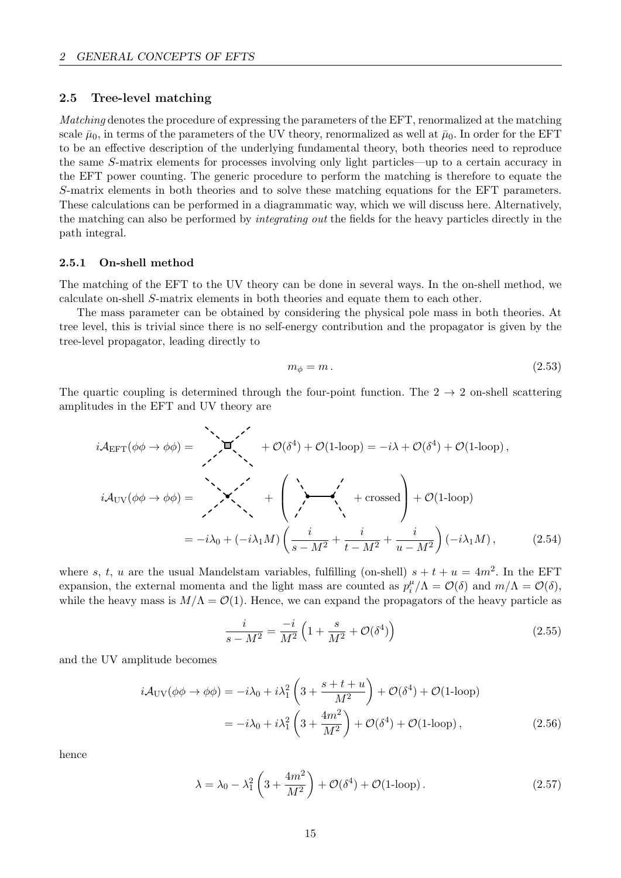### <span id="page-16-0"></span>2.5 Tree-level matching

Matching denotes the procedure of expressing the parameters of the EFT, renormalized at the matching scale  $\bar{\mu}_0$ , in terms of the parameters of the UV theory, renormalized as well at  $\bar{\mu}_0$ . In order for the EFT to be an effective description of the underlying fundamental theory, both theories need to reproduce the same S-matrix elements for processes involving only light particles—up to a certain accuracy in the EFT power counting. The generic procedure to perform the matching is therefore to equate the S-matrix elements in both theories and to solve these matching equations for the EFT parameters. These calculations can be performed in a diagrammatic way, which we will discuss here. Alternatively, the matching can also be performed by integrating out the fields for the heavy particles directly in the path integral.

#### <span id="page-16-1"></span>2.5.1 On-shell method

The matching of the EFT to the UV theory can be done in several ways. In the on-shell method, we calculate on-shell S-matrix elements in both theories and equate them to each other.

The mass parameter can be obtained by considering the physical pole mass in both theories. At tree level, this is trivial since there is no self-energy contribution and the propagator is given by the tree-level propagator, leading directly to

$$
m_{\phi} = m. \tag{2.53}
$$

The quartic coupling is determined through the four-point function. The  $2 \rightarrow 2$  on-shell scattering amplitudes in the EFT and UV theory are

$$
i\mathcal{A}_{\text{EFT}}(\phi\phi \to \phi\phi) = \sum_{\lambda} \mathbf{I}(\phi\phi) + \mathcal{O}(\delta^{4}) + \mathcal{O}(1-\text{loop}) = -i\lambda + \mathcal{O}(\delta^{4}) + \mathcal{O}(1-\text{loop}),
$$
  
\n
$$
i\mathcal{A}_{\text{UV}}(\phi\phi \to \phi\phi) = \sum_{\lambda} \mathbf{I}(\phi\phi) + \mathcal{O}(\delta^{4}) + \mathcal{O}(1-\text{loop}) + \mathcal{O}(1-\text{loop})
$$
  
\n
$$
= -i\lambda_{0} + (-i\lambda_{1}M)\left(\frac{i}{s-M^{2}} + \frac{i}{t-M^{2}} + \frac{i}{u-M^{2}}\right)(-i\lambda_{1}M), \qquad (2.54)
$$

where s, t, u are the usual Mandelstam variables, fulfilling (on-shell)  $s + t + u = 4m^2$ . In the EFT expansion, the external momenta and the light mass are counted as  $p_i^{\mu}$  $\int_i^{\mu} / \Lambda = \mathcal{O}(\delta)$  and  $m/\Lambda = \mathcal{O}(\delta)$ , while the heavy mass is  $M/\Lambda = \mathcal{O}(1)$ . Hence, we can expand the propagators of the heavy particle as

$$
\frac{i}{s - M^2} = \frac{-i}{M^2} \left( 1 + \frac{s}{M^2} + \mathcal{O}(\delta^4) \right)
$$
 (2.55)

and the UV amplitude becomes

$$
i\mathcal{A}_{\rm UV}(\phi\phi \to \phi\phi) = -i\lambda_0 + i\lambda_1^2 \left(3 + \frac{s + t + u}{M^2}\right) + \mathcal{O}(\delta^4) + \mathcal{O}(1\text{-loop})
$$

$$
= -i\lambda_0 + i\lambda_1^2 \left(3 + \frac{4m^2}{M^2}\right) + \mathcal{O}(\delta^4) + \mathcal{O}(1\text{-loop}),\tag{2.56}
$$

hence

<span id="page-16-2"></span>
$$
\lambda = \lambda_0 - \lambda_1^2 \left( 3 + \frac{4m^2}{M^2} \right) + \mathcal{O}(\delta^4) + \mathcal{O}(1\text{-loop}).
$$
\n(2.57)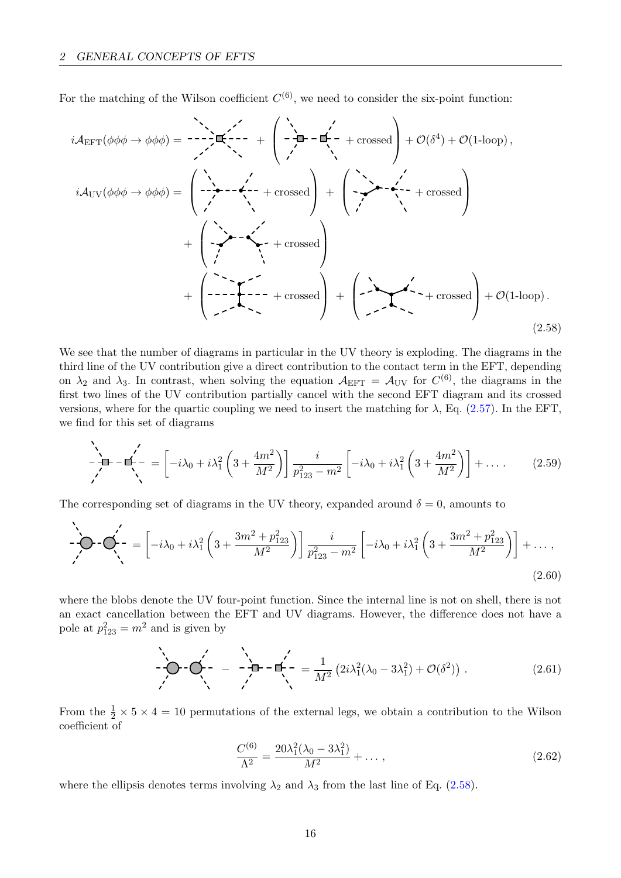<span id="page-17-0"></span> $\overline{\phantom{0}}$ 

For the matching of the Wilson coefficient  $C^{(6)}$ , we need to consider the six-point function:

$$
i\mathcal{A}_{\text{EFT}}(\phi\phi\phi \to \phi\phi) = \frac{1}{2} \mathbf{E}\left(-\frac{1}{2} + \frac{1}{2} + \frac{1}{2} + \frac{1}{2} + \frac{1}{2} + \frac{1}{2} + \frac{1}{2} + \frac{1}{2} + \frac{1}{2} + \frac{1}{2} + \frac{1}{2} + \frac{1}{2} + \frac{1}{2} + \frac{1}{2} + \frac{1}{2} + \frac{1}{2} + \frac{1}{2} + \frac{1}{2} + \frac{1}{2} + \frac{1}{2} + \frac{1}{2} + \frac{1}{2} + \frac{1}{2} + \frac{1}{2} + \frac{1}{2} + \frac{1}{2} + \frac{1}{2} + \frac{1}{2} + \frac{1}{2} + \frac{1}{2} + \frac{1}{2} + \frac{1}{2} + \frac{1}{2} + \frac{1}{2} + \frac{1}{2} + \frac{1}{2} + \frac{1}{2} + \frac{1}{2} + \frac{1}{2} + \frac{1}{2} + \frac{1}{2} + \frac{1}{2} + \frac{1}{2} + \frac{1}{2} + \frac{1}{2} + \frac{1}{2} + \frac{1}{2} + \frac{1}{2} + \frac{1}{2} + \frac{1}{2} + \frac{1}{2} + \frac{1}{2} + \frac{1}{2} + \frac{1}{2} + \frac{1}{2} + \frac{1}{2} + \frac{1}{2} + \frac{1}{2} + \frac{1}{2} + \frac{1}{2} + \frac{1}{2} + \frac{1}{2} + \frac{1}{2} + \frac{1}{2} + \frac{1}{2} + \frac{1}{2} + \frac{1}{2} + \frac{1}{2} + \frac{1}{2} + \frac{1}{2} + \frac{1}{2} + \frac{1}{2} + \frac{1}{2} + \frac{1}{2} + \frac{1}{2} + \frac{1}{2} + \frac{1}{2} + \frac{1}{2} + \frac{1}{2} + \frac{1}{2} + \frac{1}{2} + \frac{1}{2} + \frac{1}{2} + \frac{1}{2} + \frac{1}{2} + \frac{1}{2} + \frac{1}{2} + \frac{1}{2} + \frac{1}{2} + \frac{1}{
$$

We see that the number of diagrams in particular in the UV theory is exploding. The diagrams in the third line of the UV contribution give a direct contribution to the contact term in the EFT, depending on  $\lambda_2$  and  $\lambda_3$ . In contrast, when solving the equation  $A_{\text{EFT}} = A_{\text{UV}}$  for  $C^{(6)}$ , the diagrams in the first two lines of the UV contribution partially cancel with the second EFT diagram and its crossed versions, where for the quartic coupling we need to insert the matching for  $\lambda$ , Eq. [\(2.57\)](#page-16-2). In the EFT, we find for this set of diagrams

$$
-\frac{1}{\sqrt{2}} - \frac{1}{\sqrt{2}} = \left[ -i\lambda_0 + i\lambda_1^2 \left( 3 + \frac{4m^2}{M^2} \right) \right] \frac{i}{p_{123}^2 - m^2} \left[ -i\lambda_0 + i\lambda_1^2 \left( 3 + \frac{4m^2}{M^2} \right) \right] + \dots \tag{2.59}
$$

The corresponding set of diagrams in the UV theory, expanded around  $\delta = 0$ , amounts to

$$
\sum_{i=1}^{N} \mathbf{C} \cdot \mathbf{C} \cdot \left( 1 - i \lambda_0 + i \lambda_1^2 \left( 3 + \frac{3m^2 + p_{123}^2}{M^2} \right) \right) \frac{i}{p_{123}^2 - m^2} \left[ -i \lambda_0 + i \lambda_1^2 \left( 3 + \frac{3m^2 + p_{123}^2}{M^2} \right) \right] + \dots,
$$
\n(2.60)

where the blobs denote the UV four-point function. Since the internal line is not on shell, there is not an exact cancellation between the EFT and UV diagrams. However, the difference does not have a pole at  $p_{123}^2 = m^2$  and is given by

$$
-\sum_{\ell=1}^{N} \left(-\frac{1}{\sqrt{2}} - \frac{1}{\sqrt{2}} - \frac{1}{N^2}\left(2i\lambda_1^2(\lambda_0 - 3\lambda_1^2) + \mathcal{O}(\delta^2)\right)\right) \tag{2.61}
$$

From the  $\frac{1}{2} \times 5 \times 4 = 10$  permutations of the external legs, we obtain a contribution to the Wilson coefficient of

$$
\frac{C^{(6)}}{\Lambda^2} = \frac{20\lambda_1^2(\lambda_0 - 3\lambda_1^2)}{M^2} + \dots,
$$
\n(2.62)

where the ellipsis denotes terms involving  $\lambda_2$  and  $\lambda_3$  from the last line of Eq. [\(2.58\)](#page-17-0).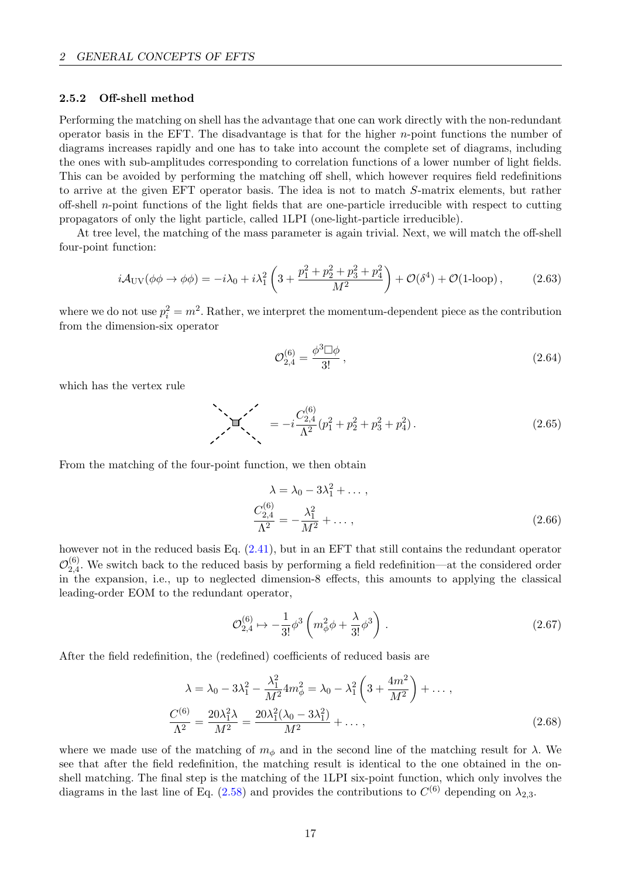#### <span id="page-18-0"></span>2.5.2 Off-shell method

Performing the matching on shell has the advantage that one can work directly with the non-redundant operator basis in the EFT. The disadvantage is that for the higher  $n$ -point functions the number of diagrams increases rapidly and one has to take into account the complete set of diagrams, including the ones with sub-amplitudes corresponding to correlation functions of a lower number of light fields. This can be avoided by performing the matching off shell, which however requires field redefinitions to arrive at the given EFT operator basis. The idea is not to match S-matrix elements, but rather off-shell n-point functions of the light fields that are one-particle irreducible with respect to cutting propagators of only the light particle, called 1LPI (one-light-particle irreducible).

At tree level, the matching of the mass parameter is again trivial. Next, we will match the off-shell four-point function:

$$
i\mathcal{A}_{\rm UV}(\phi\phi \to \phi\phi) = -i\lambda_0 + i\lambda_1^2 \left(3 + \frac{p_1^2 + p_2^2 + p_3^2 + p_4^2}{M^2}\right) + \mathcal{O}(\delta^4) + \mathcal{O}(1\text{-loop}),\tag{2.63}
$$

where we do not use  $p_i^2 = m^2$ . Rather, we interpret the momentum-dependent piece as the contribution from the dimension-six operator

$$
\mathcal{O}_{2,4}^{(6)} = \frac{\phi^3 \Box \phi}{3!} \,,\tag{2.64}
$$

which has the vertex rule

$$
\sum_{\lambda} \mathbf{E} \left( \sum_{k=1}^{\infty} \left( p_1^2 + p_2^2 + p_3^2 + p_4^2 \right) \right). \tag{2.65}
$$

From the matching of the four-point function, we then obtain

$$
\lambda = \lambda_0 - 3\lambda_1^2 + \dots,
$$
  
\n
$$
\frac{C_{2,4}^{(6)}}{\Lambda^2} = -\frac{\lambda_1^2}{M^2} + \dots,
$$
\n(2.66)

however not in the reduced basis Eq. [\(2.41\)](#page-12-1), but in an EFT that still contains the redundant operator  $\mathcal O^{(6)}_{2,4}$  $_{2,4}^{\circ}$ . We switch back to the reduced basis by performing a field redefinition—at the considered order in the expansion, i.e., up to neglected dimension-8 effects, this amounts to applying the classical leading-order EOM to the redundant operator,

$$
\mathcal{O}_{2,4}^{(6)} \mapsto -\frac{1}{3!} \phi^3 \left( m_\phi^2 \phi + \frac{\lambda}{3!} \phi^3 \right) . \tag{2.67}
$$

After the field redefinition, the (redefined) coefficients of reduced basis are

$$
\lambda = \lambda_0 - 3\lambda_1^2 - \frac{\lambda_1^2}{M^2} 4m_\phi^2 = \lambda_0 - \lambda_1^2 \left( 3 + \frac{4m^2}{M^2} \right) + \dots,
$$
  

$$
\frac{C^{(6)}}{\Lambda^2} = \frac{20\lambda_1^2 \lambda}{M^2} = \frac{20\lambda_1^2 (\lambda_0 - 3\lambda_1^2)}{M^2} + \dots,
$$
 (2.68)

where we made use of the matching of  $m_{\phi}$  and in the second line of the matching result for  $\lambda$ . We see that after the field redefinition, the matching result is identical to the one obtained in the onshell matching. The final step is the matching of the 1LPI six-point function, which only involves the diagrams in the last line of Eq. [\(2.58\)](#page-17-0) and provides the contributions to  $C^{(6)}$  depending on  $\lambda_{2,3}$ .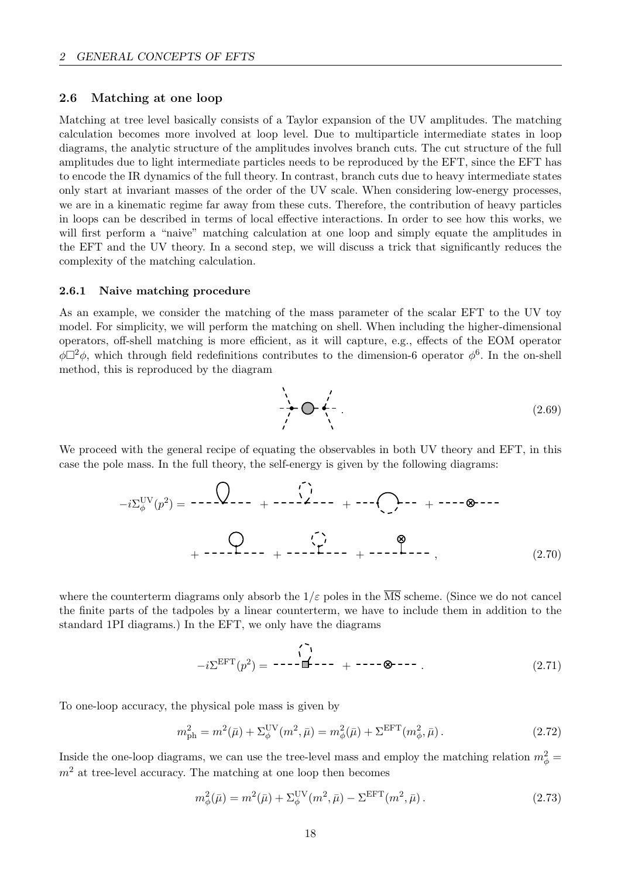## <span id="page-19-0"></span>2.6 Matching at one loop

Matching at tree level basically consists of a Taylor expansion of the UV amplitudes. The matching calculation becomes more involved at loop level. Due to multiparticle intermediate states in loop diagrams, the analytic structure of the amplitudes involves branch cuts. The cut structure of the full amplitudes due to light intermediate particles needs to be reproduced by the EFT, since the EFT has to encode the IR dynamics of the full theory. In contrast, branch cuts due to heavy intermediate states only start at invariant masses of the order of the UV scale. When considering low-energy processes, we are in a kinematic regime far away from these cuts. Therefore, the contribution of heavy particles in loops can be described in terms of local effective interactions. In order to see how this works, we will first perform a "naive" matching calculation at one loop and simply equate the amplitudes in the EFT and the UV theory. In a second step, we will discuss a trick that significantly reduces the complexity of the matching calculation.

## <span id="page-19-1"></span>2.6.1 Naive matching procedure

As an example, we consider the matching of the mass parameter of the scalar EFT to the UV toy model. For simplicity, we will perform the matching on shell. When including the higher-dimensional operators, off-shell matching is more efficient, as it will capture, e.g., effects of the EOM operator  $\phi\Box^2\phi$ , which through field redefinitions contributes to the dimension-6 operator  $\phi^6$ . In the on-shell method, this is reproduced by the diagram

<span id="page-19-3"></span>
$$
\begin{array}{ccc}\n\ddots & & & \\
\hline\n\end{array}
$$
 (2.69)

We proceed with the general recipe of equating the observables in both UV theory and EFT, in this case the pole mass. In the full theory, the self-energy is given by the following diagrams:

$$
-i\Sigma_{\phi}^{\text{UV}}(p^2) = \cdots \begin{matrix} \downarrow & & & \downarrow \\ & & & \downarrow \\ & & & \downarrow \\ & & & \downarrow \\ & & & & \downarrow \end{matrix} \qquad + \cdots \begin{matrix} \downarrow & & & & \downarrow \\ & & & \downarrow \\ & & & \downarrow \\ & & & \downarrow \end{matrix} \qquad + \cdots \begin{matrix} \downarrow & & & \circ \\ & & & \downarrow \\ & & & \downarrow \\ & & & \downarrow \end{matrix} \qquad (2.70)
$$

where the counterterm diagrams only absorb the  $1/\varepsilon$  poles in the  $\overline{\text{MS}}$  scheme. (Since we do not cancel the finite parts of the tadpoles by a linear counterterm, we have to include them in addition to the standard 1PI diagrams.) In the EFT, we only have the diagrams

$$
-i\Sigma^{\text{EFT}}(p^2) = \cdots - \mathbf{I} \begin{matrix} 1 \\ 1 \end{matrix} + \cdots + \cdots - \mathbf{I} \tag{2.71}
$$

To one-loop accuracy, the physical pole mass is given by

$$
m_{\rm ph}^2 = m^2(\bar{\mu}) + \Sigma_{\phi}^{\rm UV}(m^2, \bar{\mu}) = m_{\phi}^2(\bar{\mu}) + \Sigma^{\rm EFT}(m_{\phi}^2, \bar{\mu}).
$$
 (2.72)

Inside the one-loop diagrams, we can use the tree-level mass and employ the matching relation  $m_{\phi}^2 =$  $m<sup>2</sup>$  at tree-level accuracy. The matching at one loop then becomes

<span id="page-19-2"></span>
$$
m_{\phi}^{2}(\bar{\mu}) = m^{2}(\bar{\mu}) + \Sigma_{\phi}^{\text{UV}}(m^{2}, \bar{\mu}) - \Sigma^{\text{EFT}}(m^{2}, \bar{\mu}).
$$
\n(2.73)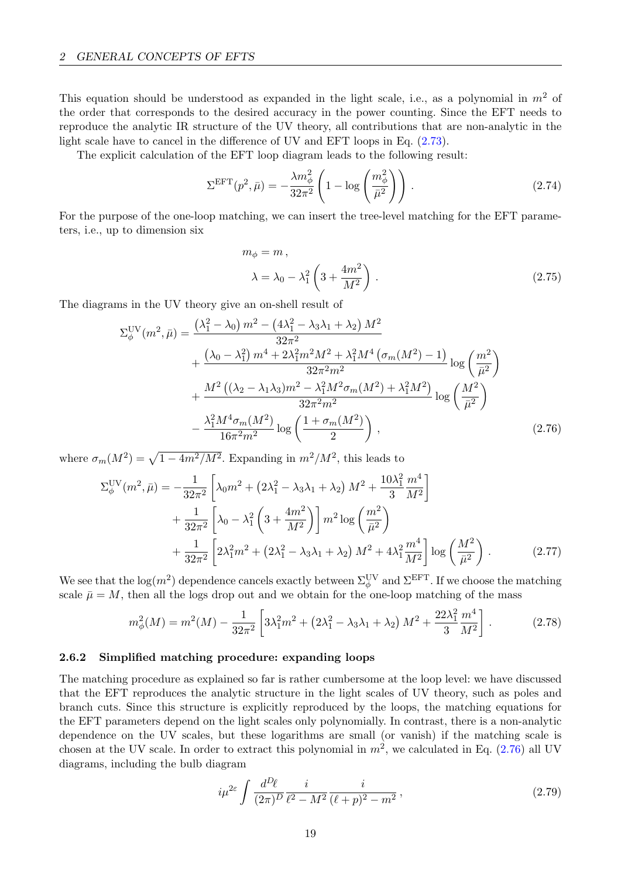This equation should be understood as expanded in the light scale, i.e., as a polynomial in  $m<sup>2</sup>$  of the order that corresponds to the desired accuracy in the power counting. Since the EFT needs to reproduce the analytic IR structure of the UV theory, all contributions that are non-analytic in the light scale have to cancel in the difference of UV and EFT loops in Eq. [\(2.73\)](#page-19-2).

The explicit calculation of the EFT loop diagram leads to the following result:

$$
\Sigma^{\rm EFT}(p^2, \bar{\mu}) = -\frac{\lambda m_{\phi}^2}{32\pi^2} \left(1 - \log\left(\frac{m_{\phi}^2}{\bar{\mu}^2}\right)\right). \tag{2.74}
$$

For the purpose of the one-loop matching, we can insert the tree-level matching for the EFT parameters, i.e., up to dimension six

<span id="page-20-1"></span>
$$
m_{\phi} = m,
$$
  
\n
$$
\lambda = \lambda_0 - \lambda_1^2 \left( 3 + \frac{4m^2}{M^2} \right).
$$
\n(2.75)

The diagrams in the UV theory give an on-shell result of

$$
\Sigma_{\phi}^{\text{UV}}(m^2, \bar{\mu}) = \frac{(\lambda_1^2 - \lambda_0) m^2 - (4\lambda_1^2 - \lambda_3\lambda_1 + \lambda_2) M^2}{32\pi^2} + \frac{(\lambda_0 - \lambda_1^2) m^4 + 2\lambda_1^2 m^2 M^2 + \lambda_1^2 M^4 \left(\sigma_m(M^2) - 1\right)}{32\pi^2 m^2} \log\left(\frac{m^2}{\bar{\mu}^2}\right) + \frac{M^2 \left((\lambda_2 - \lambda_1\lambda_3)m^2 - \lambda_1^2 M^2 \sigma_m(M^2) + \lambda_1^2 M^2\right)}{32\pi^2 m^2} \log\left(\frac{M^2}{\bar{\mu}^2}\right) - \frac{\lambda_1^2 M^4 \sigma_m(M^2)}{16\pi^2 m^2} \log\left(\frac{1 + \sigma_m(M^2)}{2}\right), \tag{2.76}
$$

where  $\sigma_m(M^2) = \sqrt{1 - 4m^2/M^2}$ . Expanding in  $m^2/M^2$ , this leads to

$$
\Sigma_{\phi}^{\text{UV}}(m^2, \bar{\mu}) = -\frac{1}{32\pi^2} \left[ \lambda_0 m^2 + \left(2\lambda_1^2 - \lambda_3 \lambda_1 + \lambda_2\right) M^2 + \frac{10\lambda_1^2}{3} \frac{m^4}{M^2} \right] \n+ \frac{1}{32\pi^2} \left[ \lambda_0 - \lambda_1^2 \left(3 + \frac{4m^2}{M^2}\right) \right] m^2 \log\left(\frac{m^2}{\bar{\mu}^2}\right) \n+ \frac{1}{32\pi^2} \left[ 2\lambda_1^2 m^2 + \left(2\lambda_1^2 - \lambda_3 \lambda_1 + \lambda_2\right) M^2 + 4\lambda_1^2 \frac{m^4}{M^2} \right] \log\left(\frac{M^2}{\bar{\mu}^2}\right).
$$
\n(2.77)

We see that the  $\log(m^2)$  dependence cancels exactly between  $\Sigma_\phi^{\text{UV}}$  and  $\Sigma^{\text{EFT}}$ . If we choose the matching scale  $\bar{\mu} = M$ , then all the logs drop out and we obtain for the one-loop matching of the mass

$$
m_{\phi}^{2}(M) = m^{2}(M) - \frac{1}{32\pi^{2}} \left[ 3\lambda_{1}^{2}m^{2} + \left(2\lambda_{1}^{2} - \lambda_{3}\lambda_{1} + \lambda_{2}\right)M^{2} + \frac{22\lambda_{1}^{2}m^{4}}{3} \frac{m^{4}}{M^{2}} \right].
$$
 (2.78)

#### <span id="page-20-0"></span>2.6.2 Simplified matching procedure: expanding loops

The matching procedure as explained so far is rather cumbersome at the loop level: we have discussed that the EFT reproduces the analytic structure in the light scales of UV theory, such as poles and branch cuts. Since this structure is explicitly reproduced by the loops, the matching equations for the EFT parameters depend on the light scales only polynomially. In contrast, there is a non-analytic dependence on the UV scales, but these logarithms are small (or vanish) if the matching scale is chosen at the UV scale. In order to extract this polynomial in  $m^2$ , we calculated in Eq. [\(2.76\)](#page-20-1) all UV diagrams, including the bulb diagram

$$
i\mu^{2\varepsilon} \int \frac{d^D\ell}{(2\pi)^D} \frac{i}{\ell^2 - M^2} \frac{i}{(\ell+p)^2 - m^2},\tag{2.79}
$$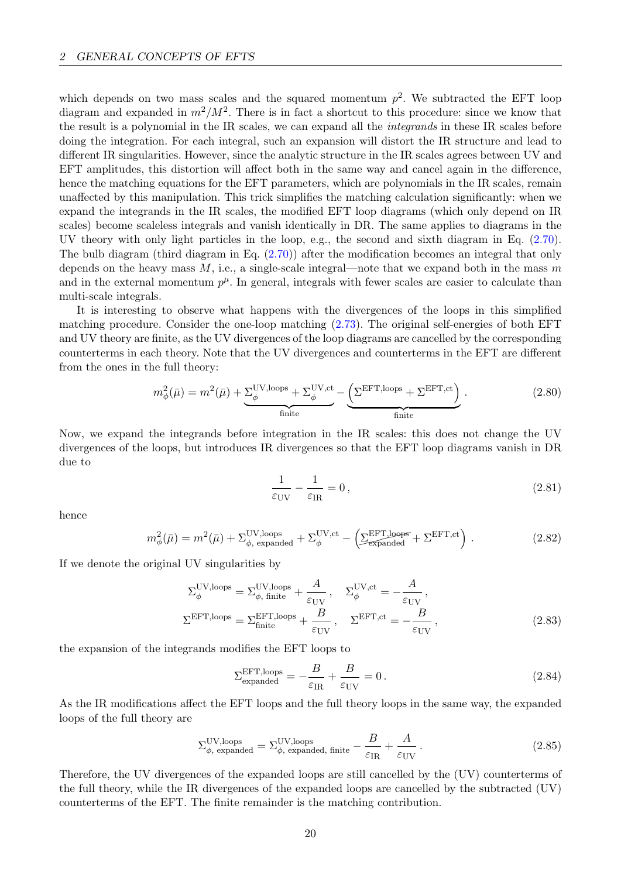which depends on two mass scales and the squared momentum  $p^2$ . We subtracted the EFT loop diagram and expanded in  $m^2/M^2$ . There is in fact a shortcut to this procedure: since we know that the result is a polynomial in the IR scales, we can expand all the integrands in these IR scales before doing the integration. For each integral, such an expansion will distort the IR structure and lead to different IR singularities. However, since the analytic structure in the IR scales agrees between UV and EFT amplitudes, this distortion will affect both in the same way and cancel again in the difference, hence the matching equations for the EFT parameters, which are polynomials in the IR scales, remain unaffected by this manipulation. This trick simplifies the matching calculation significantly: when we expand the integrands in the IR scales, the modified EFT loop diagrams (which only depend on IR scales) become scaleless integrals and vanish identically in DR. The same applies to diagrams in the UV theory with only light particles in the loop, e.g., the second and sixth diagram in Eq. [\(2.70\)](#page-19-3). The bulb diagram (third diagram in Eq. [\(2.70\)](#page-19-3)) after the modification becomes an integral that only depends on the heavy mass  $M$ , i.e., a single-scale integral—note that we expand both in the mass m and in the external momentum  $p^{\mu}$ . In general, integrals with fewer scales are easier to calculate than multi-scale integrals.

It is interesting to observe what happens with the divergences of the loops in this simplified matching procedure. Consider the one-loop matching [\(2.73\)](#page-19-2). The original self-energies of both EFT and UV theory are finite, as the UV divergences of the loop diagrams are cancelled by the corresponding counterterms in each theory. Note that the UV divergences and counterterms in the EFT are different from the ones in the full theory:

$$
m_{\phi}^{2}(\bar{\mu}) = m^{2}(\bar{\mu}) + \underbrace{\Sigma_{\phi}^{\text{UV},\text{loops}} + \Sigma_{\phi}^{\text{UV},\text{ct}}}_{\text{finite}} - \underbrace{\left(\Sigma^{\text{EFT},\text{loops}} + \Sigma^{\text{EFT},\text{ct}}\right)}_{\text{finite}}.
$$
 (2.80)

Now, we expand the integrands before integration in the IR scales: this does not change the UV divergences of the loops, but introduces IR divergences so that the EFT loop diagrams vanish in DR due to

$$
\frac{1}{\varepsilon_{\rm UV}} - \frac{1}{\varepsilon_{\rm IR}} = 0\,,\tag{2.81}
$$

hence

$$
m_{\phi}^{2}(\bar{\mu}) = m^{2}(\bar{\mu}) + \Sigma_{\phi, \text{ expanded}}^{\text{UV,loops}} + \Sigma_{\phi}^{\text{UV,ct}} - \left(\Sigma_{\text{expanded}}^{\text{EFT,loops}} + \Sigma^{\text{EFT,ct}}\right). \tag{2.82}
$$

If we denote the original UV singularities by

$$
\Sigma_{\phi}^{\text{UV,loops}} = \Sigma_{\phi, \text{ finite}}^{\text{UV,loops}} + \frac{A}{\varepsilon_{\text{UV}}}, \quad \Sigma_{\phi}^{\text{UV,ct}} = -\frac{A}{\varepsilon_{\text{UV}}},
$$
\n
$$
\Sigma^{\text{EFT,loops}} = \Sigma_{\text{finite}}^{\text{EFT,loops}} + \frac{B}{\varepsilon_{\text{UV}}}, \quad \Sigma^{\text{EFT,ct}} = -\frac{B}{\varepsilon_{\text{UV}}},
$$
\n(2.83)

the expansion of the integrands modifies the EFT loops to

$$
\Sigma_{\text{expanded}}^{\text{EFT,loops}} = -\frac{B}{\varepsilon_{\text{IR}}} + \frac{B}{\varepsilon_{\text{UV}}} = 0. \tag{2.84}
$$

As the IR modifications affect the EFT loops and the full theory loops in the same way, the expanded loops of the full theory are

$$
\Sigma_{\phi, \text{ expanded}}^{\text{UV,loops}} = \Sigma_{\phi, \text{ expanded, finite}}^{\text{UV,loops}} - \frac{B}{\varepsilon_{\text{IR}}} + \frac{A}{\varepsilon_{\text{UV}}}.
$$
\n(2.85)

Therefore, the UV divergences of the expanded loops are still cancelled by the (UV) counterterms of the full theory, while the IR divergences of the expanded loops are cancelled by the subtracted (UV) counterterms of the EFT. The finite remainder is the matching contribution.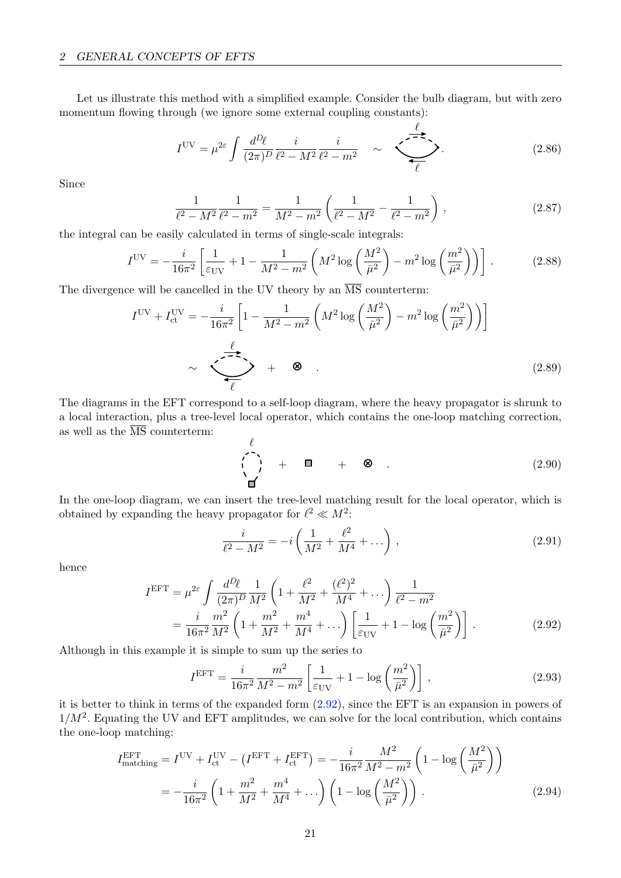Let us illustrate this method with a simplified example. Consider the bulb diagram, but with zero momentum flowing through (we ignore some external coupling constants):

$$
I^{UV} = \mu^{2\varepsilon} \int \frac{d^D \ell}{(2\pi)^D} \frac{i}{\ell^2 - M^2} \frac{i}{\ell^2 - m^2} \quad \sim \quad \underbrace{\qquad \qquad}_{\ell} \qquad (2.86)
$$

 $\ell$ 

Since

$$
\frac{1}{\ell^2 - M^2} \frac{1}{\ell^2 - m^2} = \frac{1}{M^2 - m^2} \left( \frac{1}{\ell^2 - M^2} - \frac{1}{\ell^2 - m^2} \right),
$$
\n(2.87)

the integral can be easily calculated in terms of single-scale integrals:

$$
I^{UV} = -\frac{i}{16\pi^2} \left[ \frac{1}{\varepsilon_{UV}} + 1 - \frac{1}{M^2 - m^2} \left( M^2 \log \left( \frac{M^2}{\bar{\mu}^2} \right) - m^2 \log \left( \frac{m^2}{\bar{\mu}^2} \right) \right) \right].
$$
 (2.88)

The divergence will be cancelled in the UV theory by an  $\overline{\text{MS}}$  counterterm:

$$
I^{\text{UV}} + I_{\text{ct}}^{\text{UV}} = -\frac{i}{16\pi^2} \left[ 1 - \frac{1}{M^2 - m^2} \left( M^2 \log \left( \frac{M^2}{\bar{\mu}^2} \right) - m^2 \log \left( \frac{m^2}{\bar{\mu}^2} \right) \right) \right]
$$
  

$$
\sim \underbrace{\left\langle \frac{\ell}{\ell} \right\rangle}_{\ell} + \otimes . \tag{2.89}
$$

The diagrams in the EFT correspond to a self-loop diagram, where the heavy propagator is shrunk to a local interaction, plus a tree-level local operator, which contains the one-loop matching correction, as well as the  $\overline{\text{MS}}$  counterterm:

$$
\begin{pmatrix} \ell \\ \vdots \\ \ell \end{pmatrix} + \blacksquare + \otimes . \tag{2.90}
$$

In the one-loop diagram, we can insert the tree-level matching result for the local operator, which is obtained by expanding the heavy propagator for  $\ell^2 \ll M^2$ :

<span id="page-22-0"></span>
$$
\frac{i}{\ell^2 - M^2} = -i \left( \frac{1}{M^2} + \frac{\ell^2}{M^4} + \dots \right),
$$
\n(2.91)

hence

$$
I^{\text{EFT}} = \mu^{2\varepsilon} \int \frac{d^D \ell}{(2\pi)^D} \frac{1}{M^2} \left( 1 + \frac{\ell^2}{M^2} + \frac{(\ell^2)^2}{M^4} + \dots \right) \frac{1}{\ell^2 - m^2}
$$
  
= 
$$
\frac{i}{16\pi^2} \frac{m^2}{M^2} \left( 1 + \frac{m^2}{M^2} + \frac{m^4}{M^4} + \dots \right) \left[ \frac{1}{\varepsilon_{\text{UV}}} + 1 - \log \left( \frac{m^2}{\bar{\mu}^2} \right) \right].
$$
 (2.92)

Although in this example it is simple to sum up the series to

$$
I^{\text{EFT}} = \frac{i}{16\pi^2} \frac{m^2}{M^2 - m^2} \left[ \frac{1}{\varepsilon_{\text{UV}}} + 1 - \log \left( \frac{m^2}{\bar{\mu}^2} \right) \right],
$$
 (2.93)

it is better to think in terms of the expanded form [\(2.92\)](#page-22-0), since the EFT is an expansion in powers of  $1/M^2$ . Equating the UV and EFT amplitudes, we can solve for the local contribution, which contains the one-loop matching:

$$
I_{\text{matching}}^{\text{EFT}} = I^{\text{UV}} + I_{\text{ct}}^{\text{UV}} - (I^{\text{EFT}} + I_{\text{ct}}^{\text{EFT}}) = -\frac{i}{16\pi^2} \frac{M^2}{M^2 - m^2} \left( 1 - \log \left( \frac{M^2}{\bar{\mu}^2} \right) \right)
$$
  
= 
$$
-\frac{i}{16\pi^2} \left( 1 + \frac{m^2}{M^2} + \frac{m^4}{M^4} + \dots \right) \left( 1 - \log \left( \frac{M^2}{\bar{\mu}^2} \right) \right).
$$
 (2.94)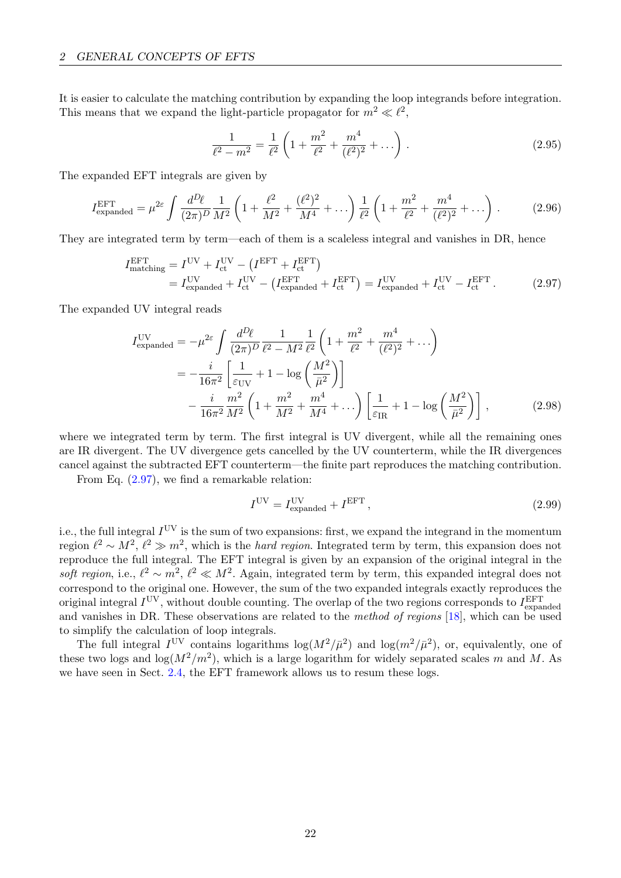It is easier to calculate the matching contribution by expanding the loop integrands before integration. This means that we expand the light-particle propagator for  $m^2 \ll l^2$ ,

<span id="page-23-0"></span>
$$
\frac{1}{\ell^2 - m^2} = \frac{1}{\ell^2} \left( 1 + \frac{m^2}{\ell^2} + \frac{m^4}{(\ell^2)^2} + \dots \right). \tag{2.95}
$$

The expanded EFT integrals are given by

$$
I_{\text{expanded}}^{\text{EFT}} = \mu^{2\varepsilon} \int \frac{d^D \ell}{(2\pi)^D} \frac{1}{M^2} \left( 1 + \frac{\ell^2}{M^2} + \frac{(\ell^2)^2}{M^4} + \dots \right) \frac{1}{\ell^2} \left( 1 + \frac{m^2}{\ell^2} + \frac{m^4}{(\ell^2)^2} + \dots \right) \,. \tag{2.96}
$$

They are integrated term by term—each of them is a scaleless integral and vanishes in DR, hence

$$
I_{\text{matching}}^{\text{EFT}} = I^{\text{UV}} + I_{\text{ct}}^{\text{UV}} - (I^{\text{EFT}} + I_{\text{ct}}^{\text{EFT}})
$$
  
= 
$$
I_{\text{expanded}}^{\text{UV}} + I_{\text{ct}}^{\text{UV}} - (I_{\text{expanded}}^{\text{EFT}} + I_{\text{ct}}^{\text{EFT}}) = I_{\text{expanded}}^{\text{UV}} + I_{\text{ct}}^{\text{UV}} - I_{\text{ct}}^{\text{EFT}}.
$$
 (2.97)

The expanded UV integral reads

$$
I_{\text{expanded}}^{\text{UV}} = -\mu^{2\varepsilon} \int \frac{d^D \ell}{(2\pi)^D} \frac{1}{\ell^2 - M^2} \frac{1}{\ell^2} \left( 1 + \frac{m^2}{\ell^2} + \frac{m^4}{(\ell^2)^2} + \dots \right)
$$
  
= 
$$
-\frac{i}{16\pi^2} \left[ \frac{1}{\varepsilon_{\text{UV}}} + 1 - \log \left( \frac{M^2}{\bar{\mu}^2} \right) \right]
$$

$$
-\frac{i}{16\pi^2} \frac{m^2}{M^2} \left( 1 + \frac{m^2}{M^2} + \frac{m^4}{M^4} + \dots \right) \left[ \frac{1}{\varepsilon_{\text{IR}}} + 1 - \log \left( \frac{M^2}{\bar{\mu}^2} \right) \right],
$$
(2.98)

where we integrated term by term. The first integral is UV divergent, while all the remaining ones are IR divergent. The UV divergence gets cancelled by the UV counterterm, while the IR divergences cancel against the subtracted EFT counterterm—the finite part reproduces the matching contribution.

From Eq. [\(2.97\)](#page-23-0), we find a remarkable relation:

$$
IUV = IexpandedUV + IEFT,
$$
\n(2.99)

i.e., the full integral  $I^{\text{UV}}$  is the sum of two expansions: first, we expand the integrand in the momentum region  $\ell^2 \sim M^2$ ,  $\ell^2 \gg m^2$ , which is the *hard region*. Integrated term by term, this expansion does not reproduce the full integral. The EFT integral is given by an expansion of the original integral in the soft region, i.e.,  $\ell^2 \sim m^2$ ,  $\ell^2 \ll M^2$ . Again, integrated term by term, this expanded integral does not correspond to the original one. However, the sum of the two expanded integrals exactly reproduces the original integral  $I^{\text{UV}}$ , without double counting. The overlap of the two regions corresponds to  $I_{\text{expanded}}^{\text{EFT}}$ and vanishes in DR. These observations are related to the method of regions [\[18\]](#page-68-13), which can be used to simplify the calculation of loop integrals.

The full integral  $I^{\text{UV}}$  contains logarithms  $\log(M^2/\bar{\mu}^2)$  and  $\log(m^2/\bar{\mu}^2)$ , or, equivalently, one of these two logs and  $\log(M^2/m^2)$ , which is a large logarithm for widely separated scales m and M. As we have seen in Sect. [2.4,](#page-13-0) the EFT framework allows us to resum these logs.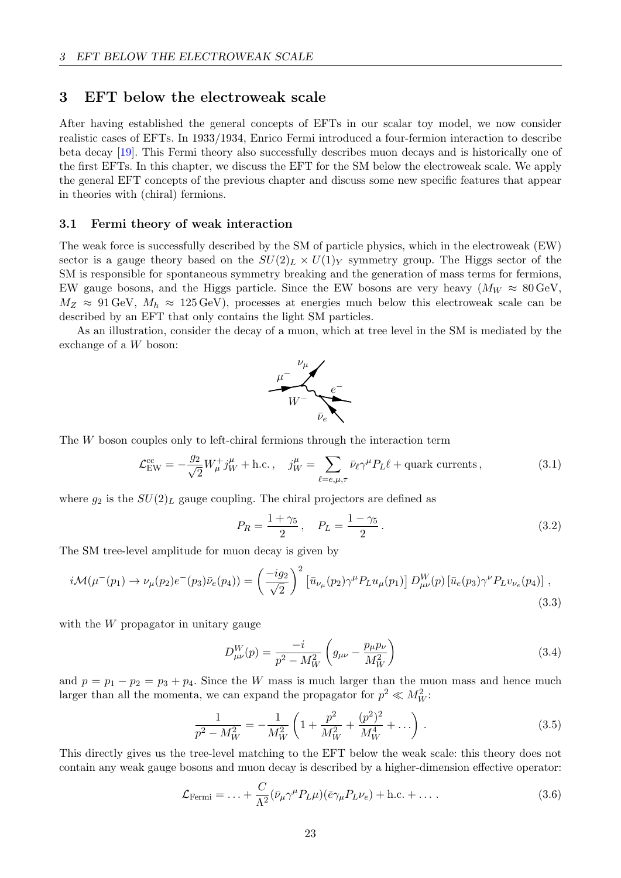## <span id="page-24-0"></span>3 EFT below the electroweak scale

After having established the general concepts of EFTs in our scalar toy model, we now consider realistic cases of EFTs. In 1933/1934, Enrico Fermi introduced a four-fermion interaction to describe beta decay [\[19\]](#page-68-14). This Fermi theory also successfully describes muon decays and is historically one of the first EFTs. In this chapter, we discuss the EFT for the SM below the electroweak scale. We apply the general EFT concepts of the previous chapter and discuss some new specific features that appear in theories with (chiral) fermions.

## <span id="page-24-1"></span>3.1 Fermi theory of weak interaction

The weak force is successfully described by the SM of particle physics, which in the electroweak (EW) sector is a gauge theory based on the  $SU(2)_L \times U(1)_Y$  symmetry group. The Higgs sector of the SM is responsible for spontaneous symmetry breaking and the generation of mass terms for fermions, EW gauge bosons, and the Higgs particle. Since the EW bosons are very heavy  $(M_W \approx 80 \text{ GeV})$ .  $M_Z \approx 91 \text{ GeV}, M_h \approx 125 \text{ GeV}$ , processes at energies much below this electroweak scale can be described by an EFT that only contains the light SM particles.

As an illustration, consider the decay of a muon, which at tree level in the SM is mediated by the exchange of a W boson:



The W boson couples only to left-chiral fermions through the interaction term

$$
\mathcal{L}_{\text{EW}}^{\text{cc}} = -\frac{g_2}{\sqrt{2}} W^+_\mu j_W^\mu + \text{h.c.}, \quad j_W^\mu = \sum_{\ell = e, \mu, \tau} \bar{\nu}_\ell \gamma^\mu P_L \ell + \text{quark currents}, \tag{3.1}
$$

where  $g_2$  is the  $SU(2)_L$  gauge coupling. The chiral projectors are defined as

$$
P_R = \frac{1 + \gamma_5}{2}, \quad P_L = \frac{1 - \gamma_5}{2}.
$$
\n(3.2)

The SM tree-level amplitude for muon decay is given by

$$
i\mathcal{M}(\mu^-(p_1) \to \nu_\mu(p_2)e^-(p_3)\bar{\nu}_e(p_4)) = \left(\frac{-ig_2}{\sqrt{2}}\right)^2 \left[\bar{u}_{\nu_\mu}(p_2)\gamma^\mu P_L u_\mu(p_1)\right] D_{\mu\nu}^W(p) \left[\bar{u}_e(p_3)\gamma^\nu P_L v_{\nu_e}(p_4)\right],\tag{3.3}
$$

with the W propagator in unitary gauge

<span id="page-24-2"></span>
$$
D_{\mu\nu}^{W}(p) = \frac{-i}{p^2 - M_W^2} \left( g_{\mu\nu} - \frac{p_{\mu} p_{\nu}}{M_W^2} \right)
$$
(3.4)

and  $p = p_1 - p_2 = p_3 + p_4$ . Since the W mass is much larger than the muon mass and hence much larger than all the momenta, we can expand the propagator for  $p^2 \ll M_W^2$ :

$$
\frac{1}{p^2 - M_W^2} = -\frac{1}{M_W^2} \left( 1 + \frac{p^2}{M_W^2} + \frac{(p^2)^2}{M_W^4} + \dots \right) . \tag{3.5}
$$

This directly gives us the tree-level matching to the EFT below the weak scale: this theory does not contain any weak gauge bosons and muon decay is described by a higher-dimension effective operator:

$$
\mathcal{L}_{\text{Fermi}} = \dots + \frac{C}{\Lambda^2} (\bar{\nu}_{\mu} \gamma^{\mu} P_L \mu) (\bar{e} \gamma_{\mu} P_L \nu_e) + \text{h.c.} + \dots \tag{3.6}
$$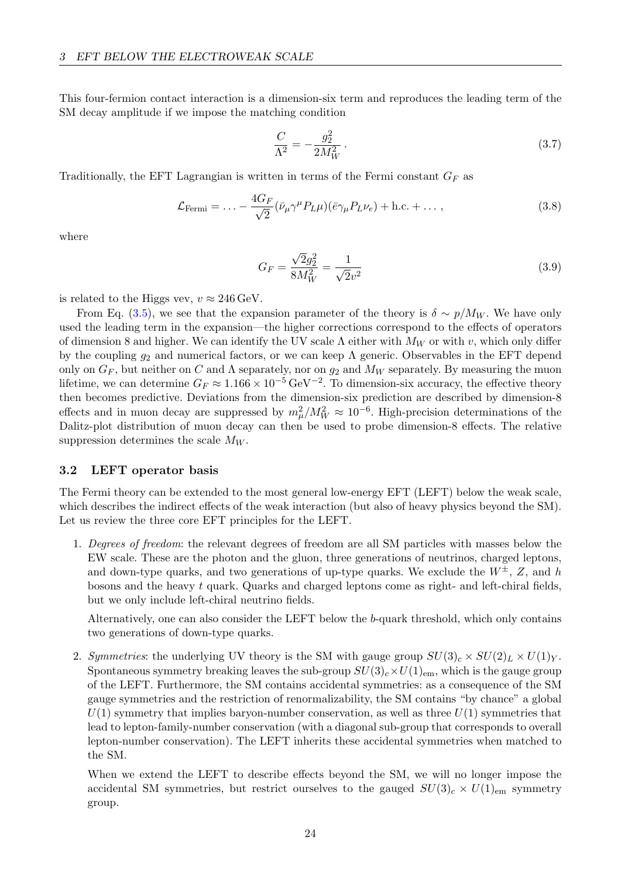This four-fermion contact interaction is a dimension-six term and reproduces the leading term of the SM decay amplitude if we impose the matching condition

<span id="page-25-1"></span>
$$
\frac{C}{\Lambda^2} = -\frac{g_2^2}{2M_W^2} \,. \tag{3.7}
$$

Traditionally, the EFT Lagrangian is written in terms of the Fermi constant  $G_F$  as

$$
\mathcal{L}_{\text{Fermi}} = \dots - \frac{4G_F}{\sqrt{2}} (\bar{\nu}_{\mu} \gamma^{\mu} P_L \mu) (\bar{e} \gamma_{\mu} P_L \nu_e) + \text{h.c.} + \dots , \qquad (3.8)
$$

where

$$
G_F = \frac{\sqrt{2}g_2^2}{8M_W^2} = \frac{1}{\sqrt{2}v^2}
$$
\n(3.9)

is related to the Higgs vev,  $v \approx 246 \,\text{GeV}$ .

From Eq. [\(3.5\)](#page-24-2), we see that the expansion parameter of the theory is  $\delta \sim p/M_W$ . We have only used the leading term in the expansion—the higher corrections correspond to the effects of operators of dimension 8 and higher. We can identify the UV scale  $\Lambda$  either with  $M_W$  or with v, which only differ by the coupling  $g_2$  and numerical factors, or we can keep  $\Lambda$  generic. Observables in the EFT depend only on  $G_F$ , but neither on C and  $\Lambda$  separately, nor on  $g_2$  and  $M_W$  separately. By measuring the muon lifetime, we can determine  $G_F \approx 1.166 \times 10^{-5} \,\text{GeV}^{-2}$ . To dimension-six accuracy, the effective theory then becomes predictive. Deviations from the dimension-six prediction are described by dimension-8 effects and in muon decay are suppressed by  $m_\mu^2/M_W^2 \approx 10^{-6}$ . High-precision determinations of the Dalitz-plot distribution of muon decay can then be used to probe dimension-8 effects. The relative suppression determines the scale  $M_W$ .

#### <span id="page-25-0"></span>3.2 LEFT operator basis

The Fermi theory can be extended to the most general low-energy EFT (LEFT) below the weak scale, which describes the indirect effects of the weak interaction (but also of heavy physics beyond the SM). Let us review the three core EFT principles for the LEFT.

1. Degrees of freedom: the relevant degrees of freedom are all SM particles with masses below the EW scale. These are the photon and the gluon, three generations of neutrinos, charged leptons, and down-type quarks, and two generations of up-type quarks. We exclude the  $W^{\pm}$ , Z, and h bosons and the heavy t quark. Quarks and charged leptons come as right- and left-chiral fields, but we only include left-chiral neutrino fields.

Alternatively, one can also consider the LEFT below the b-quark threshold, which only contains two generations of down-type quarks.

2. Symmetries: the underlying UV theory is the SM with gauge group  $SU(3)_c \times SU(2)_L \times U(1)_Y$ . Spontaneous symmetry breaking leaves the sub-group  $SU(3)_c \times U(1)_{em}$ , which is the gauge group of the LEFT. Furthermore, the SM contains accidental symmetries: as a consequence of the SM gauge symmetries and the restriction of renormalizability, the SM contains "by chance" a global  $U(1)$  symmetry that implies baryon-number conservation, as well as three  $U(1)$  symmetries that lead to lepton-family-number conservation (with a diagonal sub-group that corresponds to overall lepton-number conservation). The LEFT inherits these accidental symmetries when matched to the SM.

When we extend the LEFT to describe effects beyond the SM, we will no longer impose the accidental SM symmetries, but restrict ourselves to the gauged  $SU(3)_c \times U(1)_{em}$  symmetry group.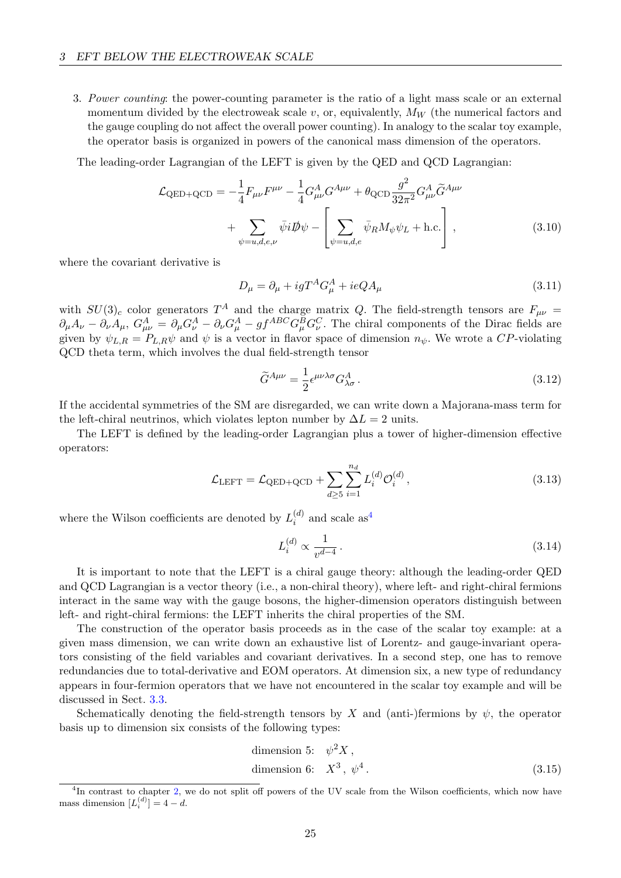3. Power counting: the power-counting parameter is the ratio of a light mass scale or an external momentum divided by the electroweak scale  $v$ , or, equivalently,  $M_W$  (the numerical factors and the gauge coupling do not affect the overall power counting). In analogy to the scalar toy example, the operator basis is organized in powers of the canonical mass dimension of the operators.

The leading-order Lagrangian of the LEFT is given by the QED and QCD Lagrangian:

$$
\mathcal{L}_{\text{QED+QCD}} = -\frac{1}{4} F_{\mu\nu} F^{\mu\nu} - \frac{1}{4} G_{\mu\nu}^A G^{A\mu\nu} + \theta_{\text{QCD}} \frac{g^2}{32\pi^2} G_{\mu\nu}^A \tilde{G}^{A\mu\nu} + \sum_{\psi=u,d,e,\nu} \bar{\psi} i \not{D} \psi - \left[ \sum_{\psi=u,d,e} \bar{\psi}_R M_{\psi} \psi_L + \text{h.c.} \right],
$$
\n(3.10)

where the covariant derivative is

<span id="page-26-1"></span>
$$
D_{\mu} = \partial_{\mu} + igT^{A}G_{\mu}^{A} + ieQA_{\mu}
$$
\n(3.11)

with  $SU(3)_c$  color generators  $T^A$  and the charge matrix Q. The field-strength tensors are  $F_{\mu\nu}$  =  $\partial_\mu A_\nu - \partial_\nu A_\mu$ ,  $G^A_{\mu\nu} = \partial_\mu G^A_\nu - \partial_\nu G^A_\mu - gf^{ABC} G^B_\mu G^C_\nu$ . The chiral components of the Dirac fields are given by  $\psi_{L,R} = P_{L,R} \psi$  and  $\psi$  is a vector in flavor space of dimension  $n_{\psi}$ . We wrote a CP-violating QCD theta term, which involves the dual field-strength tensor

$$
\widetilde{G}^{A\mu\nu} = \frac{1}{2} \epsilon^{\mu\nu\lambda\sigma} G^A_{\lambda\sigma} \,. \tag{3.12}
$$

If the accidental symmetries of the SM are disregarded, we can write down a Majorana-mass term for the left-chiral neutrinos, which violates lepton number by  $\Delta L = 2$  units.

The LEFT is defined by the leading-order Lagrangian plus a tower of higher-dimension effective operators:

$$
\mathcal{L}_{\text{LEFT}} = \mathcal{L}_{\text{QED} + \text{QCD}} + \sum_{d \ge 5} \sum_{i=1}^{n_d} L_i^{(d)} \mathcal{O}_i^{(d)}, \qquad (3.13)
$$

where the Wilson coefficients are denoted by  $L_i^{(d)}$  $i^{(d)}$  and scale as<sup>[4](#page-26-0)</sup>

$$
L_i^{(d)} \propto \frac{1}{v^{d-4}} \,. \tag{3.14}
$$

It is important to note that the LEFT is a chiral gauge theory: although the leading-order QED and QCD Lagrangian is a vector theory (i.e., a non-chiral theory), where left- and right-chiral fermions interact in the same way with the gauge bosons, the higher-dimension operators distinguish between left- and right-chiral fermions: the LEFT inherits the chiral properties of the SM.

The construction of the operator basis proceeds as in the case of the scalar toy example: at a given mass dimension, we can write down an exhaustive list of Lorentz- and gauge-invariant operators consisting of the field variables and covariant derivatives. In a second step, one has to remove redundancies due to total-derivative and EOM operators. At dimension six, a new type of redundancy appears in four-fermion operators that we have not encountered in the scalar toy example and will be discussed in Sect. [3.3.](#page-27-0)

Schematically denoting the field-strength tensors by X and (anti-)fermions by  $\psi$ , the operator basis up to dimension six consists of the following types:

dimension 5: 
$$
\psi^2 X
$$
,  
dimension 6:  $X^3$ ,  $\psi^4$ . (3.15)

<span id="page-26-0"></span><sup>&</sup>lt;sup>4</sup>In contrast to chapter [2,](#page-3-1) we do not split off powers of the UV scale from the Wilson coefficients, which now have mass dimension  $[L_i^{(d)}] = 4 - d$ .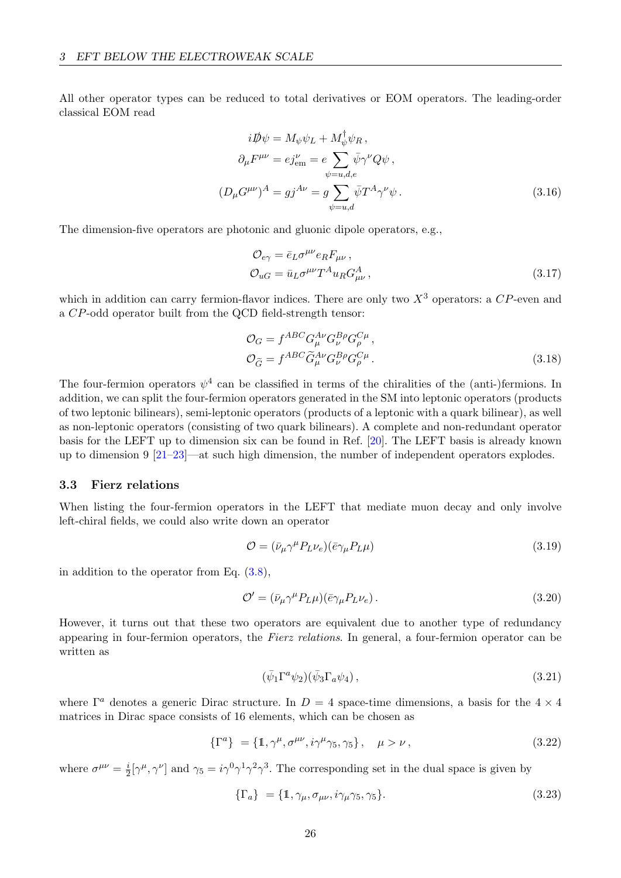All other operator types can be reduced to total derivatives or EOM operators. The leading-order classical EOM read

$$
i\rlap{\,/}D\psi = M_{\psi}\psi_L + M_{\psi}^{\dagger}\psi_R,
$$
  
\n
$$
\partial_{\mu}F^{\mu\nu} = ej^{\nu}_{em} = e \sum_{\psi=u,d,e} \bar{\psi}\gamma^{\nu}Q\psi,
$$
  
\n
$$
(D_{\mu}G^{\mu\nu})^A = gj^{A\nu} = g \sum_{\psi=u,d} \bar{\psi}T^A\gamma^{\nu}\psi.
$$
\n(3.16)

The dimension-five operators are photonic and gluonic dipole operators, e.g.,

$$
\mathcal{O}_{e\gamma} = \bar{e}_L \sigma^{\mu\nu} e_R F_{\mu\nu} ,
$$
  
\n
$$
\mathcal{O}_{uG} = \bar{u}_L \sigma^{\mu\nu} T^A u_R G^A_{\mu\nu} ,
$$
\n(3.17)

which in addition can carry fermion-flavor indices. There are only two  $X<sup>3</sup>$  operators: a  $CP$ -even and a CP-odd operator built from the QCD field-strength tensor:

$$
\mathcal{O}_G = f^{ABC} G^{A\nu}_{\mu} G^{B\rho}_{\nu} G^{C\mu}_{\rho},
$$
\n
$$
\mathcal{O}_{\widetilde{G}} = f^{ABC} \widetilde{G}^{A\nu}_{\mu} G^{B\rho}_{\nu} G^{C\mu}_{\rho}.
$$
\n(3.18)

The four-fermion operators  $\psi^4$  can be classified in terms of the chiralities of the (anti-)fermions. In addition, we can split the four-fermion operators generated in the SM into leptonic operators (products of two leptonic bilinears), semi-leptonic operators (products of a leptonic with a quark bilinear), as well as non-leptonic operators (consisting of two quark bilinears). A complete and non-redundant operator basis for the LEFT up to dimension six can be found in Ref. [\[20\]](#page-68-15). The LEFT basis is already known up to dimension 9 [\[21](#page-68-16)[–23\]](#page-69-0)—at such high dimension, the number of independent operators explodes.

#### <span id="page-27-0"></span>3.3 Fierz relations

When listing the four-fermion operators in the LEFT that mediate muon decay and only involve left-chiral fields, we could also write down an operator

<span id="page-27-1"></span>
$$
\mathcal{O} = (\bar{\nu}_{\mu} \gamma^{\mu} P_L \nu_e)(\bar{e} \gamma_{\mu} P_L \mu)
$$
\n(3.19)

in addition to the operator from Eq. [\(3.8\)](#page-25-1),

$$
\mathcal{O}' = (\bar{\nu}_{\mu} \gamma^{\mu} P_L \mu)(\bar{e} \gamma_{\mu} P_L \nu_e). \tag{3.20}
$$

However, it turns out that these two operators are equivalent due to another type of redundancy appearing in four-fermion operators, the Fierz relations. In general, a four-fermion operator can be written as

<span id="page-27-3"></span><span id="page-27-2"></span>
$$
(\bar{\psi}_1 \Gamma^a \psi_2)(\bar{\psi}_3 \Gamma_a \psi_4), \qquad (3.21)
$$

where  $\Gamma^a$  denotes a generic Dirac structure. In  $D = 4$  space-time dimensions, a basis for the  $4 \times 4$ matrices in Dirac space consists of 16 elements, which can be chosen as

$$
\{\Gamma^a\} = \{1, \gamma^\mu, \sigma^{\mu\nu}, i\gamma^\mu\gamma_5, \gamma_5\}, \quad \mu > \nu,
$$
\n(3.22)

where  $\sigma^{\mu\nu} = \frac{i}{2}$  $\frac{i}{2}[\gamma^{\mu}, \gamma^{\nu}]$  and  $\gamma_5 = i\gamma^0 \gamma^1 \gamma^2 \gamma^3$ . The corresponding set in the dual space is given by

$$
\{\Gamma_a\} = \{\mathbb{1}, \gamma_\mu, \sigma_{\mu\nu}, i\gamma_\mu\gamma_5, \gamma_5\}.
$$
\n(3.23)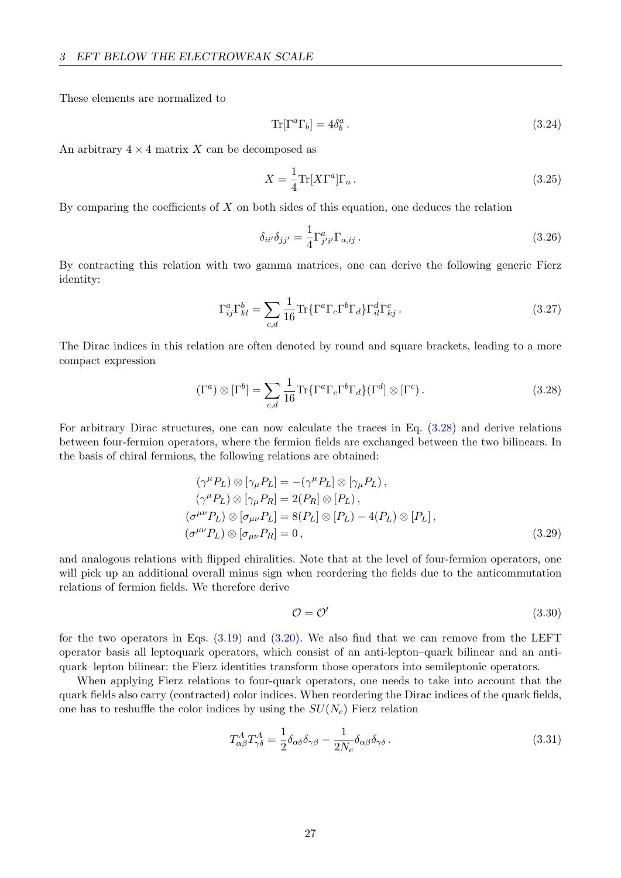These elements are normalized to

$$
\operatorname{Tr}[\Gamma^a \Gamma_b] = 4\delta_b^a. \tag{3.24}
$$

An arbitrary  $4 \times 4$  matrix X can be decomposed as

$$
X = \frac{1}{4} \text{Tr}[X\Gamma^a] \Gamma_a \,. \tag{3.25}
$$

By comparing the coefficients of  $X$  on both sides of this equation, one deduces the relation

<span id="page-28-0"></span>
$$
\delta_{ii'}\delta_{jj'} = \frac{1}{4}\Gamma^a_{j'i'}\Gamma_{a,ij}.
$$
\n(3.26)

By contracting this relation with two gamma matrices, one can derive the following generic Fierz identity:

$$
\Gamma_{ij}^a \Gamma_{kl}^b = \sum_{c,d} \frac{1}{16} \text{Tr} \{ \Gamma^a \Gamma_c \Gamma^b \Gamma_d \} \Gamma_{il}^d \Gamma_{kj}^c \,. \tag{3.27}
$$

The Dirac indices in this relation are often denoted by round and square brackets, leading to a more compact expression

$$
(\Gamma^a) \otimes [\Gamma^b] = \sum_{c,d} \frac{1}{16} \text{Tr} \{ \Gamma^a \Gamma_c \Gamma^b \Gamma_d \} (\Gamma^d) \otimes [\Gamma^c).
$$
 (3.28)

For arbitrary Dirac structures, one can now calculate the traces in Eq. [\(3.28\)](#page-28-0) and derive relations between four-fermion operators, where the fermion fields are exchanged between the two bilinears. In the basis of chiral fermions, the following relations are obtained:

$$
(\gamma^{\mu} P_L) \otimes [\gamma_{\mu} P_L] = -(\gamma^{\mu} P_L] \otimes [\gamma_{\mu} P_L),
$$
  
\n
$$
(\gamma^{\mu} P_L) \otimes [\gamma_{\mu} P_R] = 2(P_R] \otimes [P_L),
$$
  
\n
$$
(\sigma^{\mu\nu} P_L) \otimes [\sigma_{\mu\nu} P_L] = 8(P_L] \otimes [P_L) - 4(P_L) \otimes [P_L],
$$
  
\n
$$
(\sigma^{\mu\nu} P_L) \otimes [\sigma_{\mu\nu} P_R] = 0,
$$
\n(3.29)

and analogous relations with flipped chiralities. Note that at the level of four-fermion operators, one will pick up an additional overall minus sign when reordering the fields due to the anticommutation relations of fermion fields. We therefore derive

<span id="page-28-2"></span><span id="page-28-1"></span>
$$
\mathcal{O} = \mathcal{O}' \tag{3.30}
$$

for the two operators in Eqs.  $(3.19)$  and  $(3.20)$ . We also find that we can remove from the LEFT operator basis all leptoquark operators, which consist of an anti-lepton–quark bilinear and an antiquark–lepton bilinear: the Fierz identities transform those operators into semileptonic operators.

When applying Fierz relations to four-quark operators, one needs to take into account that the quark fields also carry (contracted) color indices. When reordering the Dirac indices of the quark fields, one has to reshuffle the color indices by using the  $SU(N_c)$  Fierz relation

$$
T^{A}_{\alpha\beta}T^{A}_{\gamma\delta} = \frac{1}{2}\delta_{\alpha\delta}\delta_{\gamma\beta} - \frac{1}{2N_c}\delta_{\alpha\beta}\delta_{\gamma\delta}.
$$
\n(3.31)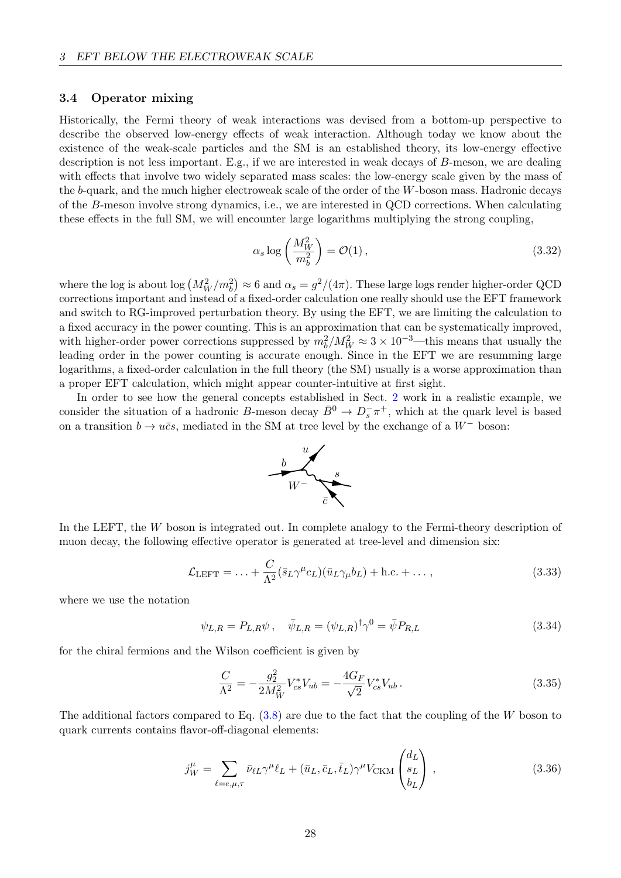#### <span id="page-29-0"></span>3.4 Operator mixing

Historically, the Fermi theory of weak interactions was devised from a bottom-up perspective to describe the observed low-energy effects of weak interaction. Although today we know about the existence of the weak-scale particles and the SM is an established theory, its low-energy effective description is not less important. E.g., if we are interested in weak decays of B-meson, we are dealing with effects that involve two widely separated mass scales: the low-energy scale given by the mass of the b-quark, and the much higher electroweak scale of the order of the W-boson mass. Hadronic decays of the B-meson involve strong dynamics, i.e., we are interested in QCD corrections. When calculating these effects in the full SM, we will encounter large logarithms multiplying the strong coupling,

$$
\alpha_s \log \left( \frac{M_W^2}{m_b^2} \right) = \mathcal{O}(1) \,, \tag{3.32}
$$

where the log is about log  $(M_W^2/m_b^2) \approx 6$  and  $\alpha_s = g^2/(4\pi)$ . These large logs render higher-order QCD corrections important and instead of a fixed-order calculation one really should use the EFT framework and switch to RG-improved perturbation theory. By using the EFT, we are limiting the calculation to a fixed accuracy in the power counting. This is an approximation that can be systematically improved, with higher-order power corrections suppressed by  $m_b^2/M_W^2 \approx 3 \times 10^{-3}$ —this means that usually the leading order in the power counting is accurate enough. Since in the EFT we are resumming large logarithms, a fixed-order calculation in the full theory (the SM) usually is a worse approximation than a proper EFT calculation, which might appear counter-intuitive at first sight.

In order to see how the general concepts established in Sect. [2](#page-3-1) work in a realistic example, we consider the situation of a hadronic B-meson decay  $\bar{B}^0 \to D_s^- \pi^+$ , which at the quark level is based on a transition  $b \to u\bar{c}s$ , mediated in the SM at tree level by the exchange of a W<sup>−</sup> boson:



In the LEFT, the W boson is integrated out. In complete analogy to the Fermi-theory description of muon decay, the following effective operator is generated at tree-level and dimension six:

$$
\mathcal{L}_{\text{LEFT}} = \dots + \frac{C}{\Lambda^2} (\bar{s}_L \gamma^\mu c_L)(\bar{u}_L \gamma_\mu b_L) + \text{h.c.} + \dots , \qquad (3.33)
$$

where we use the notation

$$
\psi_{L,R} = P_{L,R}\psi \,, \quad \bar{\psi}_{L,R} = (\psi_{L,R})^{\dagger} \gamma^0 = \bar{\psi} P_{R,L} \tag{3.34}
$$

for the chiral fermions and the Wilson coefficient is given by

$$
\frac{C}{\Lambda^2} = -\frac{g_2^2}{2M_W^2} V_{cs}^* V_{ub} = -\frac{4G_F}{\sqrt{2}} V_{cs}^* V_{ub} \,. \tag{3.35}
$$

The additional factors compared to Eq. [\(3.8\)](#page-25-1) are due to the fact that the coupling of the W boson to quark currents contains flavor-off-diagonal elements:

$$
j_W^{\mu} = \sum_{\ell = e, \mu, \tau} \bar{\nu}_{\ell L} \gamma^{\mu} \ell_L + (\bar{u}_L, \bar{c}_L, \bar{t}_L) \gamma^{\mu} V_{\text{CKM}} \begin{pmatrix} d_L \\ s_L \\ b_L \end{pmatrix} , \qquad (3.36)
$$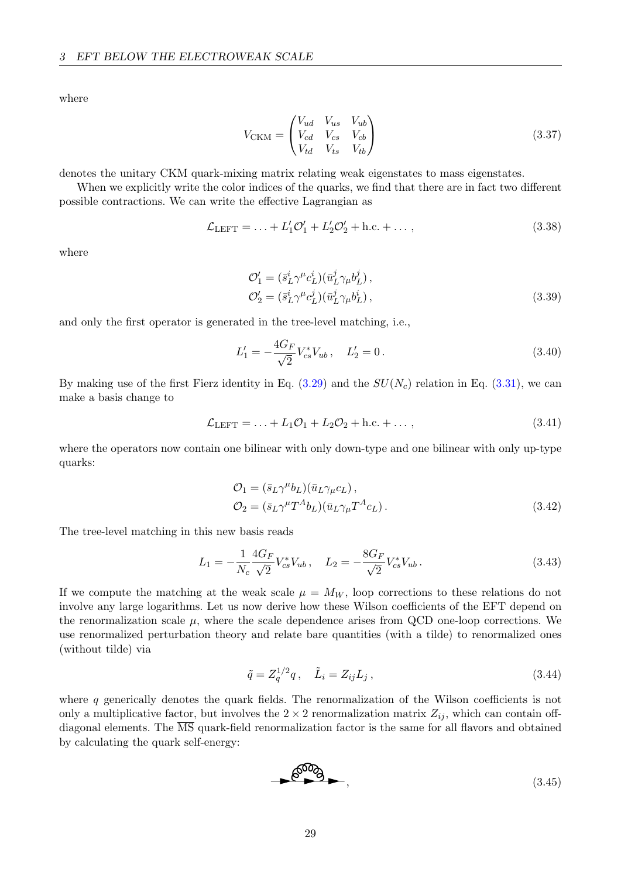where

$$
V_{\text{CKM}} = \begin{pmatrix} V_{ud} & V_{us} & V_{ub} \\ V_{cd} & V_{cs} & V_{cb} \\ V_{td} & V_{ts} & V_{tb} \end{pmatrix}
$$
(3.37)

denotes the unitary CKM quark-mixing matrix relating weak eigenstates to mass eigenstates.

When we explicitly write the color indices of the quarks, we find that there are in fact two different possible contractions. We can write the effective Lagrangian as

$$
\mathcal{L}_{\text{LEFT}} = \ldots + L'_1 \mathcal{O}'_1 + L'_2 \mathcal{O}'_2 + \text{h.c.} + \ldots, \qquad (3.38)
$$

where

$$
\mathcal{O}'_1 = (\bar{s}_L^i \gamma^\mu c_L^i)(\bar{u}_L^j \gamma_\mu b_L^j),
$$
  
\n
$$
\mathcal{O}'_2 = (\bar{s}_L^i \gamma^\mu c_L^j)(\bar{u}_L^j \gamma_\mu b_L^i),
$$
\n(3.39)

and only the first operator is generated in the tree-level matching, i.e.,

$$
L_1' = -\frac{4G_F}{\sqrt{2}} V_{cs}^* V_{ub} \,, \quad L_2' = 0 \,. \tag{3.40}
$$

By making use of the first Fierz identity in Eq.  $(3.29)$  and the  $SU(N_c)$  relation in Eq.  $(3.31)$ , we can make a basis change to

$$
\mathcal{L}_{\text{LEFT}} = \ldots + L_1 \mathcal{O}_1 + L_2 \mathcal{O}_2 + \text{h.c.} + \ldots, \qquad (3.41)
$$

where the operators now contain one bilinear with only down-type and one bilinear with only up-type quarks:

$$
\mathcal{O}_1 = (\bar{s}_L \gamma^\mu b_L)(\bar{u}_L \gamma_\mu c_L),
$$
  
\n
$$
\mathcal{O}_2 = (\bar{s}_L \gamma^\mu T^A b_L)(\bar{u}_L \gamma_\mu T^A c_L).
$$
\n(3.42)

The tree-level matching in this new basis reads

$$
L_1 = -\frac{1}{N_c} \frac{4G_F}{\sqrt{2}} V_{cs}^* V_{ub} \,, \quad L_2 = -\frac{8G_F}{\sqrt{2}} V_{cs}^* V_{ub} \,. \tag{3.43}
$$

If we compute the matching at the weak scale  $\mu = M_W$ , loop corrections to these relations do not involve any large logarithms. Let us now derive how these Wilson coefficients of the EFT depend on the renormalization scale  $\mu$ , where the scale dependence arises from QCD one-loop corrections. We use renormalized perturbation theory and relate bare quantities (with a tilde) to renormalized ones (without tilde) via

$$
\tilde{q} = Z_q^{1/2} q \,, \quad \tilde{L}_i = Z_{ij} L_j \,, \tag{3.44}
$$

where  $q$  generically denotes the quark fields. The renormalization of the Wilson coefficients is not only a multiplicative factor, but involves the  $2 \times 2$  renormalization matrix  $Z_{ij}$ , which can contain offdiagonal elements. The  $\overline{\text{MS}}$  quark-field renormalization factor is the same for all flavors and obtained by calculating the quark self-energy:

$$
\mathcal{O}^{000}
$$
 (3.45)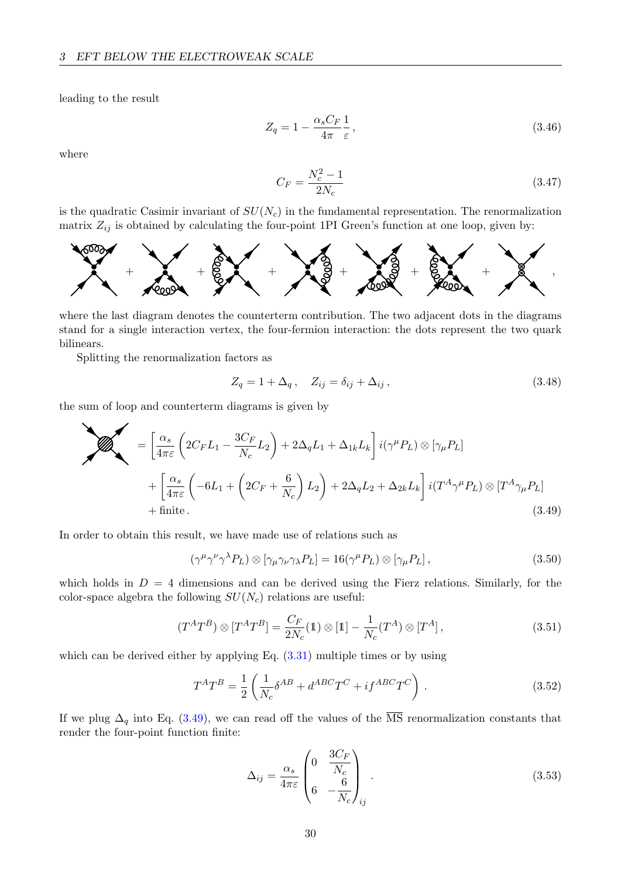leading to the result

$$
Z_q = 1 - \frac{\alpha_s C_F}{4\pi} \frac{1}{\varepsilon},\tag{3.46}
$$

where

$$
C_F = \frac{N_c^2 - 1}{2N_c} \tag{3.47}
$$

is the quadratic Casimir invariant of  $SU(N_c)$  in the fundamental representation. The renormalization matrix  $Z_{ij}$  is obtained by calculating the four-point 1PI Green's function at one loop, given by:



where the last diagram denotes the counterterm contribution. The two adjacent dots in the diagrams stand for a single interaction vertex, the four-fermion interaction: the dots represent the two quark bilinears.

Splitting the renormalization factors as

<span id="page-31-0"></span>
$$
Z_q = 1 + \Delta_q, \quad Z_{ij} = \delta_{ij} + \Delta_{ij}, \tag{3.48}
$$

the sum of loop and counterterm diagrams is given by

$$
\sum_{i=1}^{\infty} \left( 2C_F L_1 - \frac{3C_F}{N_c} L_2 \right) + 2\Delta_q L_1 + \Delta_{1k} L_k \left[ i(\gamma^{\mu} P_L) \otimes [\gamma_{\mu} P_L] + \left[ \frac{\alpha_s}{4\pi \varepsilon} \left( -6L_1 + \left( 2C_F + \frac{6}{N_c} \right) L_2 \right) + 2\Delta_q L_2 + \Delta_{2k} L_k \right] i(T^A \gamma^{\mu} P_L) \otimes [T^A \gamma_{\mu} P_L] + \text{finite.}
$$
\n(3.49)

In order to obtain this result, we have made use of relations such as

<span id="page-31-1"></span>
$$
(\gamma^{\mu}\gamma^{\nu}\gamma^{\lambda}P_L) \otimes [\gamma_{\mu}\gamma_{\nu}\gamma_{\lambda}P_L] = 16(\gamma^{\mu}P_L) \otimes [\gamma_{\mu}P_L], \qquad (3.50)
$$

which holds in  $D = 4$  dimensions and can be derived using the Fierz relations. Similarly, for the color-space algebra the following  $SU(N_c)$  relations are useful:

$$
(T^{A}T^{B}) \otimes [T^{A}T^{B}] = \frac{C_{F}}{2N_{c}}(1) \otimes [1] - \frac{1}{N_{c}}(T^{A}) \otimes [T^{A}], \qquad (3.51)
$$

which can be derived either by applying Eq.  $(3.31)$  multiple times or by using

$$
T^{A}T^{B} = \frac{1}{2} \left( \frac{1}{N_c} \delta^{AB} + d^{ABC}T^{C} + i f^{ABC}T^{C} \right). \tag{3.52}
$$

If we plug  $\Delta_q$  into Eq. [\(3.49\)](#page-31-0), we can read off the values of the  $\overline{\text{MS}}$  renormalization constants that render the four-point function finite:

$$
\Delta_{ij} = \frac{\alpha_s}{4\pi\varepsilon} \begin{pmatrix} 0 & \frac{3C_F}{N_c} \\ 6 & -\frac{6}{N_c} \end{pmatrix}_{ij} .
$$
 (3.53)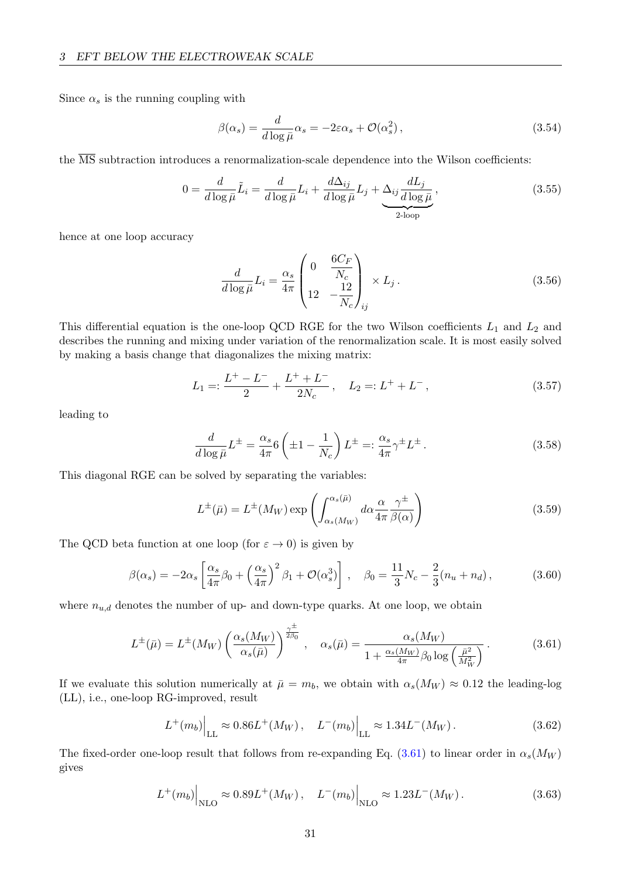Since  $\alpha_s$  is the running coupling with

$$
\beta(\alpha_s) = \frac{d}{d \log \bar{\mu}} \alpha_s = -2\varepsilon \alpha_s + \mathcal{O}(\alpha_s^2), \qquad (3.54)
$$

the  $\overline{\text{MS}}$  subtraction introduces a renormalization-scale dependence into the Wilson coefficients:

$$
0 = \frac{d}{d\log\bar{\mu}}\tilde{L}_i = \frac{d}{d\log\bar{\mu}}L_i + \frac{d\Delta_{ij}}{d\log\bar{\mu}}L_j + \underbrace{\Delta_{ij}\frac{dL_j}{d\log\bar{\mu}}}_{2\text{-loop}},\tag{3.55}
$$

hence at one loop accuracy

$$
\frac{d}{d\log\bar{\mu}}L_i = \frac{\alpha_s}{4\pi} \begin{pmatrix} 0 & \frac{6C_F}{N_c} \\ 12 & -\frac{12}{N_c} \end{pmatrix}_{ij} \times L_j.
$$
\n(3.56)

This differential equation is the one-loop QCD RGE for the two Wilson coefficients  $L_1$  and  $L_2$  and describes the running and mixing under variation of the renormalization scale. It is most easily solved by making a basis change that diagonalizes the mixing matrix:

$$
L_1 =: \frac{L^+ - L^-}{2} + \frac{L^+ + L^-}{2N_c}, \quad L_2 =: L^+ + L^-, \tag{3.57}
$$

leading to

$$
\frac{d}{d\log\bar{\mu}}L^{\pm} = \frac{\alpha_s}{4\pi}6\left(\pm 1 - \frac{1}{N_c}\right)L^{\pm} =: \frac{\alpha_s}{4\pi}\gamma^{\pm}L^{\pm}.
$$
\n(3.58)

This diagonal RGE can be solved by separating the variables:

<span id="page-32-0"></span>
$$
L^{\pm}(\bar{\mu}) = L^{\pm}(M_W) \exp\left(\int_{\alpha_s(M_W)}^{\alpha_s(\bar{\mu})} d\alpha \frac{\alpha}{4\pi} \frac{\gamma^{\pm}}{\beta(\alpha)}\right)
$$
(3.59)

The QCD beta function at one loop (for  $\varepsilon \to 0$ ) is given by

$$
\beta(\alpha_s) = -2\alpha_s \left[ \frac{\alpha_s}{4\pi} \beta_0 + \left( \frac{\alpha_s}{4\pi} \right)^2 \beta_1 + \mathcal{O}(\alpha_s^3) \right], \quad \beta_0 = \frac{11}{3} N_c - \frac{2}{3} (n_u + n_d), \tag{3.60}
$$

where  $n_{u,d}$  denotes the number of up- and down-type quarks. At one loop, we obtain

$$
L^{\pm}(\bar{\mu}) = L^{\pm}(M_W) \left(\frac{\alpha_s(M_W)}{\alpha_s(\bar{\mu})}\right)^{\frac{\gamma^{\pm}}{2\beta_0}}, \quad \alpha_s(\bar{\mu}) = \frac{\alpha_s(M_W)}{1 + \frac{\alpha_s(M_W)}{4\pi} \beta_0 \log\left(\frac{\bar{\mu}^2}{M_W^2}\right)}.
$$
(3.61)

If we evaluate this solution numerically at  $\bar{\mu} = m_b$ , we obtain with  $\alpha_s(M_W) \approx 0.12$  the leading-log (LL), i.e., one-loop RG-improved, result

$$
L^+(m_b)\Big|_{\text{LL}} \approx 0.86L^+(M_W), \quad L^-(m_b)\Big|_{\text{LL}} \approx 1.34L^-(M_W).
$$
 (3.62)

The fixed-order one-loop result that follows from re-expanding Eq. [\(3.61\)](#page-32-0) to linear order in  $\alpha_s(M_W)$ gives

$$
L^+(m_b)\Big|_{\text{NLO}} \approx 0.89L^+(M_W), \quad L^-(m_b)\Big|_{\text{NLO}} \approx 1.23L^-(M_W).
$$
 (3.63)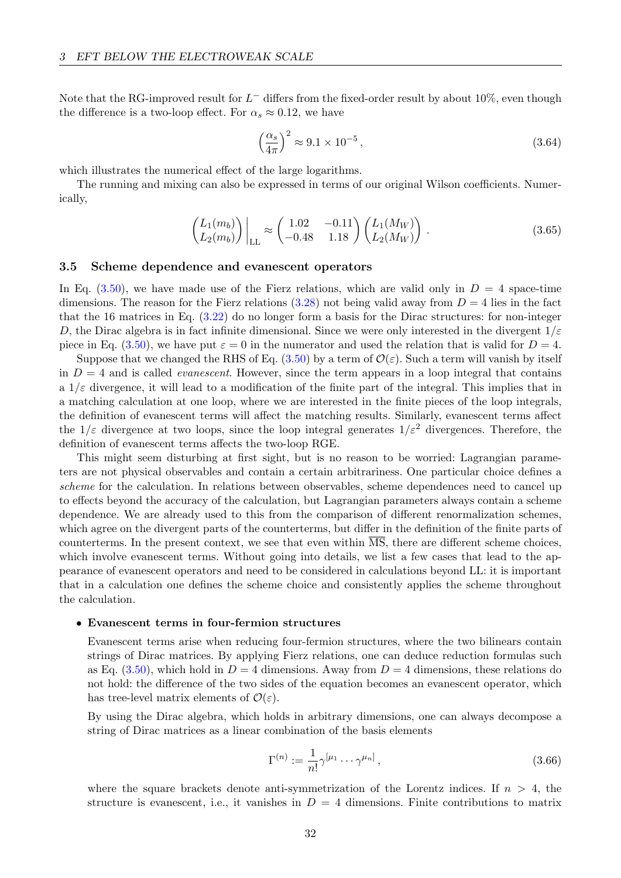Note that the RG-improved result for  $L^-$  differs from the fixed-order result by about 10%, even though the difference is a two-loop effect. For  $\alpha_s \approx 0.12$ , we have

$$
\left(\frac{\alpha_s}{4\pi}\right)^2 \approx 9.1 \times 10^{-5},\tag{3.64}
$$

which illustrates the numerical effect of the large logarithms.

The running and mixing can also be expressed in terms of our original Wilson coefficients. Numerically,

$$
\begin{pmatrix} L_1(m_b) \\ L_2(m_b) \end{pmatrix} \Big|_{LL} \approx \begin{pmatrix} 1.02 & -0.11 \\ -0.48 & 1.18 \end{pmatrix} \begin{pmatrix} L_1(M_W) \\ L_2(M_W) \end{pmatrix} . \tag{3.65}
$$

## <span id="page-33-0"></span>3.5 Scheme dependence and evanescent operators

In Eq.  $(3.50)$ , we have made use of the Fierz relations, which are valid only in  $D = 4$  space-time dimensions. The reason for the Fierz relations  $(3.28)$  not being valid away from  $D = 4$  lies in the fact that the 16 matrices in Eq. [\(3.22\)](#page-27-3) do no longer form a basis for the Dirac structures: for non-integer D, the Dirac algebra is in fact infinite dimensional. Since we were only interested in the divergent  $1/\varepsilon$ piece in Eq. [\(3.50\)](#page-31-1), we have put  $\varepsilon = 0$  in the numerator and used the relation that is valid for  $D = 4$ .

Suppose that we changed the RHS of Eq. [\(3.50\)](#page-31-1) by a term of  $\mathcal{O}(\varepsilon)$ . Such a term will vanish by itself in  $D = 4$  and is called *evanescent*. However, since the term appears in a loop integral that contains a  $1/\varepsilon$  divergence, it will lead to a modification of the finite part of the integral. This implies that in a matching calculation at one loop, where we are interested in the finite pieces of the loop integrals, the definition of evanescent terms will affect the matching results. Similarly, evanescent terms affect the  $1/\varepsilon$  divergence at two loops, since the loop integral generates  $1/\varepsilon^2$  divergences. Therefore, the definition of evanescent terms affects the two-loop RGE.

This might seem disturbing at first sight, but is no reason to be worried: Lagrangian parameters are not physical observables and contain a certain arbitrariness. One particular choice defines a scheme for the calculation. In relations between observables, scheme dependences need to cancel up to effects beyond the accuracy of the calculation, but Lagrangian parameters always contain a scheme dependence. We are already used to this from the comparison of different renormalization schemes, which agree on the divergent parts of the counterterms, but differ in the definition of the finite parts of counterterms. In the present context, we see that even within  $\overline{MS}$ , there are different scheme choices, which involve evanescent terms. Without going into details, we list a few cases that lead to the appearance of evanescent operators and need to be considered in calculations beyond LL: it is important that in a calculation one defines the scheme choice and consistently applies the scheme throughout the calculation.

#### • Evanescent terms in four-fermion structures

Evanescent terms arise when reducing four-fermion structures, where the two bilinears contain strings of Dirac matrices. By applying Fierz relations, one can deduce reduction formulas such as Eq.  $(3.50)$ , which hold in  $D = 4$  dimensions. Away from  $D = 4$  dimensions, these relations do not hold: the difference of the two sides of the equation becomes an evanescent operator, which has tree-level matrix elements of  $\mathcal{O}(\varepsilon)$ .

By using the Dirac algebra, which holds in arbitrary dimensions, one can always decompose a string of Dirac matrices as a linear combination of the basis elements

$$
\Gamma^{(n)} := \frac{1}{n!} \gamma^{\left[\mu_1 \cdots \gamma^{\mu_n}\right]},\tag{3.66}
$$

where the square brackets denote anti-symmetrization of the Lorentz indices. If  $n > 4$ , the structure is evanescent, i.e., it vanishes in  $D = 4$  dimensions. Finite contributions to matrix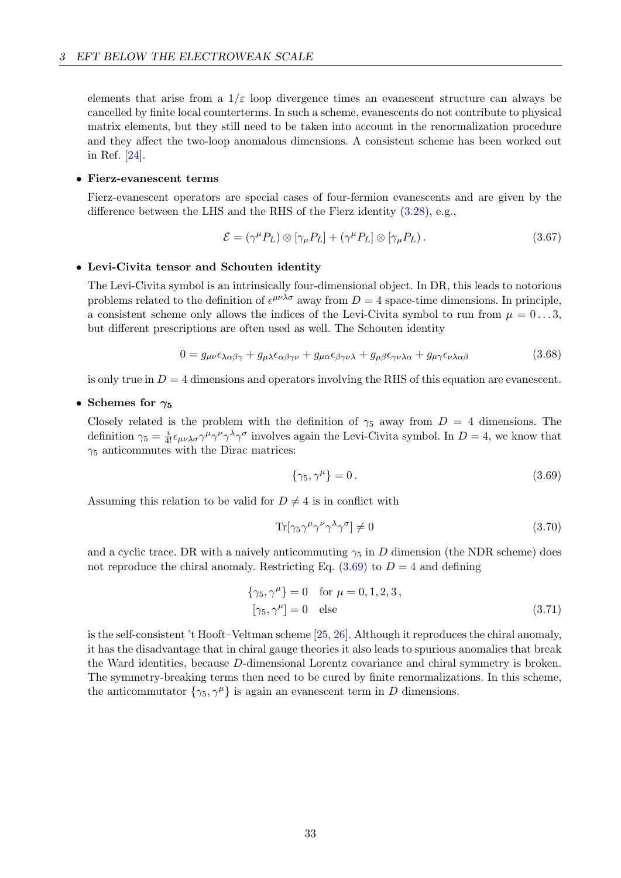elements that arise from a  $1/\varepsilon$  loop divergence times an evanescent structure can always be cancelled by finite local counterterms. In such a scheme, evanescents do not contribute to physical matrix elements, but they still need to be taken into account in the renormalization procedure and they affect the two-loop anomalous dimensions. A consistent scheme has been worked out in Ref. [\[24\]](#page-69-1).

### • Fierz-evanescent terms

Fierz-evanescent operators are special cases of four-fermion evanescents and are given by the difference between the LHS and the RHS of the Fierz identity [\(3.28\)](#page-28-0), e.g.,

$$
\mathcal{E} = (\gamma^{\mu} P_L) \otimes [\gamma_{\mu} P_L] + (\gamma^{\mu} P_L) \otimes [\gamma_{\mu} P_L). \tag{3.67}
$$

#### • Levi-Civita tensor and Schouten identity

The Levi-Civita symbol is an intrinsically four-dimensional object. In DR, this leads to notorious problems related to the definition of  $\epsilon^{\mu\nu\lambda\sigma}$  away from  $D=4$  space-time dimensions. In principle, a consistent scheme only allows the indices of the Levi-Civita symbol to run from  $\mu = 0...3$ , but different prescriptions are often used as well. The Schouten identity

$$
0 = g_{\mu\nu}\epsilon_{\lambda\alpha\beta\gamma} + g_{\mu\lambda}\epsilon_{\alpha\beta\gamma\nu} + g_{\mu\alpha}\epsilon_{\beta\gamma\nu\lambda} + g_{\mu\beta}\epsilon_{\gamma\nu\lambda\alpha} + g_{\mu\gamma}\epsilon_{\nu\lambda\alpha\beta}
$$
(3.68)

is only true in  $D = 4$  dimensions and operators involving the RHS of this equation are evanescent.

## • Schemes for  $\gamma_5$

Closely related is the problem with the definition of  $\gamma_5$  away from  $D = 4$  dimensions. The definition  $\gamma_5 = \frac{i}{4!} \epsilon_{\mu\nu\lambda\sigma} \gamma^{\mu} \gamma^{\nu} \gamma^{\lambda} \gamma^{\sigma}$  involves again the Levi-Civita symbol. In  $D = 4$ , we know that  $\gamma_5$  anticommutes with the Dirac matrices:

<span id="page-34-0"></span>
$$
\{\gamma_5, \gamma^\mu\} = 0. \tag{3.69}
$$

Assuming this relation to be valid for  $D \neq 4$  is in conflict with

$$
\text{Tr}[\gamma_5 \gamma^{\mu} \gamma^{\nu} \gamma^{\lambda} \gamma^{\sigma}] \neq 0 \tag{3.70}
$$

and a cyclic trace. DR with a naively anticommuting  $\gamma_5$  in D dimension (the NDR scheme) does not reproduce the chiral anomaly. Restricting Eq.  $(3.69)$  to  $D = 4$  and defining

$$
\{\gamma_5, \gamma^{\mu}\} = 0 \quad \text{for } \mu = 0, 1, 2, 3, [\gamma_5, \gamma^{\mu}] = 0 \quad \text{else}
$$
 (3.71)

is the self-consistent 't Hooft–Veltman scheme [\[25,](#page-69-2) [26\]](#page-69-3). Although it reproduces the chiral anomaly, it has the disadvantage that in chiral gauge theories it also leads to spurious anomalies that break the Ward identities, because D-dimensional Lorentz covariance and chiral symmetry is broken. The symmetry-breaking terms then need to be cured by finite renormalizations. In this scheme, the anticommutator  $\{\gamma_5, \gamma^\mu\}$  is again an evanescent term in D dimensions.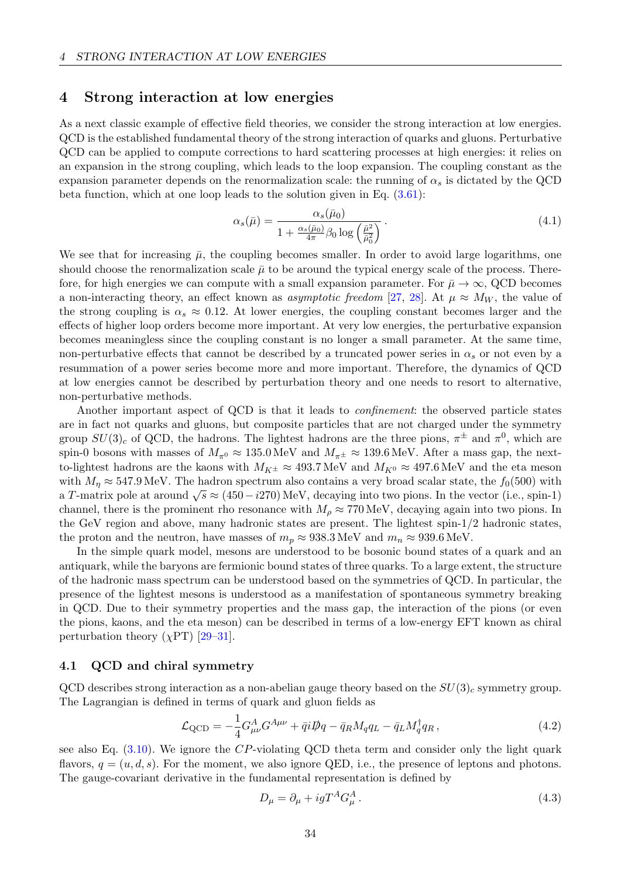## <span id="page-35-0"></span>4 Strong interaction at low energies

As a next classic example of effective field theories, we consider the strong interaction at low energies. QCD is the established fundamental theory of the strong interaction of quarks and gluons. Perturbative QCD can be applied to compute corrections to hard scattering processes at high energies: it relies on an expansion in the strong coupling, which leads to the loop expansion. The coupling constant as the expansion parameter depends on the renormalization scale: the running of  $\alpha_s$  is dictated by the QCD beta function, which at one loop leads to the solution given in Eq. [\(3.61\)](#page-32-0):

$$
\alpha_s(\bar{\mu}) = \frac{\alpha_s(\bar{\mu}_0)}{1 + \frac{\alpha_s(\bar{\mu}_0)}{4\pi} \beta_0 \log\left(\frac{\bar{\mu}^2}{\bar{\mu}_0^2}\right)}.
$$
\n(4.1)

We see that for increasing  $\bar{\mu}$ , the coupling becomes smaller. In order to avoid large logarithms, one should choose the renormalization scale  $\bar{\mu}$  to be around the typical energy scale of the process. Therefore, for high energies we can compute with a small expansion parameter. For  $\bar{\mu} \to \infty$ , QCD becomes a non-interacting theory, an effect known as *asymptotic freedom* [\[27,](#page-69-4) [28\]](#page-69-5). At  $\mu \approx M_W$ , the value of the strong coupling is  $\alpha_s \approx 0.12$ . At lower energies, the coupling constant becomes larger and the effects of higher loop orders become more important. At very low energies, the perturbative expansion becomes meaningless since the coupling constant is no longer a small parameter. At the same time, non-perturbative effects that cannot be described by a truncated power series in  $\alpha_s$  or not even by a resummation of a power series become more and more important. Therefore, the dynamics of QCD at low energies cannot be described by perturbation theory and one needs to resort to alternative, non-perturbative methods.

Another important aspect of QCD is that it leads to confinement: the observed particle states are in fact not quarks and gluons, but composite particles that are not charged under the symmetry group  $SU(3)_c$  of QCD, the hadrons. The lightest hadrons are the three pions,  $\pi^{\pm}$  and  $\pi^0$ , which are spin-0 bosons with masses of  $M_{\pi^0} \approx 135.0 \,\text{MeV}$  and  $M_{\pi^{\pm}} \approx 139.6 \,\text{MeV}$ . After a mass gap, the nextto-lightest hadrons are the kaons with  $M_{K^{\pm}} \approx 493.7 \, \text{MeV}$  and  $M_{K^0} \approx 497.6 \, \text{MeV}$  and the eta meson with  $M_n \approx 547.9 \,\text{MeV}$ . The hadron spectrum also contains a very broad scalar state, the  $f_0(500)$  with a T-matrix pole at around  $\sqrt{s} \approx (450 - i270)$  MeV, decaying into two pions. In the vector (i.e., spin-1) channel, there is the prominent rho resonance with  $M<sub>o</sub> \approx 770 \text{ MeV}$ , decaying again into two pions. In the GeV region and above, many hadronic states are present. The lightest spin-1/2 hadronic states, the proton and the neutron, have masses of  $m_p \approx 938.3 \,\text{MeV}$  and  $m_n \approx 939.6 \,\text{MeV}$ .

In the simple quark model, mesons are understood to be bosonic bound states of a quark and an antiquark, while the baryons are fermionic bound states of three quarks. To a large extent, the structure of the hadronic mass spectrum can be understood based on the symmetries of QCD. In particular, the presence of the lightest mesons is understood as a manifestation of spontaneous symmetry breaking in QCD. Due to their symmetry properties and the mass gap, the interaction of the pions (or even the pions, kaons, and the eta meson) can be described in terms of a low-energy EFT known as chiral perturbation theory  $(\chi PT)$  [\[29–](#page-69-6)[31\]](#page-69-7).

#### <span id="page-35-1"></span>4.1 QCD and chiral symmetry

QCD describes strong interaction as a non-abelian gauge theory based on the  $SU(3)_c$  symmetry group. The Lagrangian is defined in terms of quark and gluon fields as

$$
\mathcal{L}_{\text{QCD}} = -\frac{1}{4} G_{\mu\nu}^A G^{A\mu\nu} + \bar{q} i \rlap{\,/}D q - \bar{q}_R M_q q_L - \bar{q}_L M_q^\dagger q_R \,,\tag{4.2}
$$

see also Eq.  $(3.10)$ . We ignore the CP-violating QCD theta term and consider only the light quark flavors,  $q = (u, d, s)$ . For the moment, we also ignore QED, i.e., the presence of leptons and photons. The gauge-covariant derivative in the fundamental representation is defined by

$$
D_{\mu} = \partial_{\mu} + igT^{A}G_{\mu}^{A}.
$$
\n(4.3)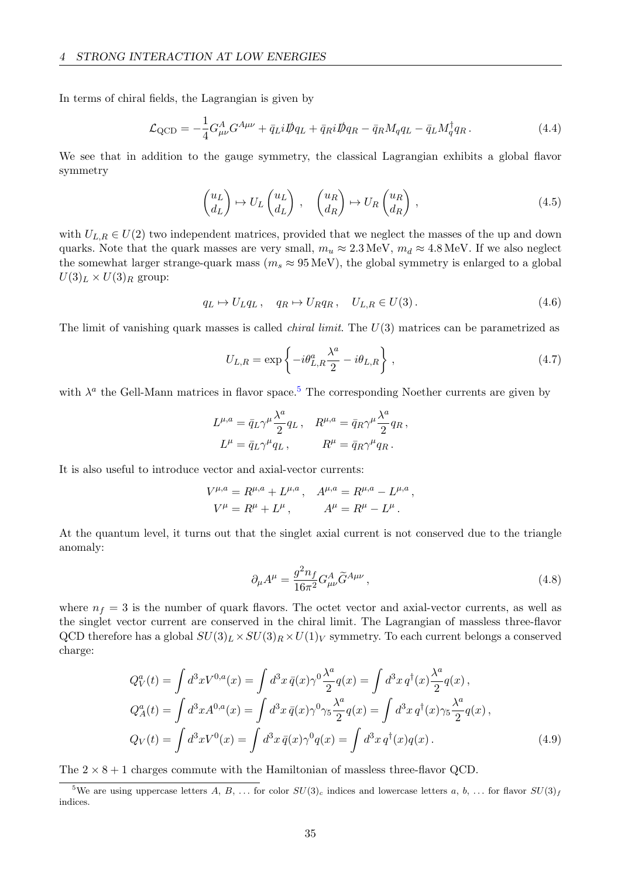In terms of chiral fields, the Lagrangian is given by

$$
\mathcal{L}_{\text{QCD}} = -\frac{1}{4} G^A_{\mu\nu} G^{A\mu\nu} + \bar{q}_L i \rlap{\,/}D q_L + \bar{q}_R i \rlap{\,/}D q_R - \bar{q}_R M_q q_L - \bar{q}_L M_q^\dagger q_R \,. \tag{4.4}
$$

We see that in addition to the gauge symmetry, the classical Lagrangian exhibits a global flavor symmetry

$$
\begin{pmatrix} u_L \\ d_L \end{pmatrix} \mapsto U_L \begin{pmatrix} u_L \\ d_L \end{pmatrix} , \quad \begin{pmatrix} u_R \\ d_R \end{pmatrix} \mapsto U_R \begin{pmatrix} u_R \\ d_R \end{pmatrix} , \tag{4.5}
$$

with  $U_{L,R} \in U(2)$  two independent matrices, provided that we neglect the masses of the up and down quarks. Note that the quark masses are very small,  $m_u \approx 2.3 \,\text{MeV}$ ,  $m_d \approx 4.8 \,\text{MeV}$ . If we also neglect the somewhat larger strange-quark mass ( $m_s \approx 95 \,\text{MeV}$ ), the global symmetry is enlarged to a global  $U(3)_L \times U(3)_R$  group:

$$
q_L \mapsto U_L q_L, \quad q_R \mapsto U_R q_R, \quad U_{L,R} \in U(3). \tag{4.6}
$$

The limit of vanishing quark masses is called *chiral limit*. The  $U(3)$  matrices can be parametrized as

$$
U_{L,R} = \exp\left\{-i\theta_{L,R}^a \frac{\lambda^a}{2} - i\theta_{L,R}\right\},\tag{4.7}
$$

with  $\lambda^a$  the Gell-Mann matrices in flavor space.<sup>[5](#page-36-0)</sup> The corresponding Noether currents are given by

$$
L^{\mu,a} = \bar{q}_L \gamma^{\mu} \frac{\lambda^a}{2} q_L , \quad R^{\mu,a} = \bar{q}_R \gamma^{\mu} \frac{\lambda^a}{2} q_R ,
$$
  

$$
L^{\mu} = \bar{q}_L \gamma^{\mu} q_L , \qquad R^{\mu} = \bar{q}_R \gamma^{\mu} q_R .
$$

It is also useful to introduce vector and axial-vector currents:

$$
V^{\mu,a} = R^{\mu,a} + L^{\mu,a}, \quad A^{\mu,a} = R^{\mu,a} - L^{\mu,a},
$$
  

$$
V^{\mu} = R^{\mu} + L^{\mu}, \qquad A^{\mu} = R^{\mu} - L^{\mu}.
$$

At the quantum level, it turns out that the singlet axial current is not conserved due to the triangle anomaly:

$$
\partial_{\mu}A^{\mu} = \frac{g^2 n_f}{16\pi^2} G^A_{\mu\nu} \tilde{G}^{A\mu\nu} \,, \tag{4.8}
$$

where  $n_f = 3$  is the number of quark flavors. The octet vector and axial-vector currents, as well as the singlet vector current are conserved in the chiral limit. The Lagrangian of massless three-flavor QCD therefore has a global  $SU(3)_L \times SU(3)_R \times U(1)_V$  symmetry. To each current belongs a conserved charge:

$$
Q_V^a(t) = \int d^3x V^{0,a}(x) = \int d^3x \,\bar{q}(x) \gamma^0 \frac{\lambda^a}{2} q(x) = \int d^3x \,q^\dagger(x) \frac{\lambda^a}{2} q(x) ,
$$
  
\n
$$
Q_A^a(t) = \int d^3x A^{0,a}(x) = \int d^3x \,\bar{q}(x) \gamma^0 \gamma_5 \frac{\lambda^a}{2} q(x) = \int d^3x \,q^\dagger(x) \gamma_5 \frac{\lambda^a}{2} q(x) ,
$$
  
\n
$$
Q_V(t) = \int d^3x V^0(x) = \int d^3x \,\bar{q}(x) \gamma^0 q(x) = \int d^3x \,q^\dagger(x) q(x) .
$$
\n(4.9)

The  $2 \times 8 + 1$  charges commute with the Hamiltonian of massless three-flavor QCD.

<span id="page-36-0"></span><sup>&</sup>lt;sup>5</sup>We are using uppercase letters A, B, ... for color  $SU(3)_c$  indices and lowercase letters a, b, ... for flavor  $SU(3)_f$ indices.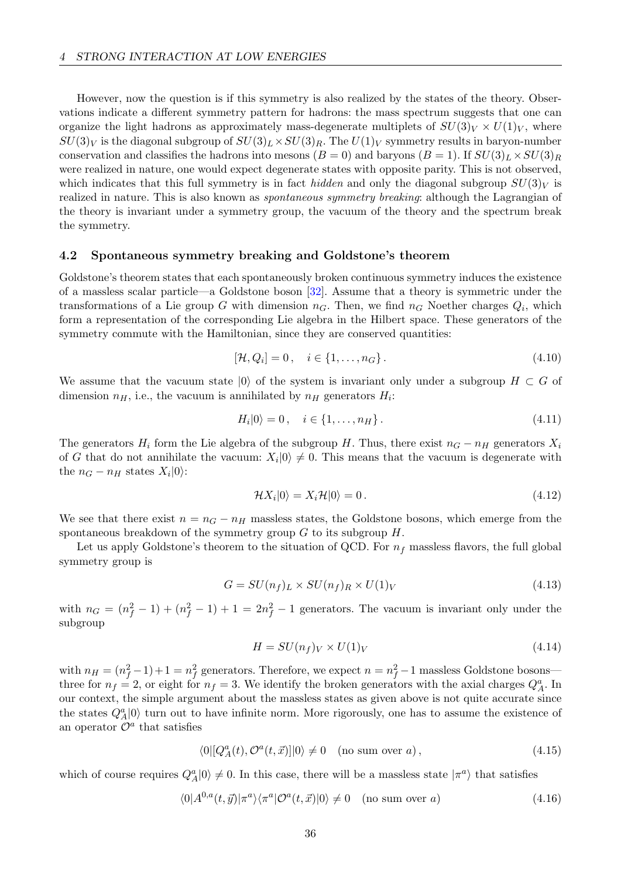However, now the question is if this symmetry is also realized by the states of the theory. Observations indicate a different symmetry pattern for hadrons: the mass spectrum suggests that one can organize the light hadrons as approximately mass-degenerate multiplets of  $SU(3)_V \times U(1)_V$ , where  $SU(3)_V$  is the diagonal subgroup of  $SU(3)_L \times SU(3)_R$ . The  $U(1)_V$  symmetry results in baryon-number conservation and classifies the hadrons into mesons  $(B = 0)$  and baryons  $(B = 1)$ . If  $SU(3)_L \times SU(3)_R$ were realized in nature, one would expect degenerate states with opposite parity. This is not observed, which indicates that this full symmetry is in fact *hidden* and only the diagonal subgroup  $SU(3)<sub>V</sub>$  is realized in nature. This is also known as spontaneous symmetry breaking: although the Lagrangian of the theory is invariant under a symmetry group, the vacuum of the theory and the spectrum break the symmetry.

#### 4.2 Spontaneous symmetry breaking and Goldstone's theorem

Goldstone's theorem states that each spontaneously broken continuous symmetry induces the existence of a massless scalar particle—a Goldstone boson [\[32\]](#page-69-0). Assume that a theory is symmetric under the transformations of a Lie group G with dimension  $n_G$ . Then, we find  $n_G$  Noether charges  $Q_i$ , which form a representation of the corresponding Lie algebra in the Hilbert space. These generators of the symmetry commute with the Hamiltonian, since they are conserved quantities:

$$
[\mathcal{H}, Q_i] = 0, \quad i \in \{1, \dots, n_G\}.
$$
\n(4.10)

We assume that the vacuum state  $|0\rangle$  of the system is invariant only under a subgroup  $H \subset G$  of dimension  $n_H$ , i.e., the vacuum is annihilated by  $n_H$  generators  $H_i$ :

$$
H_i|0\rangle = 0, \quad i \in \{1, \dots, n_H\}.
$$
\n(4.11)

The generators  $H_i$  form the Lie algebra of the subgroup H. Thus, there exist  $n_G - n_H$  generators  $X_i$ of G that do not annihilate the vacuum:  $X_i|0\rangle \neq 0$ . This means that the vacuum is degenerate with the  $n_G - n_H$  states  $X_i|0\rangle$ :

$$
\mathcal{H}X_i|0\rangle = X_i \mathcal{H}|0\rangle = 0.
$$
\n(4.12)

We see that there exist  $n = n<sub>G</sub> - n<sub>H</sub>$  massless states, the Goldstone bosons, which emerge from the spontaneous breakdown of the symmetry group  $G$  to its subgroup  $H$ .

Let us apply Goldstone's theorem to the situation of QCD. For  $n_f$  massless flavors, the full global symmetry group is

$$
G = SU(n_f)_L \times SU(n_f)_R \times U(1)_V
$$
\n(4.13)

with  $n_G = (n_f^2 - 1) + (n_f^2 - 1) + 1 = 2n_f^2 - 1$  generators. The vacuum is invariant only under the subgroup

$$
H = SU(n_f)_V \times U(1)_V \tag{4.14}
$$

with  $n_H = (n_f^2 - 1) + 1 = n_f^2$  generators. Therefore, we expect  $n = n_f^2 - 1$  massless Goldstone bosons three for  $n_f = 2$ , or eight for  $n_f = 3$ . We identify the broken generators with the axial charges  $Q_A^a$ . In our context, the simple argument about the massless states as given above is not quite accurate since the states  $Q_A^a|0\rangle$  turn out to have infinite norm. More rigorously, one has to assume the existence of an operator  $\mathcal{O}^a$  that satisfies

$$
\langle 0|[Q_A^a(t), \mathcal{O}^a(t, \vec{x})]|0\rangle \neq 0 \quad \text{(no sum over } a),\tag{4.15}
$$

which of course requires  $Q_A^a|0\rangle \neq 0$ . In this case, there will be a massless state  $|\pi^a\rangle$  that satisfies

$$
\langle 0|A^{0,a}(t,\vec{y})|\pi^a\rangle\langle\pi^a|\mathcal{O}^a(t,\vec{x})|0\rangle \neq 0 \quad \text{(no sum over } a\text{)}
$$
\n
$$
(4.16)
$$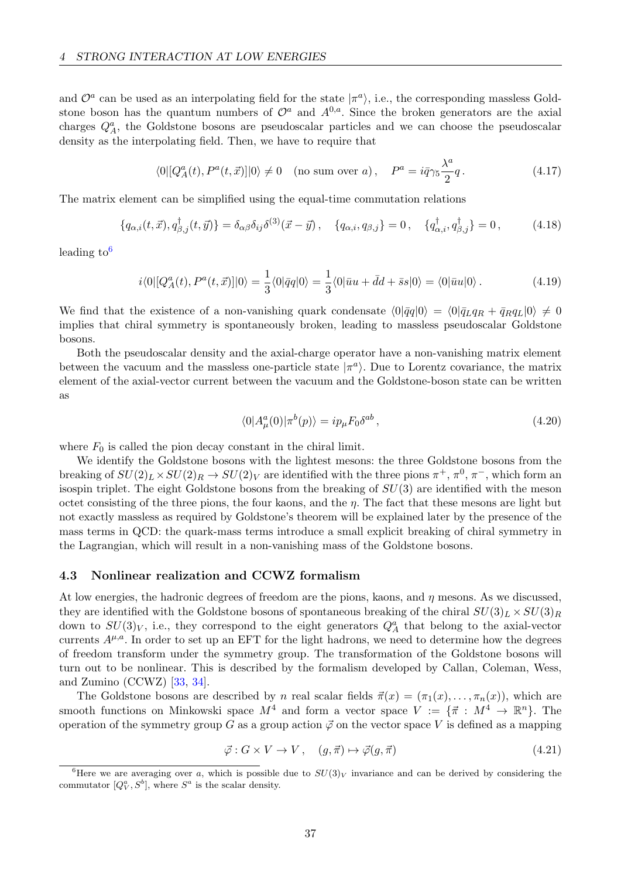and  $\mathcal{O}^a$  can be used as an interpolating field for the state  $|\pi^a\rangle$ , i.e., the corresponding massless Goldstone boson has the quantum numbers of  $\mathcal{O}^a$  and  $A^{0,a}$ . Since the broken generators are the axial charges  $Q_A^a$ , the Goldstone bosons are pseudoscalar particles and we can choose the pseudoscalar density as the interpolating field. Then, we have to require that

$$
\langle 0|[Q_A^a(t), P^a(t, \vec{x})]|0\rangle \neq 0 \quad \text{(no sum over } a), \quad P^a = i\bar{q}\gamma_5 \frac{\lambda^a}{2}q \,. \tag{4.17}
$$

The matrix element can be simplified using the equal-time commutation relations

$$
\{q_{\alpha,i}(t,\vec{x}), q_{\beta,j}^{\dagger}(t,\vec{y})\} = \delta_{\alpha\beta}\delta_{ij}\delta^{(3)}(\vec{x}-\vec{y}), \quad \{q_{\alpha,i}, q_{\beta,j}\} = 0, \quad \{q_{\alpha,i}^{\dagger}, q_{\beta,j}^{\dagger}\} = 0, \tag{4.18}
$$

leading to  $6$ 

$$
i\langle 0|[Q_A^a(t),P^a(t,\vec{x})]|0\rangle = \frac{1}{3}\langle 0|\bar{q}q|0\rangle = \frac{1}{3}\langle 0|\bar{u}u + \bar{d}d + \bar{s}s|0\rangle = \langle 0|\bar{u}u|0\rangle. \tag{4.19}
$$

We find that the existence of a non-vanishing quark condensate  $\langle 0|\bar{q}q|0\rangle = \langle 0|\bar{q}_Lq_R + \bar{q}_Rq_L|0\rangle \neq 0$ implies that chiral symmetry is spontaneously broken, leading to massless pseudoscalar Goldstone bosons.

Both the pseudoscalar density and the axial-charge operator have a non-vanishing matrix element between the vacuum and the massless one-particle state  $|\pi^a\rangle$ . Due to Lorentz covariance, the matrix element of the axial-vector current between the vacuum and the Goldstone-boson state can be written as

<span id="page-38-2"></span><span id="page-38-1"></span>
$$
\langle 0|A^a_\mu(0)|\pi^b(p)\rangle = ip_\mu F_0 \delta^{ab} ,\qquad (4.20)
$$

where  $F_0$  is called the pion decay constant in the chiral limit.

We identify the Goldstone bosons with the lightest mesons: the three Goldstone bosons from the breaking of  $SU(2)_L \times SU(2)_R \to SU(2)_V$  are identified with the three pions  $\pi^+$ ,  $\pi^0$ ,  $\pi^-$ , which form an isospin triplet. The eight Goldstone bosons from the breaking of  $SU(3)$  are identified with the meson octet consisting of the three pions, the four kaons, and the  $\eta$ . The fact that these mesons are light but not exactly massless as required by Goldstone's theorem will be explained later by the presence of the mass terms in QCD: the quark-mass terms introduce a small explicit breaking of chiral symmetry in the Lagrangian, which will result in a non-vanishing mass of the Goldstone bosons.

#### 4.3 Nonlinear realization and CCWZ formalism

At low energies, the hadronic degrees of freedom are the pions, kaons, and  $\eta$  mesons. As we discussed, they are identified with the Goldstone bosons of spontaneous breaking of the chiral  $SU(3)_L \times SU(3)_R$ down to  $SU(3)_V$ , i.e., they correspond to the eight generators  $Q_A^a$  that belong to the axial-vector currents  $A^{\mu,a}$ . In order to set up an EFT for the light hadrons, we need to determine how the degrees of freedom transform under the symmetry group. The transformation of the Goldstone bosons will turn out to be nonlinear. This is described by the formalism developed by Callan, Coleman, Wess, and Zumino (CCWZ) [\[33,](#page-69-1) [34\]](#page-69-2).

The Goldstone bosons are described by n real scalar fields  $\vec{\pi}(x) = (\pi_1(x), \ldots, \pi_n(x))$ , which are smooth functions on Minkowski space  $M^4$  and form a vector space  $V := \{\vec{\pi} : M^4 \to \mathbb{R}^n\}$ . The operation of the symmetry group G as a group action  $\vec{\varphi}$  on the vector space V is defined as a mapping

$$
\vec{\varphi}: G \times V \to V, \quad (g, \vec{\pi}) \mapsto \vec{\varphi}(g, \vec{\pi}) \tag{4.21}
$$

<span id="page-38-0"></span><sup>&</sup>lt;sup>6</sup>Here we are averaging over a, which is possible due to  $SU(3)_V$  invariance and can be derived by considering the commutator  $[Q_V^a, S^b]$ , where  $S^a$  is the scalar density.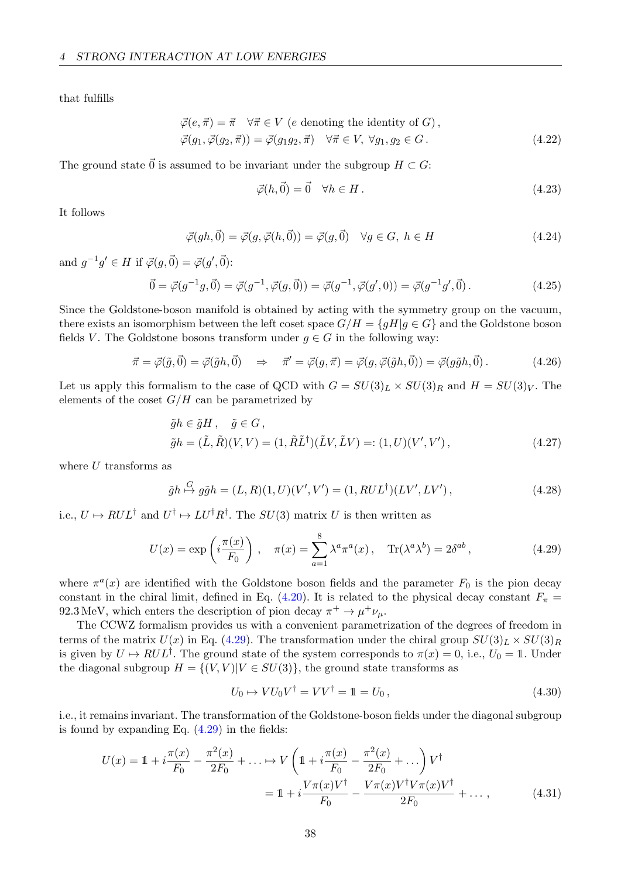that fulfills

$$
\vec{\varphi}(e, \vec{\pi}) = \vec{\pi} \quad \forall \vec{\pi} \in V \text{ (}e \text{ denoting the identity of } G\text{)},
$$
  

$$
\vec{\varphi}(g_1, \vec{\varphi}(g_2, \vec{\pi})) = \vec{\varphi}(g_1 g_2, \vec{\pi}) \quad \forall \vec{\pi} \in V, \forall g_1, g_2 \in G.
$$
 (4.22)

The ground state  $\vec{0}$  is assumed to be invariant under the subgroup  $H \subset G$ :

$$
\vec{\varphi}(h,\vec{0}) = \vec{0} \quad \forall h \in H. \tag{4.23}
$$

It follows

$$
\vec{\varphi}(gh, \vec{0}) = \vec{\varphi}(g, \vec{\varphi}(h, \vec{0})) = \vec{\varphi}(g, \vec{0}) \quad \forall g \in G, \ h \in H \tag{4.24}
$$

and  $g^{-1}g' \in H$  if  $\vec{\varphi}(g, \vec{0}) = \vec{\varphi}(g', \vec{0})$ :

$$
\vec{0} = \vec{\varphi}(g^{-1}g, \vec{0}) = \vec{\varphi}(g^{-1}, \vec{\varphi}(g, \vec{0})) = \vec{\varphi}(g^{-1}, \vec{\varphi}(g', 0)) = \vec{\varphi}(g^{-1}g', \vec{0}). \tag{4.25}
$$

Since the Goldstone-boson manifold is obtained by acting with the symmetry group on the vacuum, there exists an isomorphism between the left coset space  $G/H = \{gH | g \in G\}$  and the Goldstone boson fields V. The Goldstone bosons transform under  $g \in G$  in the following way:

$$
\vec{\pi} = \vec{\varphi}(\tilde{g}, \vec{0}) = \vec{\varphi}(\tilde{g}h, \vec{0}) \quad \Rightarrow \quad \vec{\pi}' = \vec{\varphi}(g, \vec{\pi}) = \vec{\varphi}(g, \vec{\varphi}(\tilde{g}h, \vec{0})) = \vec{\varphi}(g\tilde{g}h, \vec{0}). \tag{4.26}
$$

Let us apply this formalism to the case of QCD with  $G = SU(3)_L \times SU(3)_R$  and  $H = SU(3)_V$ . The elements of the coset  $G/H$  can be parametrized by

$$
\tilde{g}h \in \tilde{g}H, \quad \tilde{g} \in G,
$$
  

$$
\tilde{g}h = (\tilde{L}, \tilde{R})(V, V) = (1, \tilde{R}\tilde{L}^{\dagger})(\tilde{L}V, \tilde{L}V) =: (1, U)(V', V'),
$$
\n(4.27)

where  $U$  transforms as

$$
\tilde{g}h \stackrel{G}{\mapsto} g\tilde{g}h = (L,R)(1,U)(V',V') = (1, RUL^{\dagger})(LV', LV'),
$$
\n(4.28)

i.e.,  $U \mapsto RUL^{\dagger}$  and  $U^{\dagger} \mapsto LU^{\dagger}R^{\dagger}$ . The  $SU(3)$  matrix U is then written as

$$
U(x) = \exp\left(i\frac{\pi(x)}{F_0}\right), \quad \pi(x) = \sum_{a=1}^8 \lambda^a \pi^a(x), \quad \text{Tr}(\lambda^a \lambda^b) = 2\delta^{ab},\tag{4.29}
$$

where  $\pi^a(x)$  are identified with the Goldstone boson fields and the parameter  $F_0$  is the pion decay constant in the chiral limit, defined in Eq. [\(4.20\)](#page-38-1). It is related to the physical decay constant  $F_{\pi}$  = 92.3 MeV, which enters the description of pion decay  $\pi^+ \to \mu^+ \nu_\mu$ .

The CCWZ formalism provides us with a convenient parametrization of the degrees of freedom in terms of the matrix  $U(x)$  in Eq. [\(4.29\)](#page-39-0). The transformation under the chiral group  $SU(3)_L \times SU(3)_R$ is given by  $U \mapsto RUL^{\dagger}$ . The ground state of the system corresponds to  $\pi(x) = 0$ , i.e.,  $U_0 = \mathbb{1}$ . Under the diagonal subgroup  $H = \{(V, V)| V \in SU(3)\}\)$ , the ground state transforms as

<span id="page-39-0"></span>
$$
U_0 \mapsto VU_0V^{\dagger} = VV^{\dagger} = \mathbb{1} = U_0, \qquad (4.30)
$$

i.e., it remains invariant. The transformation of the Goldstone-boson fields under the diagonal subgroup is found by expanding Eq.  $(4.29)$  in the fields:

$$
U(x) = 1 + i \frac{\pi(x)}{F_0} - \frac{\pi^2(x)}{2F_0} + \dots \mapsto V\left(1 + i \frac{\pi(x)}{F_0} - \frac{\pi^2(x)}{2F_0} + \dots\right) V^{\dagger}
$$
  
= 
$$
1 + i \frac{V\pi(x)V^{\dagger}}{F_0} - \frac{V\pi(x)V^{\dagger}V\pi(x)V^{\dagger}}{2F_0} + \dots,
$$
 (4.31)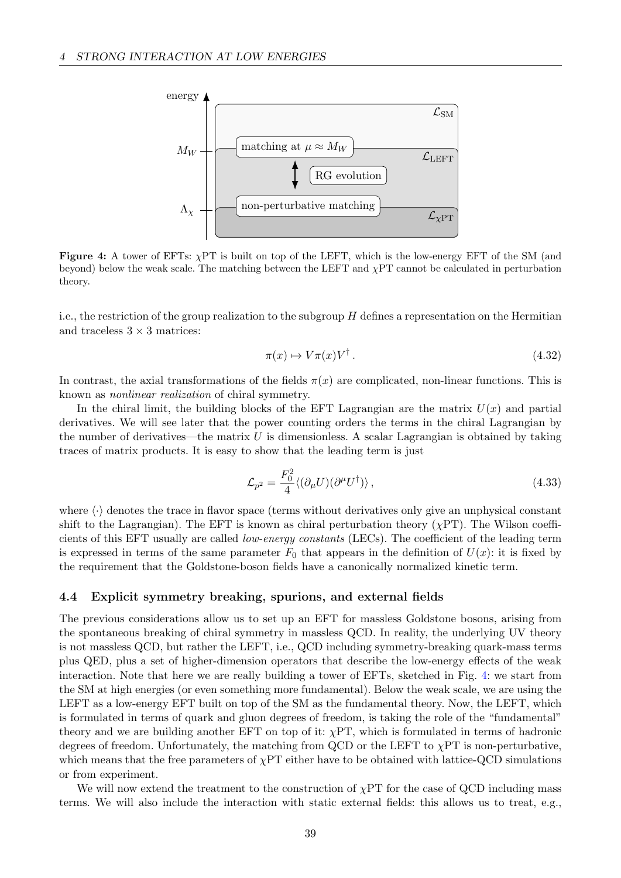<span id="page-40-0"></span>

Figure 4: A tower of EFTs:  $\chi$ PT is built on top of the LEFT, which is the low-energy EFT of the SM (and beyond) below the weak scale. The matching between the LEFT and  $\chi PT$  cannot be calculated in perturbation theory.

i.e., the restriction of the group realization to the subgroup  $H$  defines a representation on the Hermitian and traceless  $3 \times 3$  matrices:

$$
\pi(x) \mapsto V\pi(x)V^{\dagger} \,. \tag{4.32}
$$

In contrast, the axial transformations of the fields  $\pi(x)$  are complicated, non-linear functions. This is known as nonlinear realization of chiral symmetry.

In the chiral limit, the building blocks of the EFT Lagrangian are the matrix  $U(x)$  and partial derivatives. We will see later that the power counting orders the terms in the chiral Lagrangian by the number of derivatives—the matrix  $U$  is dimensionless. A scalar Lagrangian is obtained by taking traces of matrix products. It is easy to show that the leading term is just

$$
\mathcal{L}_{p^2} = \frac{F_0^2}{4} \langle (\partial_\mu U)(\partial^\mu U^\dagger) \rangle \,, \tag{4.33}
$$

where  $\langle \cdot \rangle$  denotes the trace in flavor space (terms without derivatives only give an unphysical constant shift to the Lagrangian). The EFT is known as chiral perturbation theory  $(\chi PT)$ . The Wilson coefficients of this EFT usually are called low-energy constants (LECs). The coefficient of the leading term is expressed in terms of the same parameter  $F_0$  that appears in the definition of  $U(x)$ : it is fixed by the requirement that the Goldstone-boson fields have a canonically normalized kinetic term.

### 4.4 Explicit symmetry breaking, spurions, and external fields

The previous considerations allow us to set up an EFT for massless Goldstone bosons, arising from the spontaneous breaking of chiral symmetry in massless QCD. In reality, the underlying UV theory is not massless QCD, but rather the LEFT, i.e., QCD including symmetry-breaking quark-mass terms plus QED, plus a set of higher-dimension operators that describe the low-energy effects of the weak interaction. Note that here we are really building a tower of EFTs, sketched in Fig. [4:](#page-40-0) we start from the SM at high energies (or even something more fundamental). Below the weak scale, we are using the LEFT as a low-energy EFT built on top of the SM as the fundamental theory. Now, the LEFT, which is formulated in terms of quark and gluon degrees of freedom, is taking the role of the "fundamental" theory and we are building another EFT on top of it:  $\chi PT$ , which is formulated in terms of hadronic degrees of freedom. Unfortunately, the matching from QCD or the LEFT to χPT is non-perturbative, which means that the free parameters of  $\chi$ PT either have to be obtained with lattice-QCD simulations or from experiment.

We will now extend the treatment to the construction of  $\chi PT$  for the case of QCD including mass terms. We will also include the interaction with static external fields: this allows us to treat, e.g.,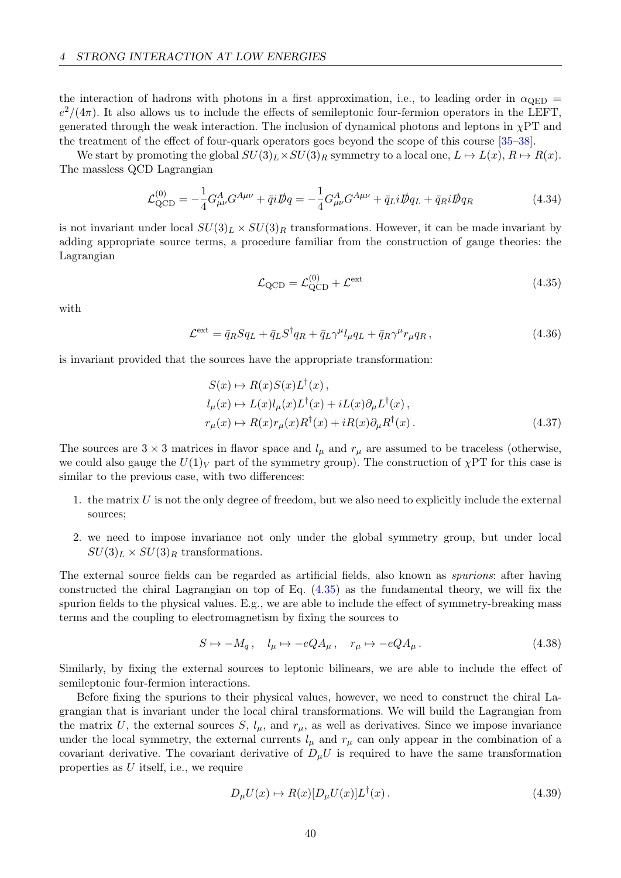the interaction of hadrons with photons in a first approximation, i.e., to leading order in  $\alpha_{\text{QED}} =$  $e^2/(4\pi)$ . It also allows us to include the effects of semileptonic four-fermion operators in the LEFT, generated through the weak interaction. The inclusion of dynamical photons and leptons in  $\chi PT$  and the treatment of the effect of four-quark operators goes beyond the scope of this course [\[35–](#page-69-3)[38\]](#page-69-4).

We start by promoting the global  $SU(3)_L \times SU(3)_R$  symmetry to a local one,  $L \mapsto L(x)$ ,  $R \mapsto R(x)$ . The massless QCD Lagrangian

$$
\mathcal{L}_{\rm QCD}^{(0)} = -\frac{1}{4} G_{\mu\nu}^A G^{A\mu\nu} + \bar{q} i \rlap{\,/}Dq = -\frac{1}{4} G_{\mu\nu}^A G^{A\mu\nu} + \bar{q}_L i \rlap{\,/}Dq_L + \bar{q}_R i \rlap{\,/}Dq_R \tag{4.34}
$$

is not invariant under local  $SU(3)_L \times SU(3)_R$  transformations. However, it can be made invariant by adding appropriate source terms, a procedure familiar from the construction of gauge theories: the Lagrangian

<span id="page-41-0"></span>
$$
\mathcal{L}_{\text{QCD}} = \mathcal{L}_{\text{QCD}}^{(0)} + \mathcal{L}^{\text{ext}} \tag{4.35}
$$

with

$$
\mathcal{L}^{\text{ext}} = \bar{q}_R S q_L + \bar{q}_L S^{\dagger} q_R + \bar{q}_L \gamma^{\mu} l_{\mu} q_L + \bar{q}_R \gamma^{\mu} r_{\mu} q_R, \qquad (4.36)
$$

is invariant provided that the sources have the appropriate transformation:

$$
S(x) \mapsto R(x)S(x)L^{\dagger}(x),
$$
  
\n
$$
l_{\mu}(x) \mapsto L(x)l_{\mu}(x)L^{\dagger}(x) + iL(x)\partial_{\mu}L^{\dagger}(x),
$$
  
\n
$$
r_{\mu}(x) \mapsto R(x)r_{\mu}(x)R^{\dagger}(x) + iR(x)\partial_{\mu}R^{\dagger}(x).
$$
\n(4.37)

The sources are  $3 \times 3$  matrices in flavor space and  $l_{\mu}$  and  $r_{\mu}$  are assumed to be traceless (otherwise, we could also gauge the  $U(1)_V$  part of the symmetry group). The construction of  $\chi PT$  for this case is similar to the previous case, with two differences:

- 1. the matrix  $U$  is not the only degree of freedom, but we also need to explicitly include the external sources;
- 2. we need to impose invariance not only under the global symmetry group, but under local  $SU(3)_L \times SU(3)_R$  transformations.

The external source fields can be regarded as artificial fields, also known as spurions: after having constructed the chiral Lagrangian on top of Eq. [\(4.35\)](#page-41-0) as the fundamental theory, we will fix the spurion fields to the physical values. E.g., we are able to include the effect of symmetry-breaking mass terms and the coupling to electromagnetism by fixing the sources to

$$
S \mapsto -M_q \,, \quad l_\mu \mapsto -eQ A_\mu \,, \quad r_\mu \mapsto -eQ A_\mu \,. \tag{4.38}
$$

Similarly, by fixing the external sources to leptonic bilinears, we are able to include the effect of semileptonic four-fermion interactions.

Before fixing the spurions to their physical values, however, we need to construct the chiral Lagrangian that is invariant under the local chiral transformations. We will build the Lagrangian from the matrix U, the external sources S,  $l_{\mu}$ , and  $r_{\mu}$ , as well as derivatives. Since we impose invariance under the local symmetry, the external currents  $l_{\mu}$  and  $r_{\mu}$  can only appear in the combination of a covariant derivative. The covariant derivative of  $D_{\mu}U$  is required to have the same transformation properties as U itself, i.e., we require

$$
D_{\mu}U(x) \mapsto R(x)[D_{\mu}U(x)]L^{\dagger}(x). \qquad (4.39)
$$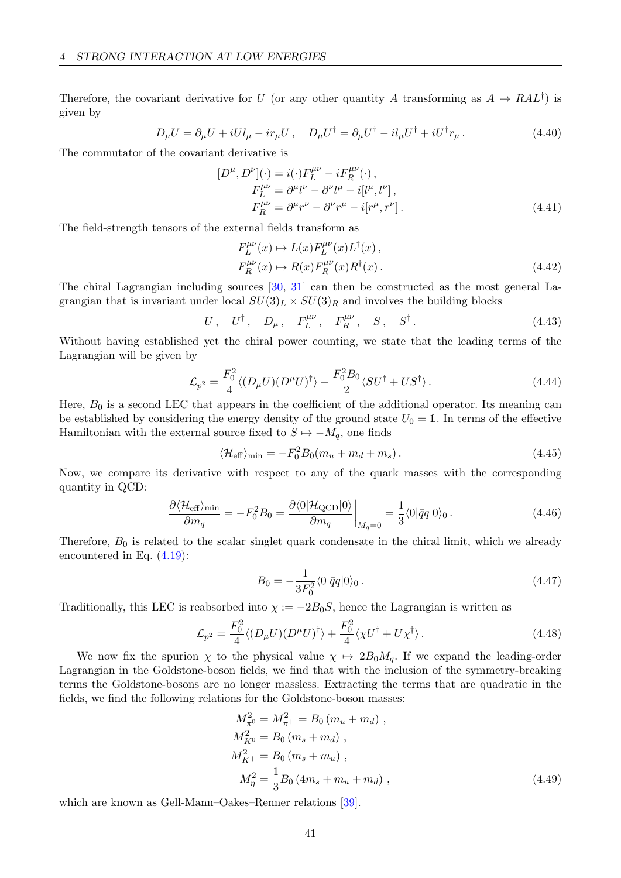Therefore, the covariant derivative for U (or any other quantity A transforming as  $A \mapsto RAL^{\dagger}$ ) is given by

$$
D_{\mu}U = \partial_{\mu}U + iUl_{\mu} - ir_{\mu}U, \quad D_{\mu}U^{\dagger} = \partial_{\mu}U^{\dagger} - il_{\mu}U^{\dagger} + iU^{\dagger}r_{\mu}.
$$
 (4.40)

The commutator of the covariant derivative is

$$
[D^{\mu}, D^{\nu}](\cdot) = i(\cdot)F_L^{\mu\nu} - iF_R^{\mu\nu}(\cdot),
$$
  
\n
$$
F_L^{\mu\nu} = \partial^{\mu}l^{\nu} - \partial^{\nu}l^{\mu} - i[l^{\mu}, l^{\nu}],
$$
  
\n
$$
F_R^{\mu\nu} = \partial^{\mu}r^{\nu} - \partial^{\nu}r^{\mu} - i[r^{\mu}, r^{\nu}].
$$
\n(4.41)

The field-strength tensors of the external fields transform as

$$
F_L^{\mu\nu}(x) \mapsto L(x)F_L^{\mu\nu}(x)L^{\dagger}(x),
$$
  
\n
$$
F_R^{\mu\nu}(x) \mapsto R(x)F_R^{\mu\nu}(x)R^{\dagger}(x).
$$
\n(4.42)

The chiral Lagrangian including sources [\[30,](#page-69-5) [31\]](#page-69-6) can then be constructed as the most general Lagrangian that is invariant under local  $SU(3)_L \times SU(3)_R$  and involves the building blocks

$$
U, \quad U^{\dagger}, \quad D_{\mu}, \quad F_L^{\mu\nu}, \quad F_R^{\mu\nu}, \quad S, \quad S^{\dagger}.
$$

Without having established yet the chiral power counting, we state that the leading terms of the Lagrangian will be given by

$$
\mathcal{L}_{p^2} = \frac{F_0^2}{4} \langle (D_\mu U)(D^\mu U)^\dagger \rangle - \frac{F_0^2 B_0}{2} \langle S U^\dagger + U S^\dagger \rangle. \tag{4.44}
$$

Here,  $B_0$  is a second LEC that appears in the coefficient of the additional operator. Its meaning can be established by considering the energy density of the ground state  $U_0 = 1$ . In terms of the effective Hamiltonian with the external source fixed to  $S \mapsto -M_q$ , one finds

$$
\langle \mathcal{H}_{\text{eff}} \rangle_{\text{min}} = -F_0^2 B_0 (m_u + m_d + m_s). \tag{4.45}
$$

Now, we compare its derivative with respect to any of the quark masses with the corresponding quantity in QCD:

$$
\frac{\partial \langle \mathcal{H}_{\text{eff}} \rangle_{\text{min}}}{\partial m_q} = -F_0^2 B_0 = \frac{\partial \langle 0 | \mathcal{H}_{\text{QCD}} | 0 \rangle}{\partial m_q} \bigg|_{M_q=0} = \frac{1}{3} \langle 0 | \bar{q} q | 0 \rangle_0. \tag{4.46}
$$

Therefore,  $B_0$  is related to the scalar singlet quark condensate in the chiral limit, which we already encountered in Eq. [\(4.19\)](#page-38-2):

$$
B_0 = -\frac{1}{3F_0^2} \langle 0|\bar{q}q|0\rangle_0. \tag{4.47}
$$

Traditionally, this LEC is reabsorbed into  $\chi := -2B_0S$ , hence the Lagrangian is written as

$$
\mathcal{L}_{p^2} = \frac{F_0^2}{4} \langle (D_\mu U)(D^\mu U)^\dagger \rangle + \frac{F_0^2}{4} \langle \chi U^\dagger + U \chi^\dagger \rangle. \tag{4.48}
$$

We now fix the spurion  $\chi$  to the physical value  $\chi \mapsto 2B_0M_q$ . If we expand the leading-order Lagrangian in the Goldstone-boson fields, we find that with the inclusion of the symmetry-breaking terms the Goldstone-bosons are no longer massless. Extracting the terms that are quadratic in the fields, we find the following relations for the Goldstone-boson masses:

<span id="page-42-0"></span>
$$
M_{\pi^0}^2 = M_{\pi^+}^2 = B_0 (m_u + m_d) ,
$$
  
\n
$$
M_{K^0}^2 = B_0 (m_s + m_d) ,
$$
  
\n
$$
M_{K^+}^2 = B_0 (m_s + m_u) ,
$$
  
\n
$$
M_{\eta}^2 = \frac{1}{3} B_0 (4m_s + m_u + m_d) ,
$$
\n(4.49)

which are known as Gell-Mann–Oakes–Renner relations [\[39\]](#page-69-7).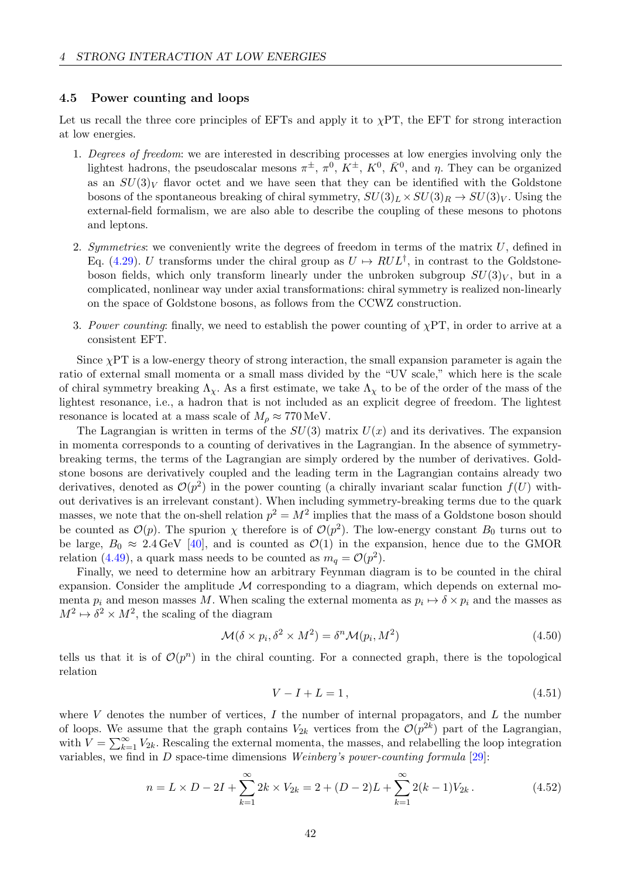### 4.5 Power counting and loops

Let us recall the three core principles of EFTs and apply it to  $\chi PT$ , the EFT for strong interaction at low energies.

- 1. Degrees of freedom: we are interested in describing processes at low energies involving only the lightest hadrons, the pseudoscalar mesons  $\pi^{\pm}$ ,  $\pi^0$ ,  $K^{\pm}$ ,  $K^0$ ,  $\bar{K}^0$ , and  $\eta$ . They can be organized as an  $SU(3)_V$  flavor octet and we have seen that they can be identified with the Goldstone bosons of the spontaneous breaking of chiral symmetry,  $SU(3)_L \times SU(3)_R \rightarrow SU(3)_V$ . Using the external-field formalism, we are also able to describe the coupling of these mesons to photons and leptons.
- 2. Symmetries: we conveniently write the degrees of freedom in terms of the matrix  $U$ , defined in Eq. [\(4.29\)](#page-39-0). U transforms under the chiral group as  $U \mapsto RUL^{\dagger}$ , in contrast to the Goldstoneboson fields, which only transform linearly under the unbroken subgroup  $SU(3)_V$ , but in a complicated, nonlinear way under axial transformations: chiral symmetry is realized non-linearly on the space of Goldstone bosons, as follows from the CCWZ construction.
- 3. Power counting: finally, we need to establish the power counting of  $\chi PT$ , in order to arrive at a consistent EFT.

Since  $\chi$ PT is a low-energy theory of strong interaction, the small expansion parameter is again the ratio of external small momenta or a small mass divided by the "UV scale," which here is the scale of chiral symmetry breaking  $\Lambda_{\gamma}$ . As a first estimate, we take  $\Lambda_{\gamma}$  to be of the order of the mass of the lightest resonance, i.e., a hadron that is not included as an explicit degree of freedom. The lightest resonance is located at a mass scale of  $M<sub>o</sub> \approx 770$  MeV.

The Lagrangian is written in terms of the  $SU(3)$  matrix  $U(x)$  and its derivatives. The expansion in momenta corresponds to a counting of derivatives in the Lagrangian. In the absence of symmetrybreaking terms, the terms of the Lagrangian are simply ordered by the number of derivatives. Goldstone bosons are derivatively coupled and the leading term in the Lagrangian contains already two derivatives, denoted as  $\mathcal{O}(p^2)$  in the power counting (a chirally invariant scalar function  $f(U)$  without derivatives is an irrelevant constant). When including symmetry-breaking terms due to the quark masses, we note that the on-shell relation  $p^2 = M^2$  implies that the mass of a Goldstone boson should be counted as  $\mathcal{O}(p)$ . The spurion  $\chi$  therefore is of  $\mathcal{O}(p^2)$ . The low-energy constant  $B_0$  turns out to be large,  $B_0 \approx 2.4 \,\text{GeV}$  [\[40\]](#page-69-8), and is counted as  $\mathcal{O}(1)$  in the expansion, hence due to the GMOR relation [\(4.49\)](#page-42-0), a quark mass needs to be counted as  $m_q = \mathcal{O}(p^2)$ .

Finally, we need to determine how an arbitrary Feynman diagram is to be counted in the chiral expansion. Consider the amplitude  $\mathcal M$  corresponding to a diagram, which depends on external momenta  $p_i$  and meson masses M. When scaling the external momenta as  $p_i \mapsto \delta \times p_i$  and the masses as  $M^2 \mapsto \delta^2 \times M^2$ , the scaling of the diagram

$$
\mathcal{M}(\delta \times p_i, \delta^2 \times M^2) = \delta^n \mathcal{M}(p_i, M^2)
$$
\n(4.50)

tells us that it is of  $\mathcal{O}(p^n)$  in the chiral counting. For a connected graph, there is the topological relation

<span id="page-43-0"></span>
$$
V - I + L = 1, \t\t(4.51)
$$

where V denotes the number of vertices, I the number of internal propagators, and L the number of loops. We assume that the graph contains  $V_{2k}$  vertices from the  $\mathcal{O}(p^{2k})$  part of the Lagrangian, with  $V = \sum_{k=1}^{\infty} V_{2k}$ . Rescaling the external momenta, the masses, and relabelling the loop integration variables, we find in  $D$  space-time dimensions Weinberg's power-counting formula  $[29]$ :

$$
n = L \times D - 2I + \sum_{k=1}^{\infty} 2k \times V_{2k} = 2 + (D - 2)L + \sum_{k=1}^{\infty} 2(k - 1)V_{2k}.
$$
 (4.52)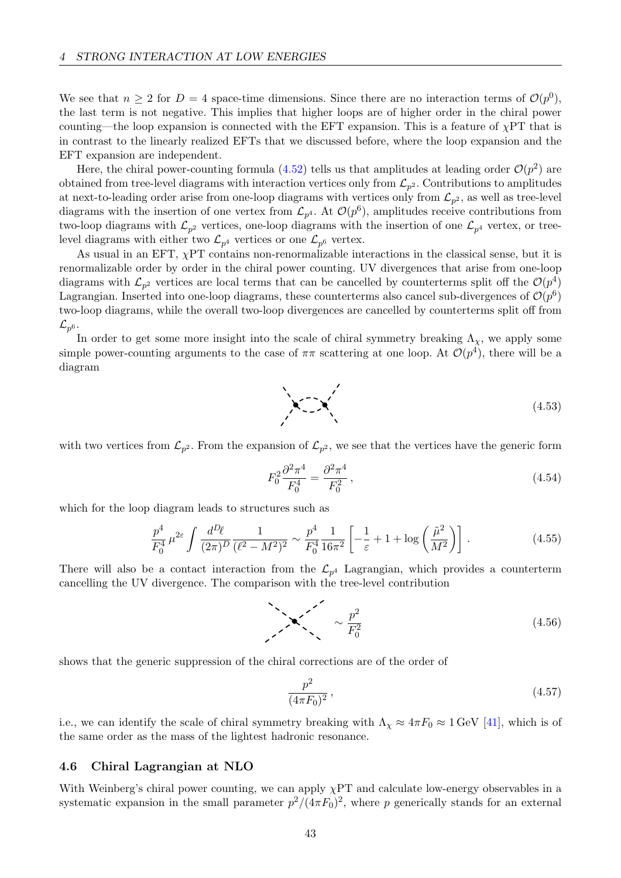We see that  $n \geq 2$  for  $D = 4$  space-time dimensions. Since there are no interaction terms of  $\mathcal{O}(p^0)$ , the last term is not negative. This implies that higher loops are of higher order in the chiral power counting—the loop expansion is connected with the EFT expansion. This is a feature of  $\chi$ PT that is in contrast to the linearly realized EFTs that we discussed before, where the loop expansion and the EFT expansion are independent.

Here, the chiral power-counting formula [\(4.52\)](#page-43-0) tells us that amplitudes at leading order  $\mathcal{O}(p^2)$  are obtained from tree-level diagrams with interaction vertices only from  $\mathcal{L}_{p^2}$ . Contributions to amplitudes at next-to-leading order arise from one-loop diagrams with vertices only from  $\mathcal{L}_{p^2}$ , as well as tree-level diagrams with the insertion of one vertex from  $\mathcal{L}_{p^4}$ . At  $\mathcal{O}(p^6)$ , amplitudes receive contributions from two-loop diagrams with  $\mathcal{L}_{p^2}$  vertices, one-loop diagrams with the insertion of one  $\mathcal{L}_{p^4}$  vertex, or treelevel diagrams with either two  $\mathcal{L}_{p^4}$  vertices or one  $\mathcal{L}_{p^6}$  vertex.

As usual in an EFT,  $\chi$ PT contains non-renormalizable interactions in the classical sense, but it is renormalizable order by order in the chiral power counting. UV divergences that arise from one-loop diagrams with  $\mathcal{L}_{p^2}$  vertices are local terms that can be cancelled by counterterms split off the  $\mathcal{O}(p^4)$ Lagrangian. Inserted into one-loop diagrams, these counterterms also cancel sub-divergences of  $\mathcal{O}(p^6)$ two-loop diagrams, while the overall two-loop divergences are cancelled by counterterms split off from  $\mathcal{L}_{p^6}.$ 

In order to get some more insight into the scale of chiral symmetry breaking  $\Lambda_{\chi}$ , we apply some simple power-counting arguments to the case of  $\pi\pi$  scattering at one loop. At  $\mathcal{O}(p^4)$ , there will be a diagram

$$
\left(4.53\right)
$$

with two vertices from  $\mathcal{L}_{p^2}$ . From the expansion of  $\mathcal{L}_{p^2}$ , we see that the vertices have the generic form

<span id="page-44-0"></span>
$$
F_0^2 \frac{\partial^2 \pi^4}{F_0^4} = \frac{\partial^2 \pi^4}{F_0^2},\tag{4.54}
$$

which for the loop diagram leads to structures such as

$$
\frac{p^4}{F_0^4} \,\mu^{2\varepsilon} \int \frac{d^D \ell}{(2\pi)^D} \frac{1}{(\ell^2 - M^2)^2} \sim \frac{p^4}{F_0^4} \frac{1}{16\pi^2} \left[ -\frac{1}{\varepsilon} + 1 + \log\left(\frac{\tilde{\mu}^2}{M^2}\right) \right] \,. \tag{4.55}
$$

There will also be a contact interaction from the  $\mathcal{L}_{p^4}$  Lagrangian, which provides a counterterm cancelling the UV divergence. The comparison with the tree-level contribution

$$
\sim \frac{p^2}{F_0^2} \tag{4.56}
$$

shows that the generic suppression of the chiral corrections are of the order of

$$
\frac{p^2}{(4\pi F_0)^2},\tag{4.57}
$$

i.e., we can identify the scale of chiral symmetry breaking with  $\Lambda_{\chi} \approx 4\pi F_0 \approx 1$  GeV [\[41\]](#page-69-10), which is of the same order as the mass of the lightest hadronic resonance.

#### 4.6 Chiral Lagrangian at NLO

With Weinberg's chiral power counting, we can apply  $\chi PT$  and calculate low-energy observables in a systematic expansion in the small parameter  $p^2/(4\pi F_0)^2$ , where p generically stands for an external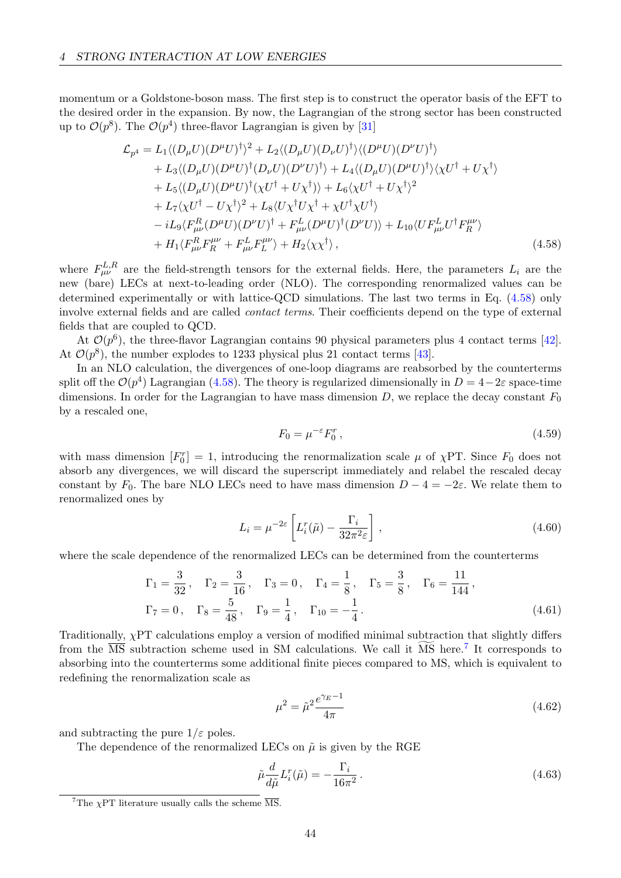momentum or a Goldstone-boson mass. The first step is to construct the operator basis of the EFT to the desired order in the expansion. By now, the Lagrangian of the strong sector has been constructed up to  $\mathcal{O}(p^8)$ . The  $\mathcal{O}(p^4)$  three-flavor Lagrangian is given by [\[31\]](#page-69-6)

$$
\mathcal{L}_{p^{4}} = L_{1} \langle (D_{\mu}U)(D^{\mu}U)^{\dagger} \rangle^{2} + L_{2} \langle (D_{\mu}U)(D_{\nu}U)^{\dagger} \rangle \langle (D^{\mu}U)(D^{\nu}U)^{\dagger} \rangle \n+ L_{3} \langle (D_{\mu}U)(D^{\mu}U)^{\dagger} (D_{\nu}U)(D^{\nu}U)^{\dagger} \rangle + L_{4} \langle (D_{\mu}U)(D^{\mu}U)^{\dagger} \rangle \langle \chi U^{\dagger} + U \chi^{\dagger} \rangle \n+ L_{5} \langle (D_{\mu}U)(D^{\mu}U)^{\dagger} (\chi U^{\dagger} + U \chi^{\dagger}) \rangle + L_{6} \langle \chi U^{\dagger} + U \chi^{\dagger} \rangle^{2} \n+ L_{7} \langle \chi U^{\dagger} - U \chi^{\dagger} \rangle^{2} + L_{8} \langle U \chi^{\dagger} U \chi^{\dagger} + \chi U^{\dagger} \chi U^{\dagger} \rangle \n- iL_{9} \langle F_{\mu\nu}^{R} (D^{\mu}U)(D^{\nu}U)^{\dagger} + F_{\mu\nu}^{L} (D^{\mu}U)^{\dagger} (D^{\nu}U) \rangle + L_{10} \langle U F_{\mu\nu}^{L} U^{\dagger} F_{R}^{\mu\nu} \rangle \n+ H_{1} \langle F_{\mu\nu}^{R} F_{R}^{\mu\nu} + F_{\mu\nu}^{L} F_{L}^{\mu\nu} \rangle + H_{2} \langle \chi \chi^{\dagger} \rangle, \tag{4.58}
$$

where  $F_{\mu\nu}^{L,R}$  are the field-strength tensors for the external fields. Here, the parameters  $L_i$  are the new (bare) LECs at next-to-leading order (NLO). The corresponding renormalized values can be determined experimentally or with lattice-QCD simulations. The last two terms in Eq. [\(4.58\)](#page-45-0) only involve external fields and are called *contact terms*. Their coefficients depend on the type of external fields that are coupled to QCD.

At  $\mathcal{O}(p^6)$ , the three-flavor Lagrangian contains 90 physical parameters plus 4 contact terms [\[42\]](#page-70-0). At  $\mathcal{O}(p^8)$ , the number explodes to 1233 physical plus 21 contact terms [\[43\]](#page-70-1).

In an NLO calculation, the divergences of one-loop diagrams are reabsorbed by the counterterms split off the  $\mathcal{O}(p^4)$  Lagrangian [\(4.58\)](#page-45-0). The theory is regularized dimensionally in  $D = 4-2\varepsilon$  space-time dimensions. In order for the Lagrangian to have mass dimension  $D$ , we replace the decay constant  $F_0$ by a rescaled one,

<span id="page-45-0"></span>
$$
F_0 = \mu^{-\varepsilon} F_0^r \,,\tag{4.59}
$$

with mass dimension  $[F_0^r] = 1$ , introducing the renormalization scale  $\mu$  of  $\chi PT$ . Since  $F_0$  does not absorb any divergences, we will discard the superscript immediately and relabel the rescaled decay constant by F<sub>0</sub>. The bare NLO LECs need to have mass dimension  $D - 4 = -2\varepsilon$ . We relate them to renormalized ones by

$$
L_i = \mu^{-2\varepsilon} \left[ L_i^r(\tilde{\mu}) - \frac{\Gamma_i}{32\pi^2 \varepsilon} \right],
$$
\n(4.60)

where the scale dependence of the renormalized LECs can be determined from the counterterms

$$
\Gamma_1 = \frac{3}{32}, \quad \Gamma_2 = \frac{3}{16}, \quad \Gamma_3 = 0, \quad \Gamma_4 = \frac{1}{8}, \quad \Gamma_5 = \frac{3}{8}, \quad \Gamma_6 = \frac{11}{144},
$$
\n $\Gamma_7 = 0, \quad \Gamma_8 = \frac{5}{48}, \quad \Gamma_9 = \frac{1}{4}, \quad \Gamma_{10} = -\frac{1}{4}.$ \n(4.61)

Traditionally, χPT calculations employ a version of modified minimal subtraction that slightly differs from the  $\overline{\text{MS}}$  subtraction scheme used in SM calculations. We call it  $\overline{\text{MS}}$  here.<sup>[7](#page-45-1)</sup> It corresponds to absorbing into the counterterms some additional finite pieces compared to MS, which is equivalent to redefining the renormalization scale as

$$
\mu^2 = \tilde{\mu}^2 \frac{e^{\gamma_E - 1}}{4\pi} \tag{4.62}
$$

and subtracting the pure  $1/\varepsilon$  poles.

The dependence of the renormalized LECs on  $\tilde{\mu}$  is given by the RGE

$$
\tilde{\mu}\frac{d}{d\tilde{\mu}}L_i^r(\tilde{\mu}) = -\frac{\Gamma_i}{16\pi^2}.
$$
\n(4.63)

<span id="page-45-1"></span><sup>&</sup>lt;sup>7</sup>The  $\chi$ PT literature usually calls the scheme  $\overline{\text{MS}}$ .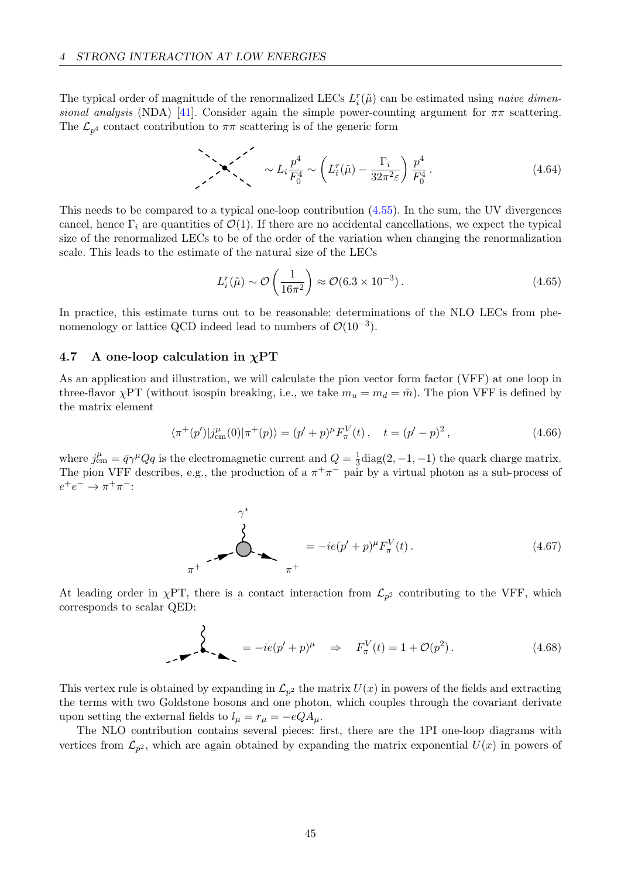The typical order of magnitude of the renormalized LECs  $L_i^r(\tilde{\mu})$  can be estimated using *naive dimen*-sional analysis (NDA) [\[41\]](#page-69-10). Consider again the simple power-counting argument for  $\pi\pi$  scattering. The  $\mathcal{L}_{p^4}$  contact contribution to  $\pi\pi$  scattering is of the generic form

$$
\sum_{i} \sum_{i} \frac{p^4}{F_0^4} \sim \left( L_i^r(\tilde{\mu}) - \frac{\Gamma_i}{32\pi^2 \varepsilon} \right) \frac{p^4}{F_0^4} \,. \tag{4.64}
$$

This needs to be compared to a typical one-loop contribution [\(4.55\)](#page-44-0). In the sum, the UV divergences cancel, hence  $\Gamma_i$  are quantities of  $\mathcal{O}(1)$ . If there are no accidental cancellations, we expect the typical size of the renormalized LECs to be of the order of the variation when changing the renormalization scale. This leads to the estimate of the natural size of the LECs

<span id="page-46-1"></span>
$$
L_i^r(\tilde{\mu}) \sim \mathcal{O}\left(\frac{1}{16\pi^2}\right) \approx \mathcal{O}(6.3 \times 10^{-3}).\tag{4.65}
$$

In practice, this estimate turns out to be reasonable: determinations of the NLO LECs from phenomenology or lattice QCD indeed lead to numbers of  $\mathcal{O}(10^{-3})$ .

### <span id="page-46-0"></span>4.7 A one-loop calculation in  $\chi PT$

As an application and illustration, we will calculate the pion vector form factor (VFF) at one loop in three-flavor  $\chi PT$  (without isospin breaking, i.e., we take  $m_u = m_d = \hat{m}$ ). The pion VFF is defined by the matrix element

$$
\langle \pi^+(p')|j_{\text{em}}^{\mu}(0)|\pi^+(p)\rangle = (p'+p)^{\mu}F_{\pi}^V(t), \quad t = (p'-p)^2, \tag{4.66}
$$

where  $j_{em}^{\mu} = \bar{q}\gamma^{\mu}Qq$  is the electromagnetic current and  $Q = \frac{1}{3}$  $\frac{1}{3}$ diag $(2, -1, -1)$  the quark charge matrix. The pion VFF describes, e.g., the production of a  $\pi^{+}\pi^{-}$  pair by a virtual photon as a sub-process of  $e^+e^- \to \pi^+\pi^-$ :

$$
\gamma^*
$$
\n
$$
\sum_{\pi^+} \frac{1}{\pi^+} = -ie(p'+p)^{\mu} F_{\pi}^V(t). \qquad (4.67)
$$

At leading order in  $\chi$ PT, there is a contact interaction from  $\mathcal{L}_{p^2}$  contributing to the VFF, which corresponds to scalar QED:

$$
\sum_{-\infty}^{\infty} \frac{1}{\sqrt{1-\left(\frac{p'}{p}\right)^{\mu}}} = -ie(p'+p)^{\mu} \quad \Rightarrow \quad F_{\pi}^{V}(t) = 1 + \mathcal{O}(p^{2}). \tag{4.68}
$$

This vertex rule is obtained by expanding in  $\mathcal{L}_{p^2}$  the matrix  $U(x)$  in powers of the fields and extracting the terms with two Goldstone bosons and one photon, which couples through the covariant derivate upon setting the external fields to  $l_{\mu} = r_{\mu} = -eQ A_{\mu}$ .

The NLO contribution contains several pieces: first, there are the 1PI one-loop diagrams with vertices from  $\mathcal{L}_{p^2}$ , which are again obtained by expanding the matrix exponential  $U(x)$  in powers of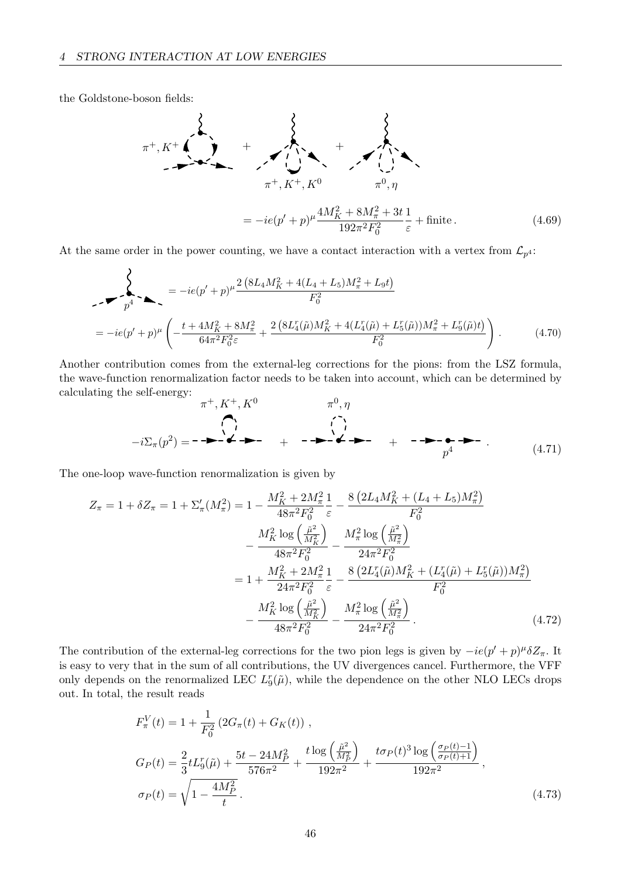the Goldstone-boson fields:



At the same order in the power counting, we have a contact interaction with a vertex from  $\mathcal{L}_{p^4}$ :

$$
\sum_{p^4} = -ie(p' + p)^{\mu} \frac{2 \left(8L_4 M_K^2 + 4(L_4 + L_5)M_{\pi}^2 + L_9t\right)}{F_0^2}
$$
  
= 
$$
-ie(p' + p)^{\mu} \left(-\frac{t + 4M_K^2 + 8M_{\pi}^2}{64\pi^2 F_0^2 \varepsilon} + \frac{2 \left(8L_4^r(\tilde{\mu})M_K^2 + 4(L_4^r(\tilde{\mu}) + L_5^r(\tilde{\mu}))M_{\pi}^2 + L_9^r(\tilde{\mu})t\right)}{F_0^2}\right).
$$
(4.70)

Another contribution comes from the external-leg corrections for the pions: from the LSZ formula, the wave-function renormalization factor needs to be taken into account, which can be determined by calculating the self-energy:

−iΣπ(p 2 ) = π <sup>+</sup>, K+, K<sup>0</sup> + π 0 , η + p 4 . (4.71)

The one-loop wave-function renormalization is given by

$$
Z_{\pi} = 1 + \delta Z_{\pi} = 1 + \Sigma'_{\pi}(M_{\pi}^2) = 1 - \frac{M_K^2 + 2M_{\pi}^2}{48\pi^2 F_0^2} \frac{1}{\varepsilon} - \frac{8\left(2L_4 M_K^2 + (L_4 + L_5)M_{\pi}^2\right)}{F_0^2}
$$

$$
- \frac{M_K^2 \log\left(\frac{\tilde{\mu}^2}{M_K^2}\right)}{48\pi^2 F_0^2} - \frac{M_{\pi}^2 \log\left(\frac{\tilde{\mu}^2}{M_{\pi}^2}\right)}{24\pi^2 F_0^2}
$$

$$
= 1 + \frac{M_K^2 + 2M_{\pi}^2}{24\pi^2 F_0^2} \frac{1}{\varepsilon} - \frac{8\left(2L_4^r(\tilde{\mu})M_K^2 + (L_4^r(\tilde{\mu}) + L_5^r(\tilde{\mu}))M_{\pi}^2\right)}{F_0^2}
$$

$$
- \frac{M_K^2 \log\left(\frac{\tilde{\mu}^2}{M_K^2}\right)}{48\pi^2 F_0^2} - \frac{M_{\pi}^2 \log\left(\frac{\tilde{\mu}^2}{M_{\pi}^2}\right)}{24\pi^2 F_0^2}.
$$
(4.72)

The contribution of the external-leg corrections for the two pion legs is given by  $-i e (p' + p)^\mu \delta Z_\pi$ . It is easy to very that in the sum of all contributions, the UV divergences cancel. Furthermore, the VFF only depends on the renormalized LEC  $L_9^r(\tilde{\mu})$ , while the dependence on the other NLO LECs drops out. In total, the result reads

$$
F_{\pi}^{V}(t) = 1 + \frac{1}{F_{0}^{2}} \left( 2G_{\pi}(t) + G_{K}(t) \right),
$$
  
\n
$$
G_{P}(t) = \frac{2}{3} t L_{9}^{r}(\tilde{\mu}) + \frac{5t - 24M_{P}^{2}}{576\pi^{2}} + \frac{t \log \left( \frac{\tilde{\mu}^{2}}{M_{P}^{2}} \right)}{192\pi^{2}} + \frac{t \sigma_{P}(t)^{3} \log \left( \frac{\sigma_{P}(t) - 1}{\sigma_{P}(t) + 1} \right)}{192\pi^{2}},
$$
  
\n
$$
\sigma_{P}(t) = \sqrt{1 - \frac{4M_{P}^{2}}{t}}.
$$
\n(4.73)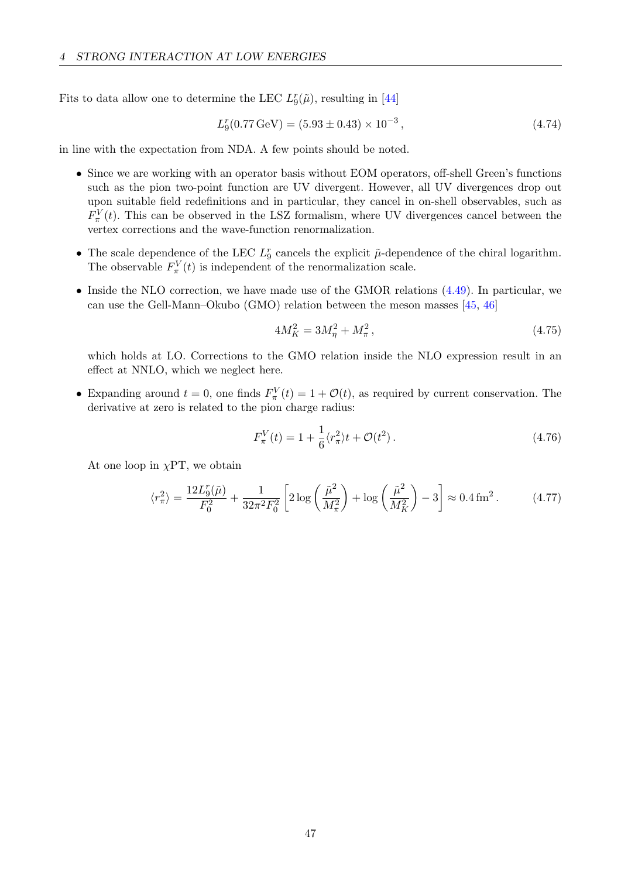Fits to data allow one to determine the LEC  $L_9^r(\tilde{\mu})$ , resulting in [\[44\]](#page-70-2)

$$
L_9^r(0.77 \,\text{GeV}) = (5.93 \pm 0.43) \times 10^{-3},\tag{4.74}
$$

in line with the expectation from NDA. A few points should be noted.

- Since we are working with an operator basis without EOM operators, off-shell Green's functions such as the pion two-point function are UV divergent. However, all UV divergences drop out upon suitable field redefinitions and in particular, they cancel in on-shell observables, such as  $F_{\pi}^V(t)$ . This can be observed in the LSZ formalism, where UV divergences cancel between the vertex corrections and the wave-function renormalization.
- The scale dependence of the LEC  $L_9^r$  cancels the explicit  $\tilde{\mu}$ -dependence of the chiral logarithm. The observable  $F_{\pi}^{V}(t)$  is independent of the renormalization scale.
- Inside the NLO correction, we have made use of the GMOR relations [\(4.49\)](#page-42-0). In particular, we can use the Gell-Mann–Okubo (GMO) relation between the meson masses [\[45,](#page-70-3) [46\]](#page-70-4)

$$
4M_K^2 = 3M_\eta^2 + M_\pi^2,\tag{4.75}
$$

which holds at LO. Corrections to the GMO relation inside the NLO expression result in an effect at NNLO, which we neglect here.

• Expanding around  $t = 0$ , one finds  $F_{\pi}^{V}(t) = 1 + \mathcal{O}(t)$ , as required by current conservation. The derivative at zero is related to the pion charge radius:

<span id="page-48-0"></span>
$$
F_{\pi}^{V}(t) = 1 + \frac{1}{6} \langle r_{\pi}^{2} \rangle t + \mathcal{O}(t^{2}). \qquad (4.76)
$$

At one loop in  $\chi$ PT, we obtain

$$
\langle r_{\pi}^{2} \rangle = \frac{12L_{9}^{r}(\tilde{\mu})}{F_{0}^{2}} + \frac{1}{32\pi^{2}F_{0}^{2}} \left[ 2\log\left(\frac{\tilde{\mu}^{2}}{M_{\pi}^{2}}\right) + \log\left(\frac{\tilde{\mu}^{2}}{M_{K}^{2}}\right) - 3 \right] \approx 0.4 \,\text{fm}^{2} \,. \tag{4.77}
$$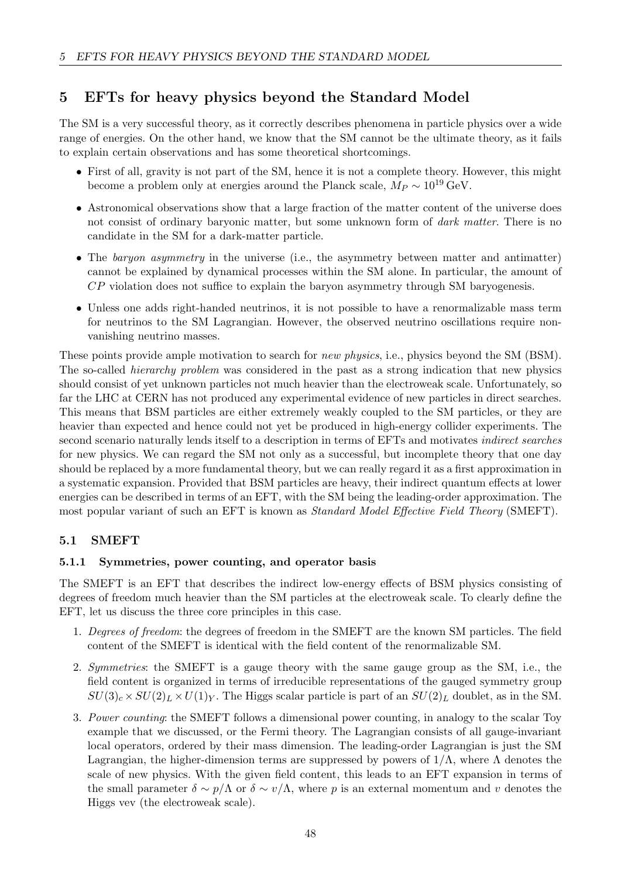# 5 EFTs for heavy physics beyond the Standard Model

The SM is a very successful theory, as it correctly describes phenomena in particle physics over a wide range of energies. On the other hand, we know that the SM cannot be the ultimate theory, as it fails to explain certain observations and has some theoretical shortcomings.

- First of all, gravity is not part of the SM, hence it is not a complete theory. However, this might become a problem only at energies around the Planck scale,  $M_P \sim 10^{19} \text{ GeV}$ .
- Astronomical observations show that a large fraction of the matter content of the universe does not consist of ordinary baryonic matter, but some unknown form of *dark matter*. There is no candidate in the SM for a dark-matter particle.
- The baryon asymmetry in the universe (i.e., the asymmetry between matter and antimatter) cannot be explained by dynamical processes within the SM alone. In particular, the amount of CP violation does not suffice to explain the baryon asymmetry through SM baryogenesis.
- Unless one adds right-handed neutrinos, it is not possible to have a renormalizable mass term for neutrinos to the SM Lagrangian. However, the observed neutrino oscillations require nonvanishing neutrino masses.

These points provide ample motivation to search for *new physics*, i.e., physics beyond the SM (BSM). The so-called *hierarchy problem* was considered in the past as a strong indication that new physics should consist of yet unknown particles not much heavier than the electroweak scale. Unfortunately, so far the LHC at CERN has not produced any experimental evidence of new particles in direct searches. This means that BSM particles are either extremely weakly coupled to the SM particles, or they are heavier than expected and hence could not yet be produced in high-energy collider experiments. The second scenario naturally lends itself to a description in terms of EFTs and motivates indirect searches for new physics. We can regard the SM not only as a successful, but incomplete theory that one day should be replaced by a more fundamental theory, but we can really regard it as a first approximation in a systematic expansion. Provided that BSM particles are heavy, their indirect quantum effects at lower energies can be described in terms of an EFT, with the SM being the leading-order approximation. The most popular variant of such an EFT is known as Standard Model Effective Field Theory (SMEFT).

# <span id="page-49-0"></span>5.1 SMEFT

### 5.1.1 Symmetries, power counting, and operator basis

The SMEFT is an EFT that describes the indirect low-energy effects of BSM physics consisting of degrees of freedom much heavier than the SM particles at the electroweak scale. To clearly define the EFT, let us discuss the three core principles in this case.

- 1. Degrees of freedom: the degrees of freedom in the SMEFT are the known SM particles. The field content of the SMEFT is identical with the field content of the renormalizable SM.
- 2. Symmetries: the SMEFT is a gauge theory with the same gauge group as the SM, i.e., the field content is organized in terms of irreducible representations of the gauged symmetry group  $SU(3)_c \times SU(2)_L \times U(1)_Y$ . The Higgs scalar particle is part of an  $SU(2)_L$  doublet, as in the SM.
- 3. Power counting: the SMEFT follows a dimensional power counting, in analogy to the scalar Toy example that we discussed, or the Fermi theory. The Lagrangian consists of all gauge-invariant local operators, ordered by their mass dimension. The leading-order Lagrangian is just the SM Lagrangian, the higher-dimension terms are suppressed by powers of  $1/\Lambda$ , where  $\Lambda$  denotes the scale of new physics. With the given field content, this leads to an EFT expansion in terms of the small parameter  $\delta \sim p/\Lambda$  or  $\delta \sim v/\Lambda$ , where p is an external momentum and v denotes the Higgs vev (the electroweak scale).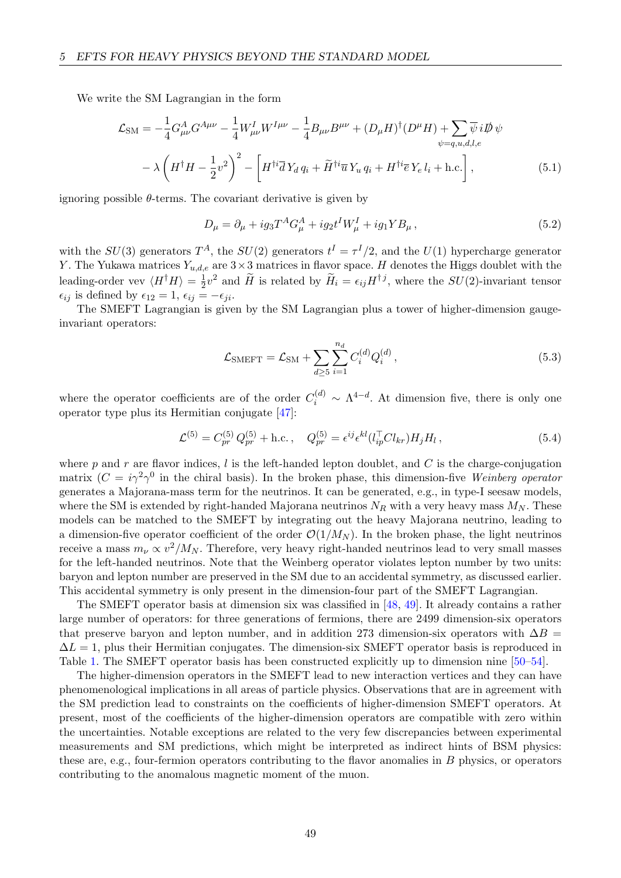We write the SM Lagrangian in the form

$$
\mathcal{L}_{\rm SM} = -\frac{1}{4} G_{\mu\nu}^A G^{A\mu\nu} - \frac{1}{4} W_{\mu\nu}^I W^{I\mu\nu} - \frac{1}{4} B_{\mu\nu} B^{\mu\nu} + (D_{\mu} H)^{\dagger} (D^{\mu} H) + \sum_{\psi = q, u, d, l, e} \overline{\psi} i \not{D} \psi
$$

$$
- \lambda \left( H^{\dagger} H - \frac{1}{2} v^2 \right)^2 - \left[ H^{\dagger i} \overline{d} Y_d q_i + \widetilde{H}^{\dagger i} \overline{u} Y_u q_i + H^{\dagger i} \overline{e} Y_e l_i + \text{h.c.} \right], \tag{5.1}
$$

ignoring possible  $\theta$ -terms. The covariant derivative is given by

<span id="page-50-0"></span>
$$
D_{\mu} = \partial_{\mu} + ig_3 T^A G_{\mu}^A + ig_2 t^I W_{\mu}^I + ig_1 Y B_{\mu} , \qquad (5.2)
$$

with the  $SU(3)$  generators  $T^A$ , the  $SU(2)$  generators  $t^I = \tau^I/2$ , and the  $U(1)$  hypercharge generator Y. The Yukawa matrices  $Y_{u,d,e}$  are  $3\times 3$  matrices in flavor space. H denotes the Higgs doublet with the leading-order vev  $\langle H^{\dagger} H \rangle = \frac{1}{2}$  $\frac{1}{2}v^2$  and  $\widetilde{H}$  is related by  $\widetilde{H}_i = \epsilon_{ij}H^{\dagger j}$ , where the  $SU(2)$ -invariant tensor  $\epsilon_{ij}$  is defined by  $\epsilon_{12} = 1$ ,  $\epsilon_{ij} = -\epsilon_{ji}$ .

The SMEFT Lagrangian is given by the SM Lagrangian plus a tower of higher-dimension gaugeinvariant operators:

$$
\mathcal{L}_{\text{SMEFT}} = \mathcal{L}_{\text{SM}} + \sum_{d \ge 5} \sum_{i=1}^{n_d} C_i^{(d)} Q_i^{(d)}, \qquad (5.3)
$$

where the operator coefficients are of the order  $C_i^{(d)} \sim \Lambda^{4-d}$ . At dimension five, there is only one operator type plus its Hermitian conjugate [\[47\]](#page-70-5):

$$
\mathcal{L}^{(5)} = C_{pr}^{(5)} Q_{pr}^{(5)} + \text{h.c.}, \quad Q_{pr}^{(5)} = \epsilon^{ij} \epsilon^{kl} (l_{ip}^{\top} C l_{kr}) H_j H_l, \qquad (5.4)
$$

where  $p$  and  $r$  are flavor indices,  $l$  is the left-handed lepton doublet, and  $C$  is the charge-conjugation matrix  $(C = i\gamma^2 \gamma^0$  in the chiral basis). In the broken phase, this dimension-five Weinberg operator generates a Majorana-mass term for the neutrinos. It can be generated, e.g., in type-I seesaw models, where the SM is extended by right-handed Majorana neutrinos  $N_R$  with a very heavy mass  $M_N$ . These models can be matched to the SMEFT by integrating out the heavy Majorana neutrino, leading to a dimension-five operator coefficient of the order  $\mathcal{O}(1/M_N)$ . In the broken phase, the light neutrinos receive a mass  $m_{\nu} \propto v^2/M_N$ . Therefore, very heavy right-handed neutrinos lead to very small masses for the left-handed neutrinos. Note that the Weinberg operator violates lepton number by two units: baryon and lepton number are preserved in the SM due to an accidental symmetry, as discussed earlier. This accidental symmetry is only present in the dimension-four part of the SMEFT Lagrangian.

The SMEFT operator basis at dimension six was classified in [\[48,](#page-70-6) [49\]](#page-70-7). It already contains a rather large number of operators: for three generations of fermions, there are 2499 dimension-six operators that preserve baryon and lepton number, and in addition 273 dimension-six operators with  $\Delta B =$  $\Delta L = 1$ , plus their Hermitian conjugates. The dimension-six SMEFT operator basis is reproduced in Table [1.](#page-51-0) The SMEFT operator basis has been constructed explicitly up to dimension nine [\[50–](#page-70-8)[54\]](#page-70-9).

The higher-dimension operators in the SMEFT lead to new interaction vertices and they can have phenomenological implications in all areas of particle physics. Observations that are in agreement with the SM prediction lead to constraints on the coefficients of higher-dimension SMEFT operators. At present, most of the coefficients of the higher-dimension operators are compatible with zero within the uncertainties. Notable exceptions are related to the very few discrepancies between experimental measurements and SM predictions, which might be interpreted as indirect hints of BSM physics: these are, e.g., four-fermion operators contributing to the flavor anomalies in  $B$  physics, or operators contributing to the anomalous magnetic moment of the muon.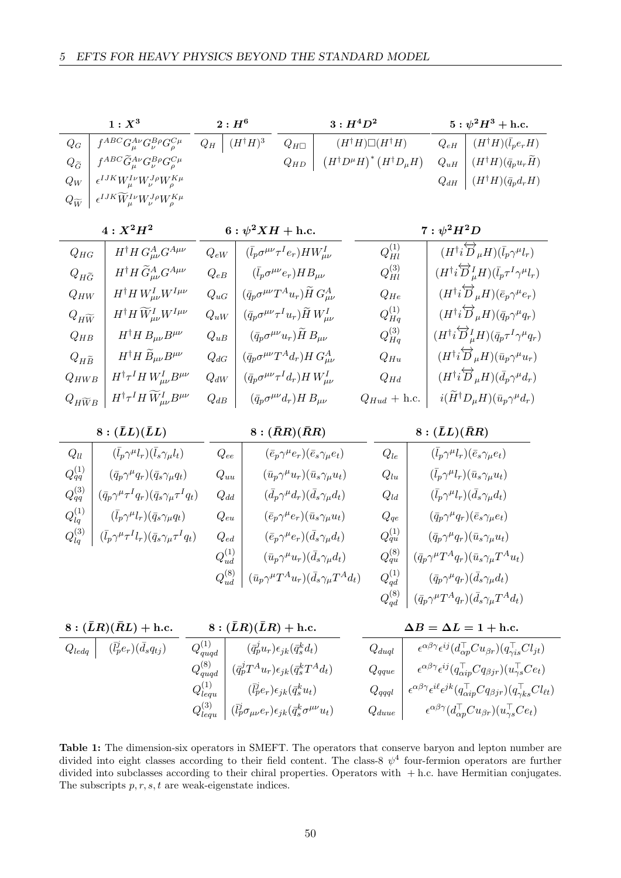<span id="page-51-0"></span>

|                                                       | $1:X^3$                                                               |                               | $2: H^6$                                                    |                                                                  | $3: H^4D^2$                                                        |                                                                   |                          |                     | $5:\psi^2H^3+{\rm h.c.}$                                                                                                      |  |
|-------------------------------------------------------|-----------------------------------------------------------------------|-------------------------------|-------------------------------------------------------------|------------------------------------------------------------------|--------------------------------------------------------------------|-------------------------------------------------------------------|--------------------------|---------------------|-------------------------------------------------------------------------------------------------------------------------------|--|
| $\mathcal{Q}_G$                                       | $f^{ABC}G_\mu^{A\nu}G_\nu^{B\rho}G_\rho^{C\mu}$                       | $Q_H$                         | $(H^{\dagger}H)^3$                                          | $Q_{H\square}$                                                   |                                                                    | $(H^\dagger H)\square (H^\dagger H)$                              |                          | $Q_{eH}$            | $(H^\dagger H)(\bar l_p e_r H)$                                                                                               |  |
| $Q_{\widetilde{G}}$                                   | $f^{ABC}\widetilde{G}_{\mu}^{A\nu}G_{\nu}^{B\rho}G_{\rho}^{C\mu}$     |                               |                                                             | $Q_{HD}$                                                         |                                                                    | $\left(H^\dagger D^\mu H\right)^* \left(H^\dagger D_\mu H\right)$ |                          | $Q_{uH}$            | $(H^{\dagger}H)(\bar{q}_{p}u_{r}\bar{H})$                                                                                     |  |
| ${\cal Q}_W$                                          | $\epsilon^{IJK}W^{I\nu}_\mu W^{J\rho}_\nu W^{K\mu}_\rho$              |                               |                                                             |                                                                  |                                                                    |                                                                   |                          | ${\mathcal Q}_{dH}$ | $(H^\dagger H)(\bar q_p d_r H)$                                                                                               |  |
| $Q_{\widetilde{W}}$                                   | $\epsilon^{IJK} \widetilde{W}^{I\nu}_\mu W^{J\rho}_\nu W^{K\mu}_\rho$ |                               |                                                             |                                                                  |                                                                    |                                                                   |                          |                     |                                                                                                                               |  |
| $4: X^2H^2$                                           |                                                                       |                               | 6 : $\psi^2 X H +$ h.c.                                     |                                                                  |                                                                    |                                                                   |                          |                     | $7:\psi^2 H^2 D$                                                                                                              |  |
| $H^{\dagger}H G_{\mu\nu}^{A} G^{A\mu\nu}$<br>$Q_{HG}$ |                                                                       | $Q_{eW}$                      |                                                             | $(\bar{l}_p \sigma^{\mu\nu} \tau^I e_r) H W^I_{\mu\nu}$          |                                                                    | $Q_{Hl}^{\left( 1\right) }$                                       |                          |                     | $(H^\dagger i\overleftrightarrow{D}_\mu H)(\bar{l}_p \gamma^\mu l_r)$                                                         |  |
| $Q_{H\widetilde{G}}$                                  | $H^\dagger H \, \widetilde{G}^A_{\mu\nu} G^{A\mu\nu}$                 | $\mathcal{Q}_{eB}$            |                                                             | $(\bar{l}_p\sigma^{\mu\nu}e_r)HB_{\mu\nu}$                       |                                                                    | $Q_{Hl}^{\left( 3\right) }$                                       |                          |                     | $(H^\dagger i\overleftrightarrow{D}_\mu^I H)(\bar l_p \tau^I \gamma^\mu l_r)$                                                 |  |
| $Q_{HW}$                                              | $H^{\dagger}H W^I_{\mu\nu}W^{I\mu\nu}$                                | $\mathcal{Q}_{uG}$            |                                                             | $(\bar{q}_p \sigma^{\mu\nu} T^A u_r) \widetilde{H} G^A_{\mu\nu}$ |                                                                    | $Q_{He}$                                                          |                          |                     | $(H^{\dagger} i \overleftrightarrow{D}_{\mu} H)(\bar{e}_{p} \gamma^{\mu} e_{r})$                                              |  |
| $Q_{H\widetilde{W}}$                                  | $H^\dagger H \, \widetilde{W}^I_{\mu\nu} W^{I\mu\nu}$                 | $Q_{uW}$                      |                                                             | $(\bar q_p \sigma^{\mu\nu} \tau^I u_r) \tilde H\, W_{\mu\nu}^I$  |                                                                    | $Q_{Hq}^{\left( 1\right) }$                                       |                          |                     | $(H^{\dagger}i\overleftrightarrow{D}_{\mu}H)(\bar{q}_p\gamma^{\mu}q_r)$                                                       |  |
| $Q_{HB}$                                              | $H^\dagger H\, B_{\mu\nu} B^{\mu\nu}$                                 | $\mathcal{Q}_{uB}$            |                                                             | $(\bar q_p\sigma^{\mu\nu}u_r)\tilde H\,B_{\mu\nu}$               |                                                                    | $Q_{Hq}^{(3)}$                                                    |                          |                     | $(H^{\dagger} i \overleftrightarrow{D}_{\mu}^I H)(\bar{q}_p \tau^I \gamma^{\mu} q_r)$                                         |  |
| $Q_{H\widetilde{B}}$                                  | $H^\dagger H\,\widetilde{B}_{\mu\nu}B^{\mu\nu}$                       | $Q_{dG}$                      |                                                             | $(\bar{q}_p \sigma^{\mu\nu} T^A d_r) H G^A_{\mu\nu}$             |                                                                    | $Q_{Hu}$                                                          |                          |                     | $(H^{\dagger} i \overleftrightarrow{D}_{\mu} H)(\bar{u}_p \gamma^{\mu} u_r)$                                                  |  |
| $Q_{HWB}$                                             | $H^{\dagger} \tau^I H W^I_{\mu\nu} B^{\mu\nu}$                        | $\mathcal{Q}_{dW}$            |                                                             | $(\bar{q}_p \sigma^{\mu\nu} \tau^I d_r) H W^I_{\mu\nu}$          |                                                                    | $\mathcal{Q}_{Hd}$                                                |                          |                     | $(H^{\dagger}i\overleftrightarrow{D}_{\mu}H)(\bar{d}_{p}\gamma^{\mu}d_{r})$                                                   |  |
| $Q_{H\widetilde{W}B}$                                 | $H^\dagger \tau^I H\, {\widetilde W}^I_{\mu\nu} B^{\mu\nu}$           | $Q_{dB}$                      |                                                             | $(\bar{q}_p\sigma^{\mu\nu}d_r)H B_{\mu\nu}$                      |                                                                    | $Q_{Hud}$ + h.c.                                                  |                          |                     | $i(\widetilde{H}^\dagger D_\mu H)(\bar{u}_p \gamma^\mu d_r)$                                                                  |  |
|                                                       | $8:(\bar{L}L)(\bar{L}L)$                                              |                               | $8:(\bar RR)(\bar RR)$                                      |                                                                  |                                                                    |                                                                   | $8:(\bar{L}L)(\bar{R}R)$ |                     |                                                                                                                               |  |
| $\mathcal{Q}_{ll}$                                    | $(\bar l_p \gamma^\mu l_r)(\bar l_s \gamma_\mu l_t)$                  |                               | $\mathcal{Q}_{ee}$                                          | $(\bar{e}_p \gamma^{\mu} e_r)(\bar{e}_s \gamma_{\mu} e_t)$       |                                                                    | $Q_{le}$                                                          |                          |                     | $(\bar l_p \gamma^\mu l_r)(\bar e_s \gamma_\mu e_t)$                                                                          |  |
| ${\cal Q}^{(1)}_{qq}$                                 | $(\bar{q}_p \gamma^{\mu} q_r)(\bar{q}_s \gamma_{\mu} q_t)$            |                               | $\mathcal{Q}_{uu}$                                          | $(\bar{u}_p \gamma^\mu u_r)(\bar{u}_s \gamma_\mu u_t)$           |                                                                    | $Q_{lu}$                                                          |                          |                     | $(\bar l_p \gamma^\mu l_r)(\bar u_s \gamma_\mu u_t)$                                                                          |  |
| ${\cal Q}^{(3)}_{qq}$                                 | $(\bar q_p \gamma^\mu \tau^I q_r)(\bar q_s \gamma_\mu \tau^I q_t)$    |                               | $Q_{dd}$                                                    | $(\bar{d}_{p}\gamma^{\mu}d_{r})(\bar{d}_{s}\gamma_{\mu}d_{t})$   |                                                                    | $\mathcal{Q}_{ld}$                                                |                          |                     | $(\bar l_p \gamma^\mu l_r)(\bar d_s \gamma_\mu d_t)$                                                                          |  |
| $Q_{lq}^{\left( 1\right) }$                           | $(\bar l_p \gamma^\mu l_r)(\bar q_s \gamma_\mu q_t)$                  |                               | $Q_{eu}$                                                    | $(\bar e_p \gamma^\mu e_r)(\bar u_s \gamma_\mu u_t)$             |                                                                    | $\mathcal{Q}_{qe}$                                                |                          |                     | $(\bar q_p \gamma^\mu q_r)(\bar e_s \gamma_\mu e_t)$                                                                          |  |
| ${\cal Q}_{lq}^{(3)}$                                 | $(\bar l_p \gamma^\mu \tau^I l_r)(\bar q_s \gamma_\mu \tau^I q_t)$    |                               | $\mathcal{Q}_{ed}$                                          | $(\bar{e}_p \gamma^{\mu} e_r)(\bar{d}_s \gamma_{\mu} d_t)$       |                                                                    | ${\cal Q}^{(1)}_{qu}$                                             |                          |                     | $(\bar{q}_p \gamma^{\mu} q_r)(\bar{u}_s \gamma_{\mu} u_t)$                                                                    |  |
|                                                       |                                                                       | $Q_{ud}^{\left( 1\right) }$   |                                                             | $(\bar{u}_p \gamma^{\mu} u_r)(\bar{d}_s \gamma_{\mu} d_t)$       |                                                                    | ${\cal Q}^{(8)}_{qu}$                                             |                          |                     | $(\bar{q}_p \gamma^{\mu} T^A q_r)(\bar{u}_s \gamma_{\mu} T^A u_t)$                                                            |  |
|                                                       |                                                                       | $Q_{ud}^{\left(8\right)}$     |                                                             |                                                                  | $(\bar{u}_p \gamma^{\mu} T^A u_r)(\bar{d}_s \gamma_{\mu} T^A d_t)$ | $Q_{qd}^{\left( 1\right) }$                                       |                          |                     | $(\bar q_p \gamma^\mu q_r)(\bar d_s \gamma_\mu d_t)$                                                                          |  |
|                                                       |                                                                       |                               |                                                             |                                                                  |                                                                    |                                                                   |                          |                     | $Q_{qd}^{(8)}$ $(\bar{q}_p \gamma^{\mu} T^A q_r)(\bar{d}_s \gamma_{\mu} T^A d_t)$                                             |  |
|                                                       | $8:(\bar{L}R)(\bar{R}L) + \text{h.c.}$                                |                               | $8:(\bar{L}R)(\bar{L}R) + \mathrm{h.c.}$                    |                                                                  |                                                                    |                                                                   |                          |                     | $\Delta B = \Delta L = 1 + \text{h.c.}$                                                                                       |  |
| $Q_{ledq}$                                            | $(\bar{l}_p^j e_r)(\bar{d}_s q_{tj})$                                 | $Q_{\boldsymbol{quad}}^{(1)}$ |                                                             | $(\bar{q}_p^j u_r) \epsilon_{ik} (\bar{q}_s^k d_t)$              |                                                                    | $\mathcal{Q}_{d u q l}$                                           |                          |                     | $\epsilon^{\alpha\beta\gamma}\epsilon^{ij}(d_{\alpha p}^{\dagger}Cu_{\beta r})(q_{\gamma is}^{\dagger}Cl_{jt})$               |  |
|                                                       |                                                                       | $Q_{quqd}^{\left(8\right)}$   | $(\bar{q}_p^j T^A u_r) \epsilon_{jk} (\bar{q}_s^k T^A d_t)$ |                                                                  |                                                                    | $\mathcal{Q}_{qque}$                                              |                          |                     | $\epsilon^{\alpha\beta\gamma}\epsilon^{ij}(q_{\alpha i p}^{\top} C q_{\beta j r})(u_{\gamma s}^{\top} C e_t)$                 |  |
|                                                       |                                                                       | $Q_{lequ}^{(1)}$              |                                                             | $(\bar{l}_p^j e_r) \epsilon_{jk} (\bar{q}_s^k u_t)$              |                                                                    | $\mathcal{Q}_{qqql}$                                              |                          |                     | $\epsilon^{\alpha\beta\gamma}\epsilon^{i\ell}\epsilon^{jk}(q_{\alpha ip}^\top Cq_{\beta jr})(q_{\gamma ks}^\top Cl_{\ell t})$ |  |

Table 1: The dimension-six operators in SMEFT. The operators that conserve baryon and lepton number are divided into eight classes according to their field content. The class-8  $\psi^4$  four-fermion operators are further divided into subclasses according to their chiral properties. Operators with  $+$  h.c. have Hermitian conjugates. The subscripts  $p, r, s, t$  are weak-eigenstate indices.

 $\left. Q_{duue} \ \right| \ \ \ \ \ \ \ \epsilon^{\alpha\beta\gamma}(d_{\alpha p}^\top C u_{\beta r})(u_{\gamma s}^\top C e_t)$ 

 $Q^{(3)}_{lequ} \: \: \Big| \: (\bar l_p^j \sigma_{\mu\nu} e_r) \epsilon_{jk} (\bar q_s^k \sigma^{\mu\nu} u_t)$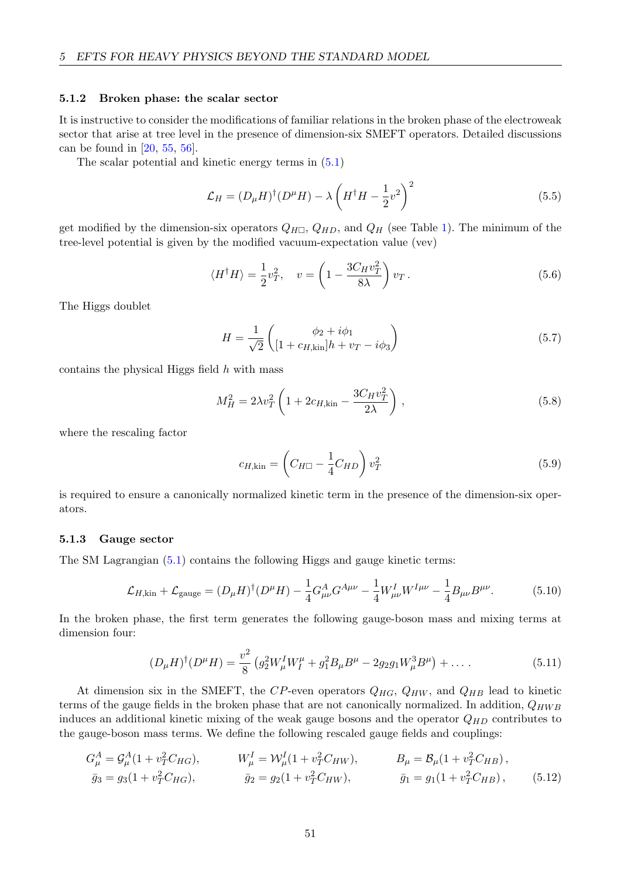#### 5.1.2 Broken phase: the scalar sector

It is instructive to consider the modifications of familiar relations in the broken phase of the electroweak sector that arise at tree level in the presence of dimension-six SMEFT operators. Detailed discussions can be found in [\[20,](#page-68-0) [55,](#page-70-10) [56\]](#page-70-11).

The scalar potential and kinetic energy terms in [\(5.1\)](#page-50-0)

$$
\mathcal{L}_H = (D_\mu H)^\dagger (D^\mu H) - \lambda \left( H^\dagger H - \frac{1}{2} v^2 \right)^2 \tag{5.5}
$$

get modified by the dimension-six operators  $Q_{H\Box}$ ,  $Q_{HD}$ , and  $Q_H$  (see Table [1\)](#page-51-0). The minimum of the tree-level potential is given by the modified vacuum-expectation value (vev)

$$
\langle H^{\dagger} H \rangle = \frac{1}{2} v_T^2, \quad v = \left( 1 - \frac{3C_H v_T^2}{8\lambda} \right) v_T. \tag{5.6}
$$

The Higgs doublet

$$
H = \frac{1}{\sqrt{2}} \begin{pmatrix} \phi_2 + i\phi_1 \\ [1 + c_{H,kin}]h + v_T - i\phi_3 \end{pmatrix}
$$
 (5.7)

contains the physical Higgs field  $h$  with mass

$$
M_H^2 = 2\lambda v_T^2 \left( 1 + 2c_{H,kin} - \frac{3C_H v_T^2}{2\lambda} \right) ,\qquad (5.8)
$$

where the rescaling factor

$$
c_{H,kin} = \left(C_{H\Box} - \frac{1}{4}C_{HD}\right)v_T^2\tag{5.9}
$$

is required to ensure a canonically normalized kinetic term in the presence of the dimension-six operators.

#### 5.1.3 Gauge sector

The SM Lagrangian [\(5.1\)](#page-50-0) contains the following Higgs and gauge kinetic terms:

$$
\mathcal{L}_{H,\text{kin}} + \mathcal{L}_{\text{gauge}} = (D_{\mu}H)^{\dagger} (D^{\mu}H) - \frac{1}{4} G^{A}_{\mu\nu} G^{A\mu\nu} - \frac{1}{4} W^{I}_{\mu\nu} W^{I\mu\nu} - \frac{1}{4} B_{\mu\nu} B^{\mu\nu}.
$$
 (5.10)

In the broken phase, the first term generates the following gauge-boson mass and mixing terms at dimension four:

$$
(D_{\mu}H)^{\dagger}(D^{\mu}H) = \frac{v^2}{8} \left( g_2^2 W_{\mu}^I W_I^{\mu} + g_1^2 B_{\mu} B^{\mu} - 2g_2 g_1 W_{\mu}^3 B^{\mu} \right) + \dots \tag{5.11}
$$

At dimension six in the SMEFT, the CP-even operators  $Q_{HG}$ ,  $Q_{HW}$ , and  $Q_{HB}$  lead to kinetic terms of the gauge fields in the broken phase that are not canonically normalized. In addition,  $Q_{HWB}$ induces an additional kinetic mixing of the weak gauge bosons and the operator  $Q_{HD}$  contributes to the gauge-boson mass terms. We define the following rescaled gauge fields and couplings:

$$
G_{\mu}^{A} = \mathcal{G}_{\mu}^{A} (1 + v_{T}^{2} C_{HG}), \qquad W_{\mu}^{I} = \mathcal{W}_{\mu}^{I} (1 + v_{T}^{2} C_{HW}), \qquad B_{\mu} = \mathcal{B}_{\mu} (1 + v_{T}^{2} C_{HB}),
$$
  
\n
$$
\bar{g}_{3} = g_{3} (1 + v_{T}^{2} C_{HG}), \qquad \bar{g}_{2} = g_{2} (1 + v_{T}^{2} C_{HW}), \qquad \bar{g}_{1} = g_{1} (1 + v_{T}^{2} C_{HB}), \qquad (5.12)
$$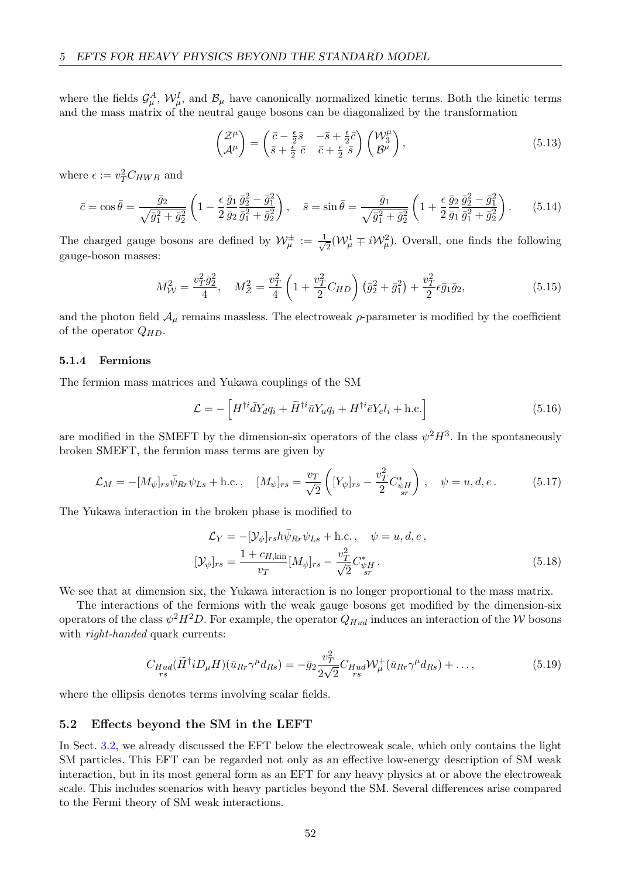where the fields  $\mathcal{G}^A_\mu$ ,  $\mathcal{W}^I_\mu$ , and  $\mathcal{B}_\mu$  have canonically normalized kinetic terms. Both the kinetic terms and the mass matrix of the neutral gauge bosons can be diagonalized by the transformation

$$
\begin{pmatrix} \mathcal{Z}^{\mu} \\ \mathcal{A}^{\mu} \end{pmatrix} = \begin{pmatrix} \bar{c} - \frac{\epsilon}{2}\bar{s} & -\bar{s} + \frac{\epsilon}{2}\bar{c} \\ \bar{s} + \frac{\epsilon}{2}\bar{c} & \bar{c} + \frac{\epsilon}{2}\bar{s} \end{pmatrix} \begin{pmatrix} \mathcal{W}_{3}^{\mu} \\ \mathcal{B}^{\mu} \end{pmatrix},
$$
\n(5.13)

where  $\epsilon := v_T^2 C_{HWB}$  and

$$
\bar{c} = \cos \bar{\theta} = \frac{\bar{g}_2}{\sqrt{\bar{g}_1^2 + \bar{g}_2^2}} \left( 1 - \frac{\epsilon}{2} \frac{\bar{g}_1}{\bar{g}_2} \frac{\bar{g}_2^2 - \bar{g}_1^2}{\bar{g}_1^2 + \bar{g}_2^2} \right), \quad \bar{s} = \sin \bar{\theta} = \frac{\bar{g}_1}{\sqrt{\bar{g}_1^2 + \bar{g}_2^2}} \left( 1 + \frac{\epsilon}{2} \frac{\bar{g}_2}{\bar{g}_1} \frac{\bar{g}_2^2 - \bar{g}_1^2}{\bar{g}_1^2 + \bar{g}_2^2} \right). \tag{5.14}
$$

The charged gauge bosons are defined by  $\mathcal{W}_{\mu}^{\pm} := \frac{1}{\sqrt{2}}$  $\overline{E}_{\overline{2}}(\mathcal{W}^1_{\mu} \mp i\mathcal{W}^2_{\mu}).$  Overall, one finds the following gauge-boson masses:

$$
M_W^2 = \frac{v_T^2 \bar{g}_2^2}{4}, \quad M_Z^2 = \frac{v_T^2}{4} \left( 1 + \frac{v_T^2}{2} C_{HD} \right) \left( \bar{g}_2^2 + \bar{g}_1^2 \right) + \frac{v_T^2}{2} \epsilon \bar{g}_1 \bar{g}_2, \tag{5.15}
$$

and the photon field  $A_{\mu}$  remains massless. The electroweak  $\rho$ -parameter is modified by the coefficient of the operator  $Q_{HD}$ .

### 5.1.4 Fermions

The fermion mass matrices and Yukawa couplings of the SM

$$
\mathcal{L} = -\left[H^{\dagger i}\bar{d}Y_d q_i + \widetilde{H}^{\dagger i}\bar{u}Y_u q_i + H^{\dagger i}\bar{e}Y_e l_i + \text{h.c.}\right]
$$
\n(5.16)

are modified in the SMEFT by the dimension-six operators of the class  $\psi^2 H^3$ . In the spontaneously broken SMEFT, the fermion mass terms are given by

$$
\mathcal{L}_M = -[M_{\psi}]_{rs}\bar{\psi}_{Rr}\psi_{Ls} + \text{h.c.}, \quad [M_{\psi}]_{rs} = \frac{v_T}{\sqrt{2}} \left( [Y_{\psi}]_{rs} - \frac{v_T^2}{2} C_{\psi H}^* \right), \quad \psi = u, d, e. \tag{5.17}
$$

The Yukawa interaction in the broken phase is modified to

$$
\mathcal{L}_Y = -[\mathcal{Y}_{\psi}]_{rs} h \bar{\psi}_{Rr} \psi_{Ls} + \text{h.c.}, \quad \psi = u, d, e,
$$
  

$$
[\mathcal{Y}_{\psi}]_{rs} = \frac{1 + c_{H, \text{kin}}}{v_T} [M_{\psi}]_{rs} - \frac{v_T^2}{\sqrt{2}} C_{\psi H}^*.
$$
 (5.18)

We see that at dimension six, the Yukawa interaction is no longer proportional to the mass matrix.

The interactions of the fermions with the weak gauge bosons get modified by the dimension-six operators of the class  $\psi^2 H^2 D$ . For example, the operator  $Q_{Hud}$  induces an interaction of the W bosons with *right-handed* quark currents:

$$
C_{Hud}(\widetilde{H}^{\dagger}iD_{\mu}H)(\bar{u}_{Rr}\gamma^{\mu}d_{Rs}) = -\bar{g}_2 \frac{v_T^2}{2\sqrt{2}} C_{Hud} \mathcal{W}_{\mu}^+(\bar{u}_{Rr}\gamma^{\mu}d_{Rs}) + \dots,
$$
\n(5.19)

where the ellipsis denotes terms involving scalar fields.

#### 5.2 Effects beyond the SM in the LEFT

In Sect. [3.2,](#page-25-0) we already discussed the EFT below the electroweak scale, which only contains the light SM particles. This EFT can be regarded not only as an effective low-energy description of SM weak interaction, but in its most general form as an EFT for any heavy physics at or above the electroweak scale. This includes scenarios with heavy particles beyond the SM. Several differences arise compared to the Fermi theory of SM weak interactions.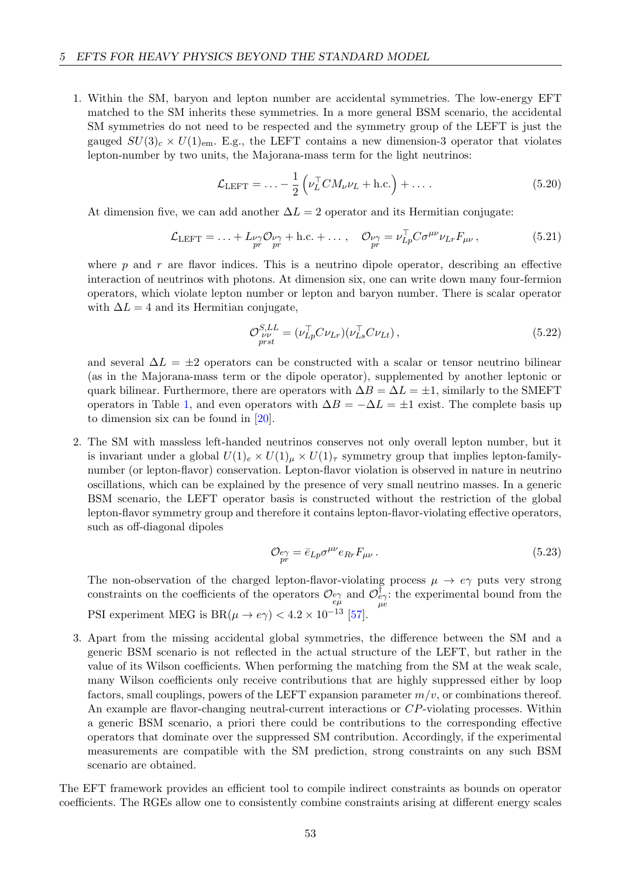1. Within the SM, baryon and lepton number are accidental symmetries. The low-energy EFT matched to the SM inherits these symmetries. In a more general BSM scenario, the accidental SM symmetries do not need to be respected and the symmetry group of the LEFT is just the gauged  $SU(3)_c \times U(1)_{em}$ . E.g., the LEFT contains a new dimension-3 operator that violates lepton-number by two units, the Majorana-mass term for the light neutrinos:

$$
\mathcal{L}_{\text{LEFT}} = \dots - \frac{1}{2} \left( \nu_L^{\top} C M_{\nu} \nu_L + \text{h.c.} \right) + \dots \tag{5.20}
$$

At dimension five, we can add another  $\Delta L = 2$  operator and its Hermitian conjugate:

$$
\mathcal{L}_{\text{LEFT}} = \dots + L_{\substack{\nu\gamma\\pr}} \mathcal{O}_{\substack{\nu\gamma\\pr}} + \text{h.c.} + \dots, \quad \mathcal{O}_{\substack{\nu\gamma\\pr}} = \nu_{Lp}^{\top} C \sigma^{\mu\nu} \nu_{Lr} F_{\mu\nu}, \tag{5.21}
$$

where  $p$  and  $r$  are flavor indices. This is a neutrino dipole operator, describing an effective interaction of neutrinos with photons. At dimension six, one can write down many four-fermion operators, which violate lepton number or lepton and baryon number. There is scalar operator with  $\Delta L = 4$  and its Hermitian conjugate,

$$
\mathcal{O}_{\nu\nu}^{S,LL} = (\nu_{Lp}^\top C \nu_{Lr}) (\nu_{Ls}^\top C \nu_{Lt}), \qquad (5.22)
$$

and several  $\Delta L = \pm 2$  operators can be constructed with a scalar or tensor neutrino bilinear (as in the Majorana-mass term or the dipole operator), supplemented by another leptonic or quark bilinear. Furthermore, there are operators with  $\Delta B = \Delta L = \pm 1$ , similarly to the SMEFT operators in Table [1,](#page-51-0) and even operators with  $\Delta B = -\Delta L = \pm 1$  exist. The complete basis up to dimension six can be found in [\[20\]](#page-68-0).

2. The SM with massless left-handed neutrinos conserves not only overall lepton number, but it is invariant under a global  $U(1)<sub>e</sub> \times U(1)<sub>u</sub> \times U(1)<sub>\tau</sub>$  symmetry group that implies lepton-familynumber (or lepton-flavor) conservation. Lepton-flavor violation is observed in nature in neutrino oscillations, which can be explained by the presence of very small neutrino masses. In a generic BSM scenario, the LEFT operator basis is constructed without the restriction of the global lepton-flavor symmetry group and therefore it contains lepton-flavor-violating effective operators, such as off-diagonal dipoles

$$
\mathcal{O}_{\stackrel{\rho\gamma}{pr}} = \bar{e}_{Lp}\sigma^{\mu\nu}e_{Rr}F_{\mu\nu} \,. \tag{5.23}
$$

The non-observation of the charged lepton-flavor-violating process  $\mu \to e\gamma$  puts very strong constraints on the coefficients of the operators  $\mathcal{O}_{e\gamma}$  and  $\mathcal{O}_{e\gamma}^{\dagger}$ : the experimental bound from the PSI experiment MEG is  $BR(\mu \to e\gamma) < 4.2 \times 10^{-13}$  [\[57\]](#page-70-12).

3. Apart from the missing accidental global symmetries, the difference between the SM and a generic BSM scenario is not reflected in the actual structure of the LEFT, but rather in the value of its Wilson coefficients. When performing the matching from the SM at the weak scale, many Wilson coefficients only receive contributions that are highly suppressed either by loop factors, small couplings, powers of the LEFT expansion parameter  $m/v$ , or combinations thereof. An example are flavor-changing neutral-current interactions or CP-violating processes. Within a generic BSM scenario, a priori there could be contributions to the corresponding effective operators that dominate over the suppressed SM contribution. Accordingly, if the experimental measurements are compatible with the SM prediction, strong constraints on any such BSM scenario are obtained.

The EFT framework provides an efficient tool to compile indirect constraints as bounds on operator coefficients. The RGEs allow one to consistently combine constraints arising at different energy scales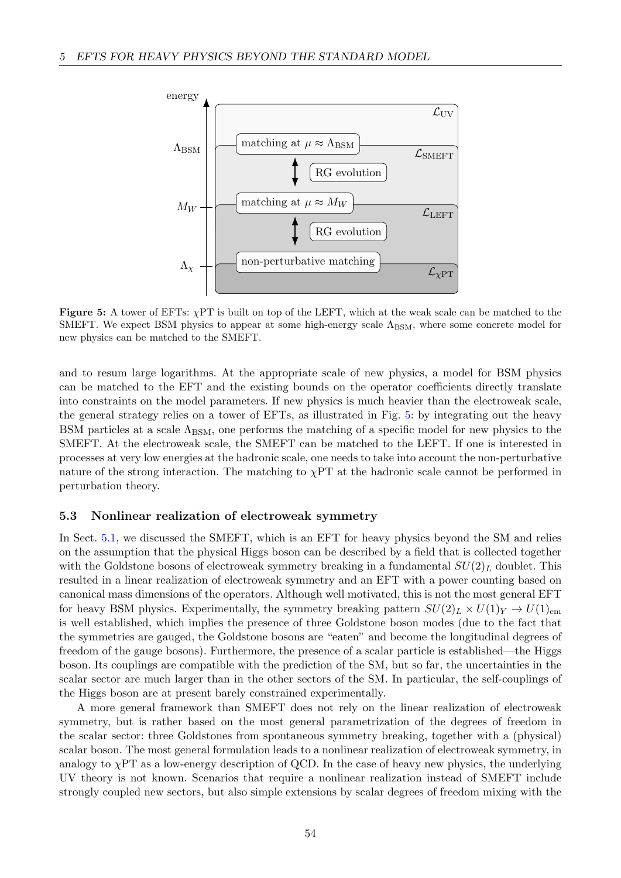<span id="page-55-0"></span>

Figure 5: A tower of EFTs:  $\chi$ PT is built on top of the LEFT, which at the weak scale can be matched to the SMEFT. We expect BSM physics to appear at some high-energy scale  $\Lambda_{BSM}$ , where some concrete model for new physics can be matched to the SMEFT.

and to resum large logarithms. At the appropriate scale of new physics, a model for BSM physics can be matched to the EFT and the existing bounds on the operator coefficients directly translate into constraints on the model parameters. If new physics is much heavier than the electroweak scale, the general strategy relies on a tower of EFTs, as illustrated in Fig. [5:](#page-55-0) by integrating out the heavy BSM particles at a scale  $\Lambda_{\text{BSM}}$ , one performs the matching of a specific model for new physics to the SMEFT. At the electroweak scale, the SMEFT can be matched to the LEFT. If one is interested in processes at very low energies at the hadronic scale, one needs to take into account the non-perturbative nature of the strong interaction. The matching to  $\chi PT$  at the hadronic scale cannot be performed in perturbation theory.

### 5.3 Nonlinear realization of electroweak symmetry

In Sect. [5.1,](#page-49-0) we discussed the SMEFT, which is an EFT for heavy physics beyond the SM and relies on the assumption that the physical Higgs boson can be described by a field that is collected together with the Goldstone bosons of electroweak symmetry breaking in a fundamental  $SU(2)<sub>L</sub>$  doublet. This resulted in a linear realization of electroweak symmetry and an EFT with a power counting based on canonical mass dimensions of the operators. Although well motivated, this is not the most general EFT for heavy BSM physics. Experimentally, the symmetry breaking pattern  $SU(2)_L \times U(1)_Y \to U(1)_{em}$ is well established, which implies the presence of three Goldstone boson modes (due to the fact that the symmetries are gauged, the Goldstone bosons are "eaten" and become the longitudinal degrees of freedom of the gauge bosons). Furthermore, the presence of a scalar particle is established—the Higgs boson. Its couplings are compatible with the prediction of the SM, but so far, the uncertainties in the scalar sector are much larger than in the other sectors of the SM. In particular, the self-couplings of the Higgs boson are at present barely constrained experimentally.

A more general framework than SMEFT does not rely on the linear realization of electroweak symmetry, but is rather based on the most general parametrization of the degrees of freedom in the scalar sector: three Goldstones from spontaneous symmetry breaking, together with a (physical) scalar boson. The most general formulation leads to a nonlinear realization of electroweak symmetry, in analogy to  $\chi$ PT as a low-energy description of QCD. In the case of heavy new physics, the underlying UV theory is not known. Scenarios that require a nonlinear realization instead of SMEFT include strongly coupled new sectors, but also simple extensions by scalar degrees of freedom mixing with the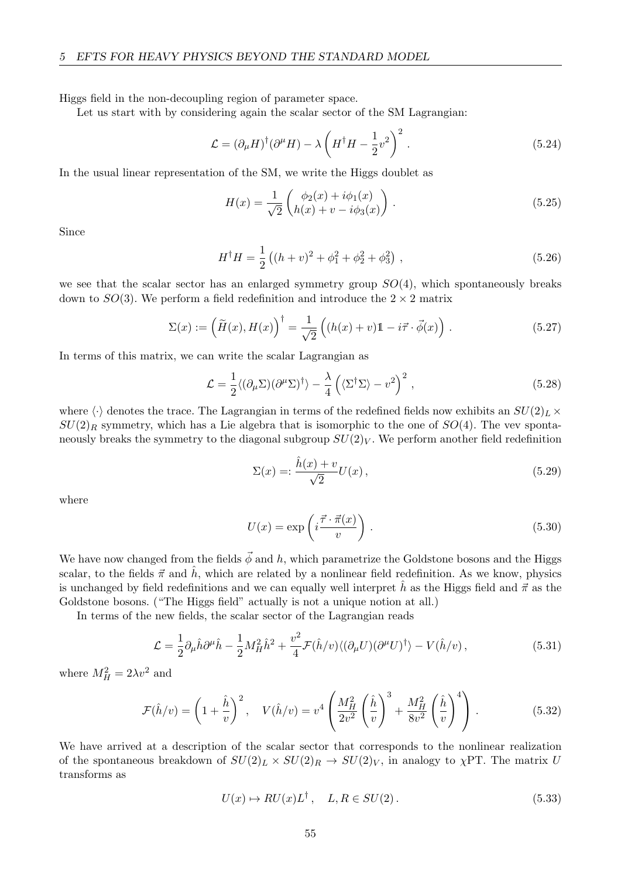Higgs field in the non-decoupling region of parameter space.

Let us start with by considering again the scalar sector of the SM Lagrangian:

$$
\mathcal{L} = (\partial_{\mu} H)^{\dagger} (\partial^{\mu} H) - \lambda \left( H^{\dagger} H - \frac{1}{2} v^2 \right)^2.
$$
 (5.24)

In the usual linear representation of the SM, we write the Higgs doublet as

$$
H(x) = \frac{1}{\sqrt{2}} \begin{pmatrix} \phi_2(x) + i\phi_1(x) \\ h(x) + v - i\phi_3(x) \end{pmatrix} .
$$
 (5.25)

Since

$$
H^{\dagger}H = \frac{1}{2} \left( (h+v)^2 + \phi_1^2 + \phi_2^2 + \phi_3^2 \right) , \qquad (5.26)
$$

we see that the scalar sector has an enlarged symmetry group  $SO(4)$ , which spontaneously breaks down to  $SO(3)$ . We perform a field redefinition and introduce the  $2 \times 2$  matrix

$$
\Sigma(x) := \left(\widetilde{H}(x), H(x)\right)^{\dagger} = \frac{1}{\sqrt{2}} \left( (h(x) + v)\mathbb{1} - i\vec{\tau} \cdot \vec{\phi}(x) \right). \tag{5.27}
$$

In terms of this matrix, we can write the scalar Lagrangian as

$$
\mathcal{L} = \frac{1}{2} \langle (\partial_{\mu} \Sigma)(\partial^{\mu} \Sigma)^{\dagger} \rangle - \frac{\lambda}{4} \left( \langle \Sigma^{\dagger} \Sigma \rangle - v^2 \right)^2 , \qquad (5.28)
$$

where  $\langle \cdot \rangle$  denotes the trace. The Lagrangian in terms of the redefined fields now exhibits an  $SU(2)_L \times$  $SU(2)_R$  symmetry, which has a Lie algebra that is isomorphic to the one of  $SO(4)$ . The vev spontaneously breaks the symmetry to the diagonal subgroup  $SU(2)_V$ . We perform another field redefinition

$$
\Sigma(x) = : \frac{\hat{h}(x) + v}{\sqrt{2}} U(x) , \qquad (5.29)
$$

where

$$
U(x) = \exp\left(i\frac{\vec{\tau} \cdot \vec{\pi}(x)}{v}\right). \tag{5.30}
$$

We have now changed from the fields  $\vec{\phi}$  and h, which parametrize the Goldstone bosons and the Higgs scalar, to the fields  $\vec{\pi}$  and  $\vec{h}$ , which are related by a nonlinear field redefinition. As we know, physics is unchanged by field redefinitions and we can equally well interpret  $\hat{h}$  as the Higgs field and  $\vec{\pi}$  as the Goldstone bosons. ("The Higgs field" actually is not a unique notion at all.)

In terms of the new fields, the scalar sector of the Lagrangian reads

$$
\mathcal{L} = \frac{1}{2} \partial_{\mu} \hat{h} \partial^{\mu} \hat{h} - \frac{1}{2} M_H^2 \hat{h}^2 + \frac{v^2}{4} \mathcal{F}(\hat{h}/v) \langle (\partial_{\mu} U)(\partial^{\mu} U)^{\dagger} \rangle - V(\hat{h}/v) \,, \tag{5.31}
$$

where  $M_H^2 = 2\lambda v^2$  and

$$
\mathcal{F}(\hat{h}/v) = \left(1 + \frac{\hat{h}}{v}\right)^2, \quad V(\hat{h}/v) = v^4 \left(\frac{M_H^2}{2v^2} \left(\frac{\hat{h}}{v}\right)^3 + \frac{M_H^2}{8v^2} \left(\frac{\hat{h}}{v}\right)^4\right). \tag{5.32}
$$

We have arrived at a description of the scalar sector that corresponds to the nonlinear realization of the spontaneous breakdown of  $SU(2)_L \times SU(2)_R \rightarrow SU(2)_V$ , in analogy to  $\chi PT$ . The matrix U transforms as

$$
U(x) \mapsto RU(x)L^{\dagger}, \quad L, R \in SU(2). \tag{5.33}
$$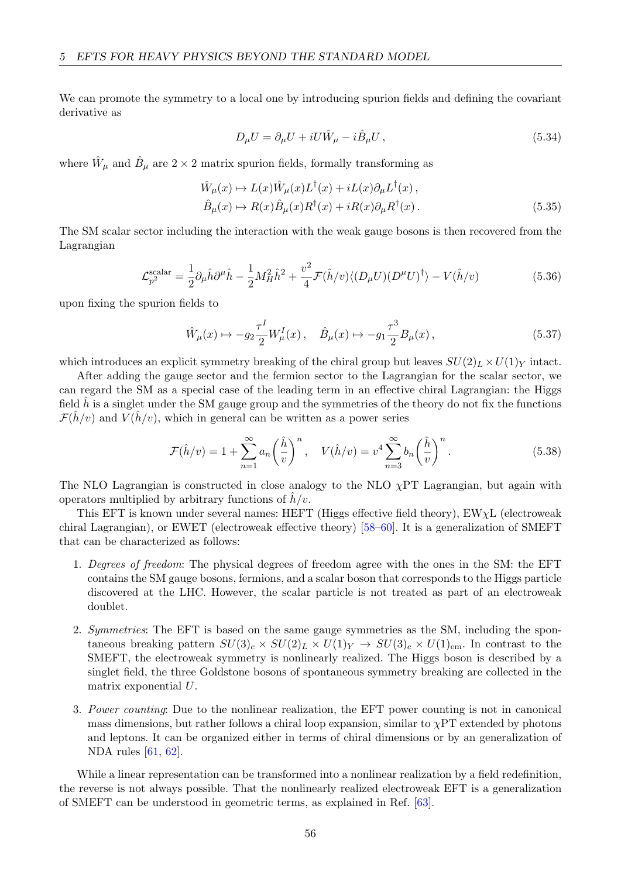We can promote the symmetry to a local one by introducing spurion fields and defining the covariant derivative as

$$
D_{\mu}U = \partial_{\mu}U + iU\hat{W}_{\mu} - i\hat{B}_{\mu}U, \qquad (5.34)
$$

where  $\hat{W}_{\mu}$  and  $\hat{B}_{\mu}$  are  $2 \times 2$  matrix spurion fields, formally transforming as

$$
\hat{W}_{\mu}(x) \mapsto L(x)\hat{W}_{\mu}(x)L^{\dagger}(x) + iL(x)\partial_{\mu}L^{\dagger}(x),\n\hat{B}_{\mu}(x) \mapsto R(x)\hat{B}_{\mu}(x)R^{\dagger}(x) + iR(x)\partial_{\mu}R^{\dagger}(x).
$$
\n(5.35)

The SM scalar sector including the interaction with the weak gauge bosons is then recovered from the Lagrangian

$$
\mathcal{L}_{p^2}^{\text{scalar}} = \frac{1}{2} \partial_\mu \hat{h} \partial^\mu \hat{h} - \frac{1}{2} M_H^2 \hat{h}^2 + \frac{v^2}{4} \mathcal{F}(\hat{h}/v) \langle (D_\mu U)(D^\mu U)^\dagger \rangle - V(\hat{h}/v) \tag{5.36}
$$

upon fixing the spurion fields to

$$
\hat{W}_{\mu}(x) \mapsto -g_2 \frac{\tau^I}{2} W_{\mu}^I(x) , \quad \hat{B}_{\mu}(x) \mapsto -g_1 \frac{\tau^3}{2} B_{\mu}(x) , \tag{5.37}
$$

which introduces an explicit symmetry breaking of the chiral group but leaves  $SU(2)_L \times U(1)_Y$  intact.

After adding the gauge sector and the fermion sector to the Lagrangian for the scalar sector, we can regard the SM as a special case of the leading term in an effective chiral Lagrangian: the Higgs field  $\hat{h}$  is a singlet under the SM gauge group and the symmetries of the theory do not fix the functions  $\mathcal{F}(h/v)$  and  $V(h/v)$ , which in general can be written as a power series

$$
\mathcal{F}(\hat{h}/v) = 1 + \sum_{n=1}^{\infty} a_n \left(\frac{\hat{h}}{v}\right)^n, \quad V(\hat{h}/v) = v^4 \sum_{n=3}^{\infty} b_n \left(\frac{\hat{h}}{v}\right)^n.
$$
 (5.38)

The NLO Lagrangian is constructed in close analogy to the NLO  $\chi$ PT Lagrangian, but again with operators multiplied by arbitrary functions of  $h/v$ .

This EFT is known under several names: HEFT (Higgs effective field theory),  $EW\chi L$  (electroweak chiral Lagrangian), or EWET (electroweak effective theory) [\[58–](#page-70-13)[60\]](#page-71-0). It is a generalization of SMEFT that can be characterized as follows:

- 1. Degrees of freedom: The physical degrees of freedom agree with the ones in the SM: the EFT contains the SM gauge bosons, fermions, and a scalar boson that corresponds to the Higgs particle discovered at the LHC. However, the scalar particle is not treated as part of an electroweak doublet.
- 2. Symmetries: The EFT is based on the same gauge symmetries as the SM, including the spontaneous breaking pattern  $SU(3)_c \times SU(2)_L \times U(1)_Y \rightarrow SU(3)_c \times U(1)_{em}$ . In contrast to the SMEFT, the electroweak symmetry is nonlinearly realized. The Higgs boson is described by a singlet field, the three Goldstone bosons of spontaneous symmetry breaking are collected in the matrix exponential U.
- 3. Power counting: Due to the nonlinear realization, the EFT power counting is not in canonical mass dimensions, but rather follows a chiral loop expansion, similar to  $\chi PT$  extended by photons and leptons. It can be organized either in terms of chiral dimensions or by an generalization of NDA rules [\[61,](#page-71-1) [62\]](#page-71-2).

While a linear representation can be transformed into a nonlinear realization by a field redefinition, the reverse is not always possible. That the nonlinearly realized electroweak EFT is a generalization of SMEFT can be understood in geometric terms, as explained in Ref. [\[63\]](#page-71-3).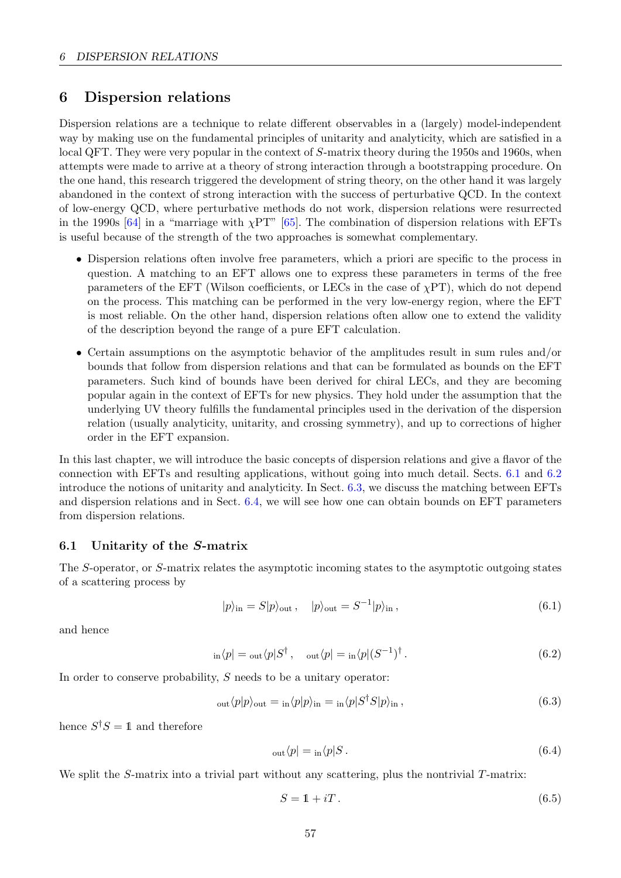# 6 Dispersion relations

Dispersion relations are a technique to relate different observables in a (largely) model-independent way by making use on the fundamental principles of unitarity and analyticity, which are satisfied in a local QFT. They were very popular in the context of S-matrix theory during the 1950s and 1960s, when attempts were made to arrive at a theory of strong interaction through a bootstrapping procedure. On the one hand, this research triggered the development of string theory, on the other hand it was largely abandoned in the context of strong interaction with the success of perturbative QCD. In the context of low-energy QCD, where perturbative methods do not work, dispersion relations were resurrected in the 1990s [\[64\]](#page-71-4) in a "marriage with  $\chi$ PT" [\[65\]](#page-71-5). The combination of dispersion relations with EFTs is useful because of the strength of the two approaches is somewhat complementary.

- Dispersion relations often involve free parameters, which a priori are specific to the process in question. A matching to an EFT allows one to express these parameters in terms of the free parameters of the EFT (Wilson coefficients, or LECs in the case of  $\chi PT$ ), which do not depend on the process. This matching can be performed in the very low-energy region, where the EFT is most reliable. On the other hand, dispersion relations often allow one to extend the validity of the description beyond the range of a pure EFT calculation.
- Certain assumptions on the asymptotic behavior of the amplitudes result in sum rules and/or bounds that follow from dispersion relations and that can be formulated as bounds on the EFT parameters. Such kind of bounds have been derived for chiral LECs, and they are becoming popular again in the context of EFTs for new physics. They hold under the assumption that the underlying UV theory fulfills the fundamental principles used in the derivation of the dispersion relation (usually analyticity, unitarity, and crossing symmetry), and up to corrections of higher order in the EFT expansion.

In this last chapter, we will introduce the basic concepts of dispersion relations and give a flavor of the connection with EFTs and resulting applications, without going into much detail. Sects. [6.1](#page-58-0) and [6.2](#page-60-0) introduce the notions of unitarity and analyticity. In Sect. [6.3,](#page-62-0) we discuss the matching between EFTs and dispersion relations and in Sect. [6.4,](#page-64-0) we will see how one can obtain bounds on EFT parameters from dispersion relations.

## <span id="page-58-0"></span>6.1 Unitarity of the S-matrix

The S-operator, or S-matrix relates the asymptotic incoming states to the asymptotic outgoing states of a scattering process by

$$
|p\rangle_{\text{in}} = S|p\rangle_{\text{out}}, \quad |p\rangle_{\text{out}} = S^{-1}|p\rangle_{\text{in}},\tag{6.1}
$$

and hence

$$
ln\langle p| = \text{out}\langle p|S^{\dagger}, \quad \text{out}\langle p| = \text{in}\langle p|(S^{-1})^{\dagger}.
$$
 (6.2)

In order to conserve probability,  $S$  needs to be a unitary operator:

$$
_{\text{out}}\langle p|p\rangle_{\text{out}} = {}_{\text{in}}\langle p|p\rangle_{\text{in}} = {}_{\text{in}}\langle p|S^{\dagger}S|p\rangle_{\text{in}},\tag{6.3}
$$

hence  $S^{\dagger}S = 1$  and therefore

$$
_{\text{out}}\langle p| = {}_{\text{in}}\langle p|S. \tag{6.4}
$$

We split the S-matrix into a trivial part without any scattering, plus the nontrivial T-matrix:

$$
S = 1 + iT. \tag{6.5}
$$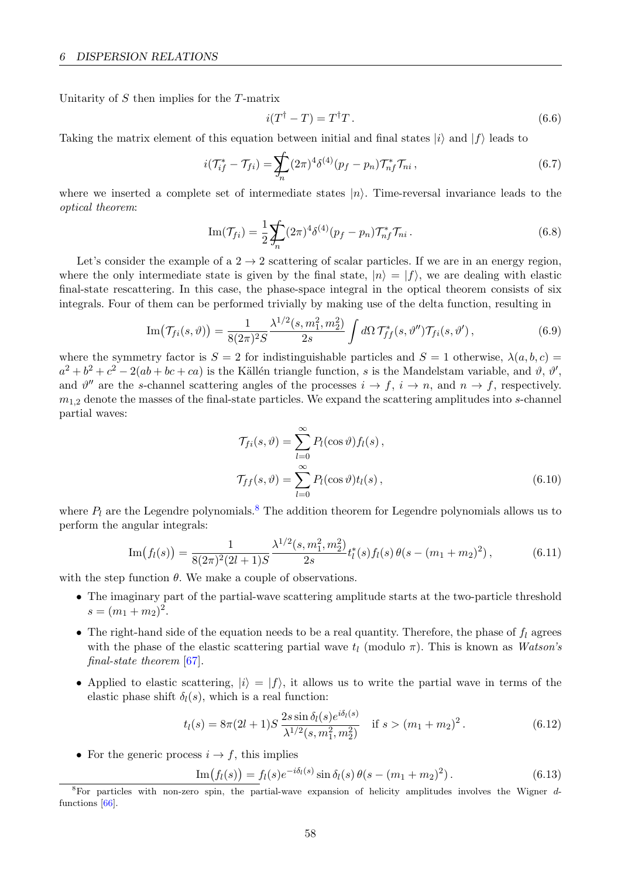Unitarity of S then implies for the T-matrix

<span id="page-59-1"></span>
$$
i(T^{\dagger} - T) = T^{\dagger} T. \tag{6.6}
$$

Taking the matrix element of this equation between initial and final states  $|i\rangle$  and  $|f\rangle$  leads to

$$
i(\mathcal{T}_{if}^* - \mathcal{T}_{fi}) = \sum_n (2\pi)^4 \delta^{(4)}(p_f - p_n) \mathcal{T}_{nf}^* \mathcal{T}_{ni},
$$
\n(6.7)

where we inserted a complete set of intermediate states  $|n\rangle$ . Time-reversal invariance leads to the optical theorem:

$$
\operatorname{Im}(\mathcal{T}_{fi}) = \frac{1}{2} \sum_{n} (2\pi)^4 \delta^{(4)}(p_f - p_n) \mathcal{T}_{nf}^* \mathcal{T}_{ni}.
$$
 (6.8)

Let's consider the example of a  $2 \rightarrow 2$  scattering of scalar particles. If we are in an energy region, where the only intermediate state is given by the final state,  $|n\rangle = |f\rangle$ , we are dealing with elastic final-state rescattering. In this case, the phase-space integral in the optical theorem consists of six integrals. Four of them can be performed trivially by making use of the delta function, resulting in

Im
$$
(\mathcal{T}_{fi}(s,\vartheta)) = \frac{1}{8(2\pi)^2 S} \frac{\lambda^{1/2}(s, m_1^2, m_2^2)}{2s} \int d\Omega \, \mathcal{T}_{ff}^*(s,\vartheta'') \mathcal{T}_{fi}(s,\vartheta'),
$$
 (6.9)

where the symmetry factor is  $S = 2$  for indistinguishable particles and  $S = 1$  otherwise,  $\lambda(a, b, c)$  $a^2 + b^2 + c^2 - 2(ab + bc + ca)$  is the Källén triangle function, s is the Mandelstam variable, and  $\vartheta$ ,  $\vartheta'$ , and  $\vartheta''$  are the s-channel scattering angles of the processes  $i \to f$ ,  $i \to n$ , and  $n \to f$ , respectively.  $m_{1,2}$  denote the masses of the final-state particles. We expand the scattering amplitudes into s-channel partial waves:

$$
\mathcal{T}_{fi}(s,\vartheta) = \sum_{l=0}^{\infty} P_l(\cos\vartheta) f_l(s),
$$
  

$$
\mathcal{T}_{ff}(s,\vartheta) = \sum_{l=0}^{\infty} P_l(\cos\vartheta) t_l(s),
$$
 (6.10)

where  $P_l$  are the Legendre polynomials.<sup>[8](#page-59-0)</sup> The addition theorem for Legendre polynomials allows us to perform the angular integrals:

$$
\operatorname{Im}(f_l(s)) = \frac{1}{8(2\pi)^2(2l+1)S} \frac{\lambda^{1/2}(s, m_1^2, m_2^2)}{2s} t_l^*(s) f_l(s) \theta(s - (m_1 + m_2)^2), \tag{6.11}
$$

with the step function  $\theta$ . We make a couple of observations.

- The imaginary part of the partial-wave scattering amplitude starts at the two-particle threshold  $s = (m_1 + m_2)^2$ .
- The right-hand side of the equation needs to be a real quantity. Therefore, the phase of  $f_l$  agrees with the phase of the elastic scattering partial wave  $t_l$  (modulo  $\pi$ ). This is known as Watson's final-state theorem [\[67\]](#page-71-6).
- Applied to elastic scattering,  $|i\rangle = |f\rangle$ , it allows us to write the partial wave in terms of the elastic phase shift  $\delta_l(s)$ , which is a real function:

$$
t_l(s) = 8\pi (2l+1)S \frac{2s \sin \delta_l(s) e^{i\delta_l(s)}}{\lambda^{1/2}(s, m_1^2, m_2^2)} \quad \text{if } s > (m_1 + m_2)^2. \tag{6.12}
$$

• For the generic process  $i \rightarrow f$ , this implies

$$
\underline{\text{Im}(f_l(s))} = f_l(s)e^{-i\delta_l(s)}\sin\delta_l(s)\theta(s-(m_1+m_2)^2). \tag{6.13}
$$

<span id="page-59-0"></span><sup>&</sup>lt;sup>8</sup>For particles with non-zero spin, the partial-wave expansion of helicity amplitudes involves the Wigner dfunctions [\[66\]](#page-71-7).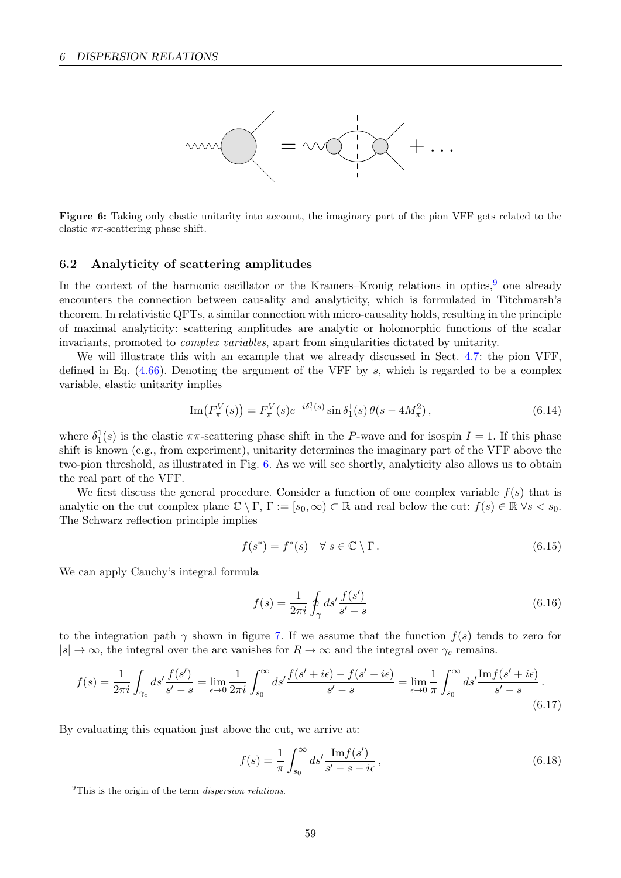<span id="page-60-2"></span>

**Figure 6:** Taking only elastic unitarity into account, the imaginary part of the pion VFF gets related to the elastic  $\pi\pi$ -scattering phase shift. elastic  $\pi\pi$ -scattering phase shift.

#### <span id="page-60-0"></span>6.2 Analyticity of scattering amplitudes

In the context of the harmonic oscillator or the Kramers–Kronig relations in optics, <sup>[9](#page-60-1)</sup> one already encounters the connection between causality and analyticity, which is formulated in Titchmarsh's theorem. In relativistic QFTs, a similar connection with micro-causality holds, resulting in the principle of maximal analyticity: scattering amplitudes are analytic or holomorphic functions of the scalar invariants, promoted to *complex variables*, apart from singularities dictated by unitarity.

We will illustrate this with an example that we already discussed in Sect. [4.7:](#page-46-0) the pion VFF, defined in Eq.  $(4.66)$ . Denoting the argument of the VFF by s, which is regarded to be a complex variable, elastic unitarity implies

$$
\operatorname{Im}(F_{\pi}^{V}(s)) = F_{\pi}^{V}(s)e^{-i\delta_{1}^{1}(s)}\sin\delta_{1}^{1}(s)\theta(s - 4M_{\pi}^{2}), \qquad (6.14)
$$

where  $\delta_1^1(s)$  is the elastic  $\pi\pi$ -scattering phase shift in the P-wave and for isospin  $I = 1$ . If this phase shift is known (e.g., from experiment), unitarity determines the imaginary part of the VFF above the two-pion threshold, as illustrated in Fig. [6.](#page-60-2) As we will see shortly, analyticity also allows us to obtain the real part of the VFF.

We first discuss the general procedure. Consider a function of one complex variable  $f(s)$  that is analytic on the cut complex plane  $\mathbb{C} \setminus \Gamma$ ,  $\Gamma := [s_0, \infty) \subset \mathbb{R}$  and real below the cut:  $f(s) \in \mathbb{R} \forall s < s_0$ . The Schwarz reflection principle implies

$$
f(s^*) = f^*(s) \quad \forall \ s \in \mathbb{C} \setminus \Gamma. \tag{6.15}
$$

We can apply Cauchy's integral formula

$$
f(s) = \frac{1}{2\pi i} \oint_{\gamma} ds' \frac{f(s')}{s' - s}
$$
(6.16)

to the integration path  $\gamma$  shown in figure [7.](#page-61-0) If we assume that the function  $f(s)$  tends to zero for  $|s| \to \infty$ , the integral over the arc vanishes for  $R \to \infty$  and the integral over  $\gamma_c$  remains.

$$
f(s) = \frac{1}{2\pi i} \int_{\gamma_c} ds' \frac{f(s')}{s' - s} = \lim_{\epsilon \to 0} \frac{1}{2\pi i} \int_{s_0}^{\infty} ds' \frac{f(s' + i\epsilon) - f(s' - i\epsilon)}{s' - s} = \lim_{\epsilon \to 0} \frac{1}{\pi} \int_{s_0}^{\infty} ds' \frac{\text{Im} f(s' + i\epsilon)}{s' - s}.
$$
\n(6.17)

By evaluating this equation just above the cut, we arrive at:

<span id="page-60-3"></span>
$$
f(s) = \frac{1}{\pi} \int_{s_0}^{\infty} ds' \frac{\text{Im} f(s')}{s' - s - i\epsilon},
$$
\n(6.18)

<span id="page-60-1"></span> $^{9}$ This is the origin of the term *dispersion relations*.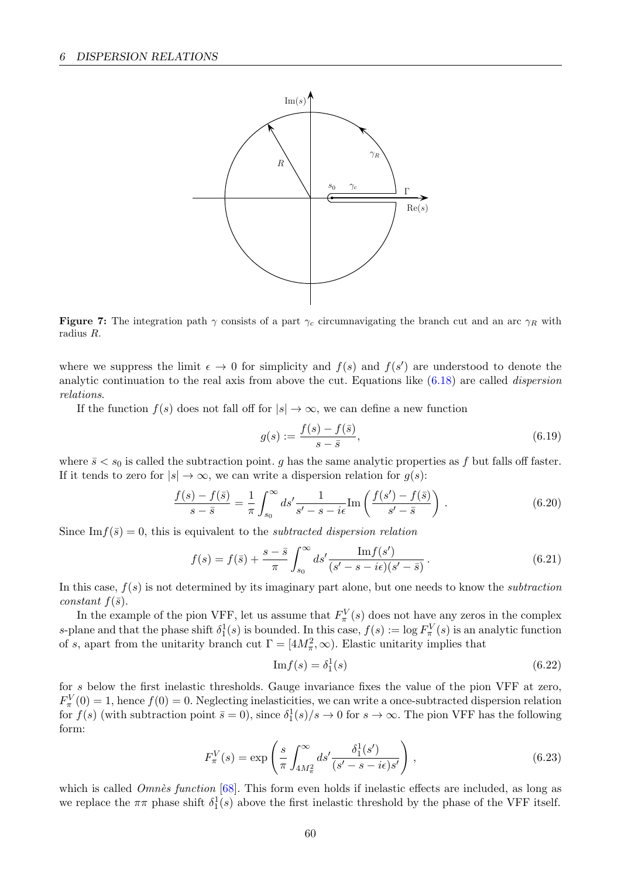<span id="page-61-0"></span>

**Figure 7:** The integration path  $\gamma$  consists of a part  $\gamma_c$  circumnavigating the branch cut and an arc  $\gamma_R$  with radius R.

where we suppress the limit  $\epsilon \to 0$  for simplicity and  $f(s)$  and  $f(s')$  are understood to denote the analytic continuation to the real axis from above the cut. Equations like  $(6.18)$  are called *dispersion* relations.

If the function  $f(s)$  does not fall off for  $|s| \to \infty$ , we can define a new function

$$
g(s) := \frac{f(s) - f(\bar{s})}{s - \bar{s}},\tag{6.19}
$$

where  $\bar{s} < s_0$  is called the subtraction point. g has the same analytic properties as f but falls off faster. If it tends to zero for  $|s| \to \infty$ , we can write a dispersion relation for  $g(s)$ :

$$
\frac{f(s) - f(\bar{s})}{s - \bar{s}} = \frac{1}{\pi} \int_{s_0}^{\infty} ds' \frac{1}{s' - s - i\epsilon} \text{Im}\left(\frac{f(s') - f(\bar{s})}{s' - \bar{s}}\right). \tag{6.20}
$$

Since Im  $f(\bar{s}) = 0$ , this is equivalent to the *subtracted dispersion relation* 

$$
f(s) = f(\bar{s}) + \frac{s - \bar{s}}{\pi} \int_{s_0}^{\infty} ds' \frac{\text{Im} f(s')}{(s' - s - i\epsilon)(s' - \bar{s})}.
$$
 (6.21)

In this case,  $f(s)$  is not determined by its imaginary part alone, but one needs to know the *subtraction* constant  $f(\bar{s})$ .

In the example of the pion VFF, let us assume that  $F_{\pi}^V(s)$  does not have any zeros in the complex s-plane and that the phase shift  $\delta_1^1(s)$  is bounded. In this case,  $f(s) := \log F_\pi^V(s)$  is an analytic function of s, apart from the unitarity branch cut  $\Gamma = [4M_{\pi}^2, \infty)$ . Elastic unitarity implies that

<span id="page-61-1"></span>
$$
\mathrm{Im}f(s) = \delta_1^1(s) \tag{6.22}
$$

for s below the first inelastic thresholds. Gauge invariance fixes the value of the pion VFF at zero,  $F_{\pi}^V(0) = 1$ , hence  $f(0) = 0$ . Neglecting inelasticities, we can write a once-subtracted dispersion relation for  $f(s)$  (with subtraction point  $\bar{s} = 0$ ), since  $\delta_1^1(s)/s \to 0$  for  $s \to \infty$ . The pion VFF has the following form:

$$
F_{\pi}^{V}(s) = \exp\left(\frac{s}{\pi} \int_{4M_{\pi}^{2}}^{\infty} ds' \frac{\delta_{1}^{1}(s')}{(s'-s-i\epsilon)s'}\right),
$$
\n(6.23)

which is called  $Omn\dot{e}s$  function [\[68\]](#page-71-8). This form even holds if inelastic effects are included, as long as we replace the  $\pi\pi$  phase shift  $\delta_1^1(s)$  above the first inelastic threshold by the phase of the VFF itself.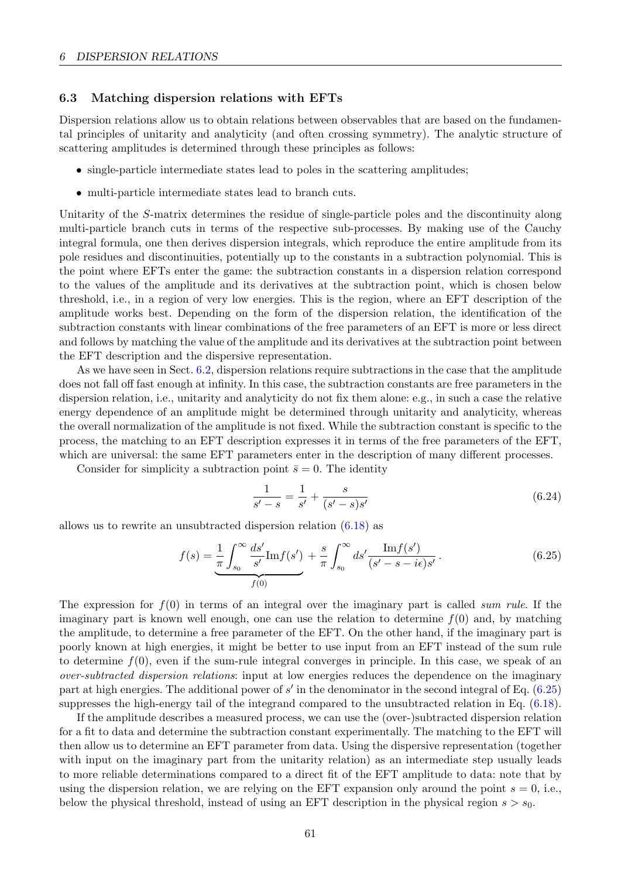### <span id="page-62-0"></span>6.3 Matching dispersion relations with EFTs

Dispersion relations allow us to obtain relations between observables that are based on the fundamental principles of unitarity and analyticity (and often crossing symmetry). The analytic structure of scattering amplitudes is determined through these principles as follows:

- single-particle intermediate states lead to poles in the scattering amplitudes;
- multi-particle intermediate states lead to branch cuts.

Unitarity of the S-matrix determines the residue of single-particle poles and the discontinuity along multi-particle branch cuts in terms of the respective sub-processes. By making use of the Cauchy integral formula, one then derives dispersion integrals, which reproduce the entire amplitude from its pole residues and discontinuities, potentially up to the constants in a subtraction polynomial. This is the point where EFTs enter the game: the subtraction constants in a dispersion relation correspond to the values of the amplitude and its derivatives at the subtraction point, which is chosen below threshold, i.e., in a region of very low energies. This is the region, where an EFT description of the amplitude works best. Depending on the form of the dispersion relation, the identification of the subtraction constants with linear combinations of the free parameters of an EFT is more or less direct and follows by matching the value of the amplitude and its derivatives at the subtraction point between the EFT description and the dispersive representation.

As we have seen in Sect. [6.2,](#page-60-0) dispersion relations require subtractions in the case that the amplitude does not fall off fast enough at infinity. In this case, the subtraction constants are free parameters in the dispersion relation, i.e., unitarity and analyticity do not fix them alone: e.g., in such a case the relative energy dependence of an amplitude might be determined through unitarity and analyticity, whereas the overall normalization of the amplitude is not fixed. While the subtraction constant is specific to the process, the matching to an EFT description expresses it in terms of the free parameters of the EFT, which are universal: the same EFT parameters enter in the description of many different processes.

Consider for simplicity a subtraction point  $\bar{s} = 0$ . The identity

<span id="page-62-1"></span>
$$
\frac{1}{s'-s} = \frac{1}{s'} + \frac{s}{(s'-s)s'}
$$
(6.24)

allows us to rewrite an unsubtracted dispersion relation [\(6.18\)](#page-60-3) as

$$
f(s) = \frac{1}{\pi} \int_{s_0}^{\infty} \frac{ds'}{s'} \text{Im} f(s') + \frac{s}{\pi} \int_{s_0}^{\infty} ds' \frac{\text{Im} f(s')}{(s' - s - i\epsilon)s'}.
$$
 (6.25)

The expression for  $f(0)$  in terms of an integral over the imaginary part is called sum rule. If the imaginary part is known well enough, one can use the relation to determine  $f(0)$  and, by matching the amplitude, to determine a free parameter of the EFT. On the other hand, if the imaginary part is poorly known at high energies, it might be better to use input from an EFT instead of the sum rule to determine  $f(0)$ , even if the sum-rule integral converges in principle. In this case, we speak of an over-subtracted dispersion relations: input at low energies reduces the dependence on the imaginary part at high energies. The additional power of s' in the denominator in the second integral of Eq. [\(6.25\)](#page-62-1) suppresses the high-energy tail of the integrand compared to the unsubtracted relation in Eq. [\(6.18\)](#page-60-3).

If the amplitude describes a measured process, we can use the (over-)subtracted dispersion relation for a fit to data and determine the subtraction constant experimentally. The matching to the EFT will then allow us to determine an EFT parameter from data. Using the dispersive representation (together with input on the imaginary part from the unitarity relation) as an intermediate step usually leads to more reliable determinations compared to a direct fit of the EFT amplitude to data: note that by using the dispersion relation, we are relying on the EFT expansion only around the point  $s = 0$ , i.e., below the physical threshold, instead of using an EFT description in the physical region  $s > s_0$ .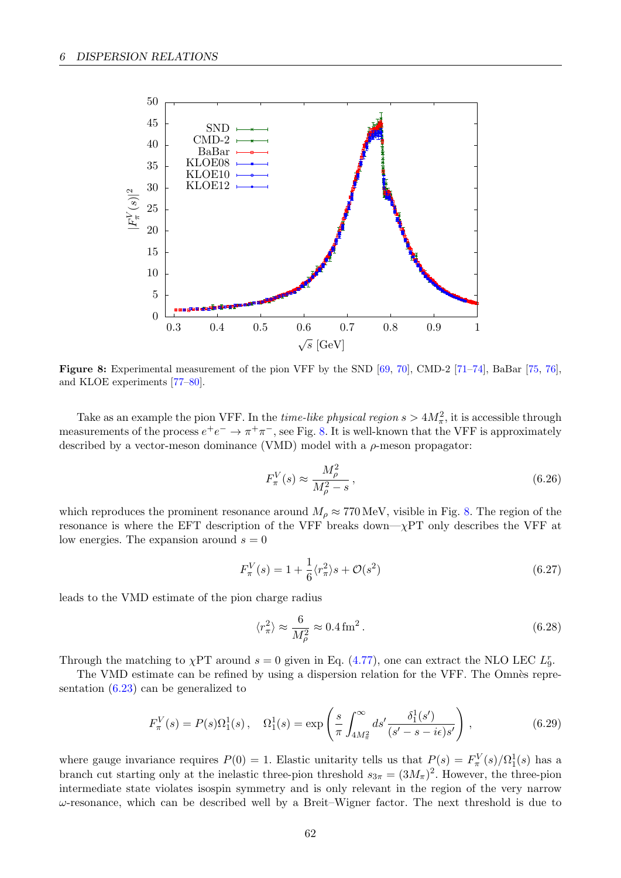<span id="page-63-0"></span>

Figure 8: Experimental measurement of the pion VFF by the SND [\[69,](#page-71-9) [70\]](#page-71-10), CMD-2 [\[71–](#page-71-11)[74\]](#page-71-12), BaBar [\[75,](#page-71-13) [76\]](#page-71-14), and KLOE experiments [\[77](#page-72-0)[–80\]](#page-72-1).

Take as an example the pion VFF. In the *time-like physical region*  $s > 4M_{\pi}^2$ , it is accessible through measurements of the process  $e^+e^- \to \pi^+\pi^-$ , see Fig. [8.](#page-63-0) It is well-known that the VFF is approximately described by a vector-meson dominance (VMD) model with a  $\rho$ -meson propagator:

$$
F_{\pi}^{V}(s) \approx \frac{M_{\rho}^{2}}{M_{\rho}^{2} - s},\tag{6.26}
$$

which reproduces the prominent resonance around  $M_{\rho} \approx 770 \,\text{MeV}$ , visible in Fig. [8.](#page-63-0) The region of the resonance is where the EFT description of the VFF breaks down— $\chi$ PT only describes the VFF at low energies. The expansion around  $s = 0$ 

$$
F_{\pi}^{V}(s) = 1 + \frac{1}{6} \langle r_{\pi}^{2} \rangle s + \mathcal{O}(s^{2})
$$
\n(6.27)

leads to the VMD estimate of the pion charge radius

$$
\langle r_{\pi}^2 \rangle \approx \frac{6}{M_{\rho}^2} \approx 0.4 \,\text{fm}^2 \,. \tag{6.28}
$$

Through the matching to  $\chi$ PT around  $s = 0$  given in Eq. [\(4.77\)](#page-48-0), one can extract the NLO LEC  $L_9^r$ .

The VMD estimate can be refined by using a dispersion relation for the VFF. The Omnès representation [\(6.23\)](#page-61-1) can be generalized to

$$
F_{\pi}^{V}(s) = P(s)\Omega_{1}^{1}(s), \quad \Omega_{1}^{1}(s) = \exp\left(\frac{s}{\pi} \int_{4M_{\pi}^{2}}^{\infty} ds' \frac{\delta_{1}^{1}(s')}{(s'-s-i\epsilon)s'}\right),
$$
(6.29)

where gauge invariance requires  $P(0) = 1$ . Elastic unitarity tells us that  $P(s) = F_{\pi}^{V}(s) / \Omega_{1}^{1}(s)$  has a branch cut starting only at the inelastic three-pion threshold  $s_{3\pi} = (3M_{\pi})^2$ . However, the three-pion intermediate state violates isospin symmetry and is only relevant in the region of the very narrow  $\omega$ -resonance, which can be described well by a Breit–Wigner factor. The next threshold is due to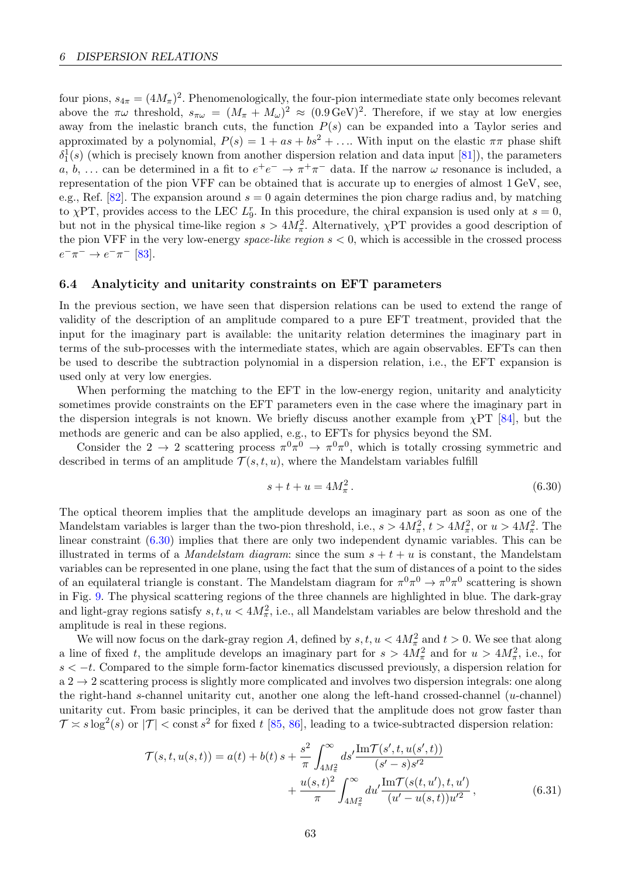four pions,  $s_{4\pi} = (4M_{\pi})^2$ . Phenomenologically, the four-pion intermediate state only becomes relevant above the  $\pi\omega$  threshold,  $s_{\pi\omega} = (M_{\pi} + M_{\omega})^2 \approx (0.9 \,\text{GeV})^2$ . Therefore, if we stay at low energies away from the inelastic branch cuts, the function  $P(s)$  can be expanded into a Taylor series and approximated by a polynomial,  $P(s) = 1 + as + bs^2 + \dots$  With input on the elastic  $\pi\pi$  phase shift  $\delta_1^1(s)$  (which is precisely known from another dispersion relation and data input [\[81\]](#page-72-2)), the parameters a, b, ... can be determined in a fit to  $e^+e^- \to \pi^+\pi^-$  data. If the narrow  $\omega$  resonance is included, a representation of the pion VFF can be obtained that is accurate up to energies of almost 1 GeV, see, e.g., Ref. [\[82\]](#page-72-3). The expansion around  $s = 0$  again determines the pion charge radius and, by matching to  $\chi$ PT, provides access to the LEC  $L_9^r$ . In this procedure, the chiral expansion is used only at  $s = 0$ , but not in the physical time-like region  $s > 4M_{\pi}^2$ . Alternatively,  $\chi$ PT provides a good description of the pion VFF in the very low-energy *space-like region*  $s < 0$ , which is accessible in the crossed process  $e^{-}\pi^{-} \to e^{-}\pi^{-}$  [\[83\]](#page-72-4).

### <span id="page-64-0"></span>6.4 Analyticity and unitarity constraints on EFT parameters

In the previous section, we have seen that dispersion relations can be used to extend the range of validity of the description of an amplitude compared to a pure EFT treatment, provided that the input for the imaginary part is available: the unitarity relation determines the imaginary part in terms of the sub-processes with the intermediate states, which are again observables. EFTs can then be used to describe the subtraction polynomial in a dispersion relation, i.e., the EFT expansion is used only at very low energies.

When performing the matching to the EFT in the low-energy region, unitarity and analyticity sometimes provide constraints on the EFT parameters even in the case where the imaginary part in the dispersion integrals is not known. We briefly discuss another example from  $\chi PT$  [\[84\]](#page-72-5), but the methods are generic and can be also applied, e.g., to EFTs for physics beyond the SM.

Consider the 2  $\rightarrow$  2 scattering process  $\pi^0 \pi^0 \rightarrow \pi^0 \pi^0$ , which is totally crossing symmetric and described in terms of an amplitude  $\mathcal{T}(s,t,u)$ , where the Mandelstam variables fulfill

<span id="page-64-1"></span>
$$
s + t + u = 4M_{\pi}^{2}.
$$
 (6.30)

The optical theorem implies that the amplitude develops an imaginary part as soon as one of the Mandelstam variables is larger than the two-pion threshold, i.e.,  $s > 4M_{\pi}^2$ ,  $t > 4M_{\pi}^2$ , or  $u > 4M_{\pi}^2$ . The linear constraint [\(6.30\)](#page-64-1) implies that there are only two independent dynamic variables. This can be illustrated in terms of a *Mandelstam diagram*: since the sum  $s + t + u$  is constant, the Mandelstam variables can be represented in one plane, using the fact that the sum of distances of a point to the sides of an equilateral triangle is constant. The Mandelstam diagram for  $\pi^0 \pi^0 \to \pi^0 \pi^0$  scattering is shown in Fig. [9.](#page-65-0) The physical scattering regions of the three channels are highlighted in blue. The dark-gray and light-gray regions satisfy  $s, t, u < 4M_{\pi}^2$ , i.e., all Mandelstam variables are below threshold and the amplitude is real in these regions.

We will now focus on the dark-gray region A, defined by  $s, t, u < 4M_{\pi}^2$  and  $t > 0$ . We see that along a line of fixed t, the amplitude develops an imaginary part for  $s > 4M_{\pi}^2$  and for  $u > 4M_{\pi}^2$ , i.e., for  $s < -t$ . Compared to the simple form-factor kinematics discussed previously, a dispersion relation for  $a 2 \rightarrow 2$  scattering process is slightly more complicated and involves two dispersion integrals: one along the right-hand s-channel unitarity cut, another one along the left-hand crossed-channel  $(u\text{-channel})$ unitarity cut. From basic principles, it can be derived that the amplitude does not grow faster than  $\mathcal{T} \approx s \log^2(s)$  or  $|\mathcal{T}| < \text{const } s^2$  for fixed t [\[85,](#page-72-6) [86\]](#page-72-7), leading to a twice-subtracted dispersion relation:

$$
\mathcal{T}(s,t,u(s,t)) = a(t) + b(t) s + \frac{s^2}{\pi} \int_{4M_{\pi}^2}^{\infty} ds' \frac{\text{Im}\mathcal{T}(s',t,u(s',t))}{(s'-s)s'^2} \n+ \frac{u(s,t)^2}{\pi} \int_{4M_{\pi}^2}^{\infty} du' \frac{\text{Im}\mathcal{T}(s(t,u'),t,u')}{(u'-u(s,t))u'^2},
$$
\n(6.31)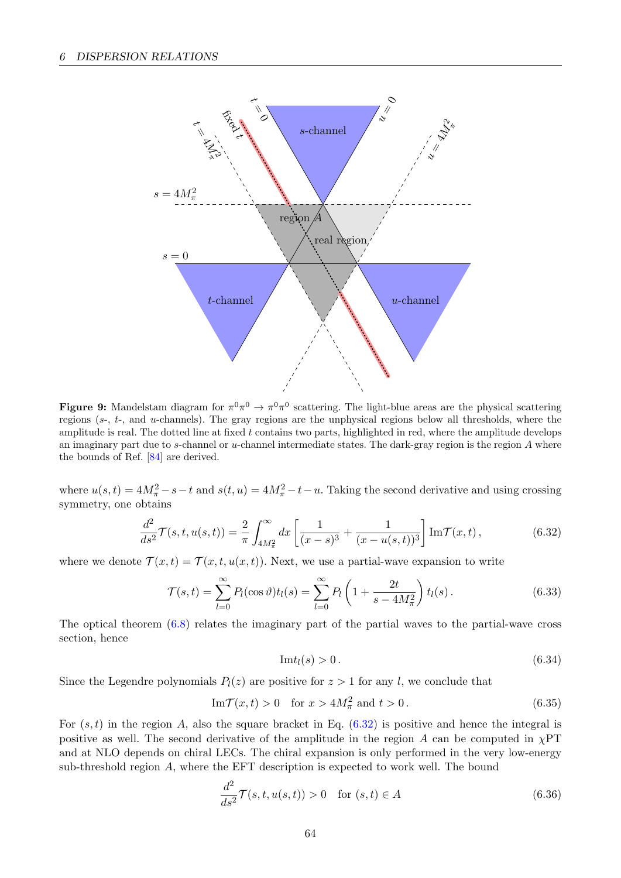<span id="page-65-0"></span>

**Figure 9:** Mandelstam diagram for  $\pi^0 \pi^0 \to \pi^0 \pi^0$  scattering. The light-blue areas are the physical scattering regions (s-, t-, and u-channels). The gray regions are the unphysical regions below all thresholds, where the amplitude is real. The dotted line at fixed t contains two parts, highlighted in red, where the amplitude develops an imaginary part due to s-channel or  $u$ -channel intermediate states. The dark-gray region is the region  $A$  where the bounds of Ref. [\[84\]](#page-72-5) are derived.

where  $u(s,t) = 4M_{\pi}^2 - s - t$  and  $s(t, u) = 4M_{\pi}^2 - t - u$ . Taking the second derivative and using crossing symmetry, one obtains

$$
\frac{d^2}{ds^2} \mathcal{T}(s, t, u(s, t)) = \frac{2}{\pi} \int_{4M_\pi^2}^{\infty} dx \left[ \frac{1}{(x - s)^3} + \frac{1}{(x - u(s, t))^3} \right] \text{Im} \mathcal{T}(x, t) , \qquad (6.32)
$$

where we denote  $\mathcal{T}(x,t) = \mathcal{T}(x,t,u(x,t))$ . Next, we use a partial-wave expansion to write

$$
\mathcal{T}(s,t) = \sum_{l=0}^{\infty} P_l(\cos \vartheta) t_l(s) = \sum_{l=0}^{\infty} P_l \left( 1 + \frac{2t}{s - 4M_{\pi}^2} \right) t_l(s).
$$
 (6.33)

The optical theorem [\(6.8\)](#page-59-1) relates the imaginary part of the partial waves to the partial-wave cross section, hence

<span id="page-65-1"></span>
$$
\mathrm{Im}t_l(s) > 0. \tag{6.34}
$$

Since the Legendre polynomials  $P_l(z)$  are positive for  $z > 1$  for any l, we conclude that

$$
\operatorname{Im} \mathcal{T}(x,t) > 0 \quad \text{for } x > 4M_{\pi}^2 \text{ and } t > 0. \tag{6.35}
$$

For  $(s, t)$  in the region A, also the square bracket in Eq.  $(6.32)$  is positive and hence the integral is positive as well. The second derivative of the amplitude in the region A can be computed in  $\chi$ PT and at NLO depends on chiral LECs. The chiral expansion is only performed in the very low-energy sub-threshold region A, where the EFT description is expected to work well. The bound

$$
\frac{d^2}{ds^2}\mathcal{T}(s,t,u(s,t)) > 0 \quad \text{for } (s,t) \in A \tag{6.36}
$$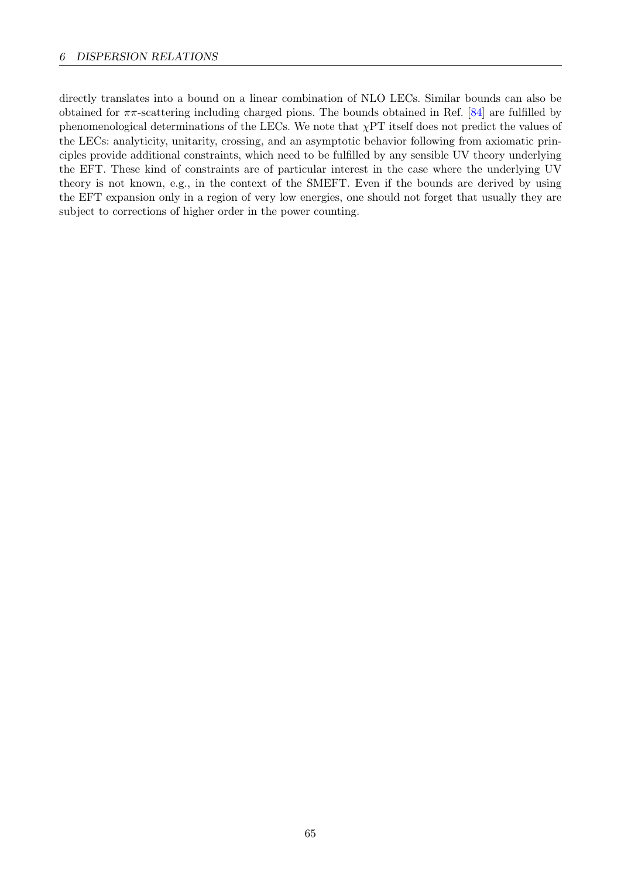directly translates into a bound on a linear combination of NLO LECs. Similar bounds can also be obtained for  $\pi\pi$ -scattering including charged pions. The bounds obtained in Ref. [\[84\]](#page-72-5) are fulfilled by phenomenological determinations of the LECs. We note that  $\chi PT$  itself does not predict the values of the LECs: analyticity, unitarity, crossing, and an asymptotic behavior following from axiomatic principles provide additional constraints, which need to be fulfilled by any sensible UV theory underlying the EFT. These kind of constraints are of particular interest in the case where the underlying UV theory is not known, e.g., in the context of the SMEFT. Even if the bounds are derived by using the EFT expansion only in a region of very low energies, one should not forget that usually they are subject to corrections of higher order in the power counting.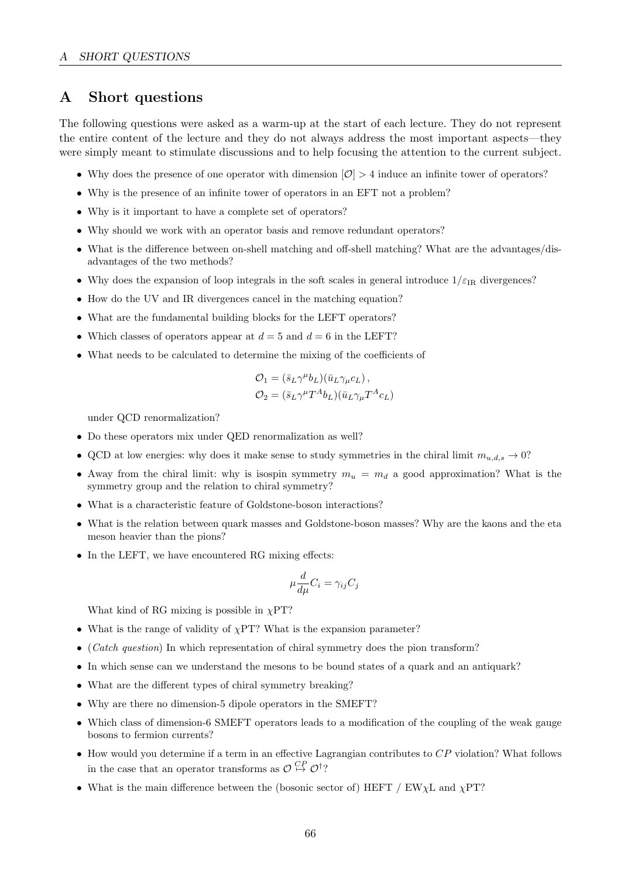# A Short questions

The following questions were asked as a warm-up at the start of each lecture. They do not represent the entire content of the lecture and they do not always address the most important aspects—they were simply meant to stimulate discussions and to help focusing the attention to the current subject.

- Why does the presence of one operator with dimension  $\mathcal{O}$  > 4 induce an infinite tower of operators?
- Why is the presence of an infinite tower of operators in an EFT not a problem?
- Why is it important to have a complete set of operators?
- Why should we work with an operator basis and remove redundant operators?
- What is the difference between on-shell matching and off-shell matching? What are the advantages/disadvantages of the two methods?
- Why does the expansion of loop integrals in the soft scales in general introduce  $1/\varepsilon_{\text{IR}}$  divergences?
- How do the UV and IR divergences cancel in the matching equation?
- What are the fundamental building blocks for the LEFT operators?
- Which classes of operators appear at  $d = 5$  and  $d = 6$  in the LEFT?
- What needs to be calculated to determine the mixing of the coefficients of

$$
\mathcal{O}_1 = (\bar{s}_L \gamma^\mu b_L)(\bar{u}_L \gamma_\mu c_L),
$$
  
\n
$$
\mathcal{O}_2 = (\bar{s}_L \gamma^\mu T^A b_L)(\bar{u}_L \gamma_\mu T^A c_L)
$$

under QCD renormalization?

- Do these operators mix under QED renormalization as well?
- QCD at low energies: why does it make sense to study symmetries in the chiral limit  $m_{u,d,s} \to 0$ ?
- Away from the chiral limit: why is isospin symmetry  $m_u = m_d$  a good approximation? What is the symmetry group and the relation to chiral symmetry?
- What is a characteristic feature of Goldstone-boson interactions?
- What is the relation between quark masses and Goldstone-boson masses? Why are the kaons and the eta meson heavier than the pions?
- In the LEFT, we have encountered RG mixing effects:

$$
\mu \frac{d}{d\mu} C_i = \gamma_{ij} C_j
$$

What kind of RG mixing is possible in  $\chi$ PT?

- What is the range of validity of  $\chi$ PT? What is the expansion parameter?
- (*Catch question*) In which representation of chiral symmetry does the pion transform?
- In which sense can we understand the mesons to be bound states of a quark and an antiquark?
- What are the different types of chiral symmetry breaking?
- Why are there no dimension-5 dipole operators in the SMEFT?
- Which class of dimension-6 SMEFT operators leads to a modification of the coupling of the weak gauge bosons to fermion currents?
- How would you determine if a term in an effective Lagrangian contributes to  $CP$  violation? What follows in the case that an operator transforms as  $\mathcal{O} \overset{CP}{\mapsto} \mathcal{O}^{\dagger}$ ?
- What is the main difference between the (bosonic sector of) HEFT / EW $\chi$ L and  $\chi$ PT?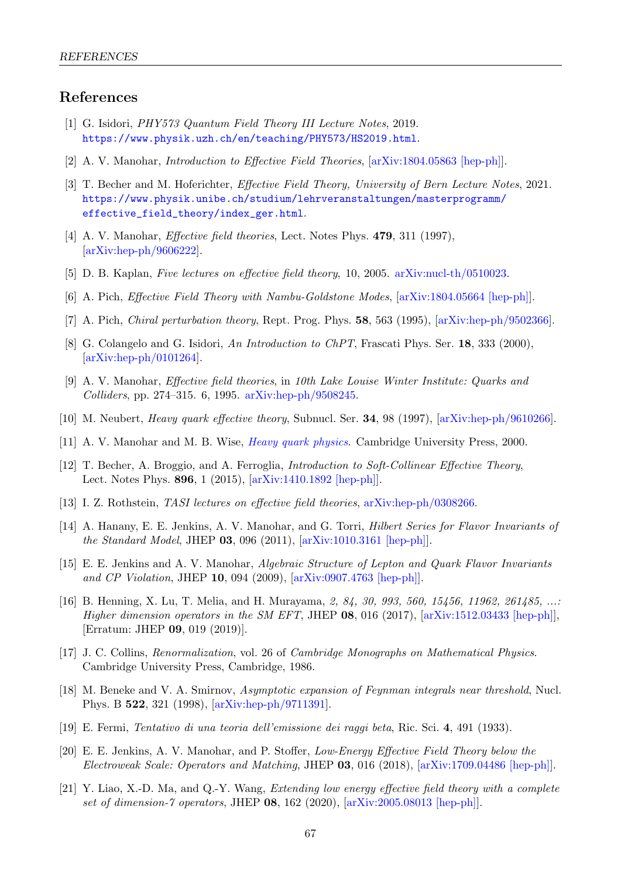# References

- [1] G. Isidori, PHY573 Quantum Field Theory III Lecture Notes, 2019. <https://www.physik.uzh.ch/en/teaching/PHY573/HS2019.html>.
- [2] A. V. Manohar, Introduction to Effective Field Theories, [\[arXiv:1804.05863 \[hep-ph\]\]](https://arxiv.org/abs/1804.05863).
- [3] T. Becher and M. Hoferichter, Effective Field Theory, University of Bern Lecture Notes, 2021. [https://www.physik.unibe.ch/studium/lehrveranstaltungen/masterprogramm/](https://www.physik.unibe.ch/studium/lehrveranstaltungen/masterprogramm/effective_field_theory/index_ger.html) [effective\\_field\\_theory/index\\_ger.html](https://www.physik.unibe.ch/studium/lehrveranstaltungen/masterprogramm/effective_field_theory/index_ger.html).
- [4] A. V. Manohar, *Effective field theories*, Lect. Notes Phys. **479**, 311 (1997), [\[arXiv:hep-ph/9606222\]](https://arxiv.org/abs/hep-ph/9606222).
- [5] D. B. Kaplan, Five lectures on effective field theory, 10, 2005. [arXiv:nucl-th/0510023.](https://arxiv.org/abs/nucl-th/0510023)
- [6] A. Pich, Effective Field Theory with Nambu-Goldstone Modes, [\[arXiv:1804.05664 \[hep-ph\]\]](https://arxiv.org/abs/1804.05664).
- [7] A. Pich, Chiral perturbation theory, Rept. Prog. Phys. 58, 563 (1995), [\[arXiv:hep-ph/9502366\]](https://arxiv.org/abs/hep-ph/9502366).
- [8] G. Colangelo and G. Isidori, An Introduction to ChPT, Frascati Phys. Ser. 18, 333 (2000), [\[arXiv:hep-ph/0101264\]](https://arxiv.org/abs/hep-ph/0101264).
- [9] A. V. Manohar, Effective field theories, in 10th Lake Louise Winter Institute: Quarks and Colliders, pp. 274–315. 6, 1995. [arXiv:hep-ph/9508245.](https://arxiv.org/abs/hep-ph/9508245)
- [10] M. Neubert, Heavy quark effective theory, Subnucl. Ser. 34, 98 (1997), [\[arXiv:hep-ph/9610266\]](https://arxiv.org/abs/hep-ph/9610266).
- [11] A. V. Manohar and M. B. Wise, *[Heavy quark physics](http://dx.doi.org/10.1017/CBO9780511529351)*. Cambridge University Press, 2000.
- [12] T. Becher, A. Broggio, and A. Ferroglia, Introduction to Soft-Collinear Effective Theory, Lect. Notes Phys. 896, 1 (2015), [\[arXiv:1410.1892 \[hep-ph\]\]](https://arxiv.org/abs/1410.1892).
- [13] I. Z. Rothstein, TASI lectures on effective field theories, [arXiv:hep-ph/0308266.](https://arxiv.org/abs/hep-ph/0308266)
- [14] A. Hanany, E. E. Jenkins, A. V. Manohar, and G. Torri, Hilbert Series for Flavor Invariants of the Standard Model, JHEP 03, 096 (2011), [\[arXiv:1010.3161 \[hep-ph\]\]](https://arxiv.org/abs/1010.3161).
- [15] E. E. Jenkins and A. V. Manohar, Algebraic Structure of Lepton and Quark Flavor Invariants and CP Violation, JHEP 10, 094 (2009), [\[arXiv:0907.4763 \[hep-ph\]\]](https://arxiv.org/abs/0907.4763).
- [16] B. Henning, X. Lu, T. Melia, and H. Murayama, 2, 84, 30, 993, 560, 15456, 11962, 261485, ...: Higher dimension operators in the SM EFT, JHEP  $08$ , 016 (2017),  $\ar{\text{Xiv:1512.03433}}$  [hep-ph]], [Erratum: JHEP 09, 019 (2019)].
- [17] J. C. Collins, Renormalization, vol. 26 of Cambridge Monographs on Mathematical Physics. Cambridge University Press, Cambridge, 1986.
- [18] M. Beneke and V. A. Smirnov, Asymptotic expansion of Feynman integrals near threshold, Nucl. Phys. B 522, 321 (1998), [\[arXiv:hep-ph/9711391\]](https://arxiv.org/abs/hep-ph/9711391).
- [19] E. Fermi, Tentativo di una teoria dell'emissione dei raggi beta, Ric. Sci. 4, 491 (1933).
- <span id="page-68-0"></span>[20] E. E. Jenkins, A. V. Manohar, and P. Stoffer, Low-Energy Effective Field Theory below the Electroweak Scale: Operators and Matching, JHEP 03, 016 (2018), [\[arXiv:1709.04486 \[hep-ph\]\]](https://arxiv.org/abs/1709.04486).
- [21] Y. Liao, X.-D. Ma, and Q.-Y. Wang, Extending low energy effective field theory with a complete set of dimension-7 operators, JHEP 08, 162 (2020), [\[arXiv:2005.08013 \[hep-ph\]\]](https://arxiv.org/abs/2005.08013).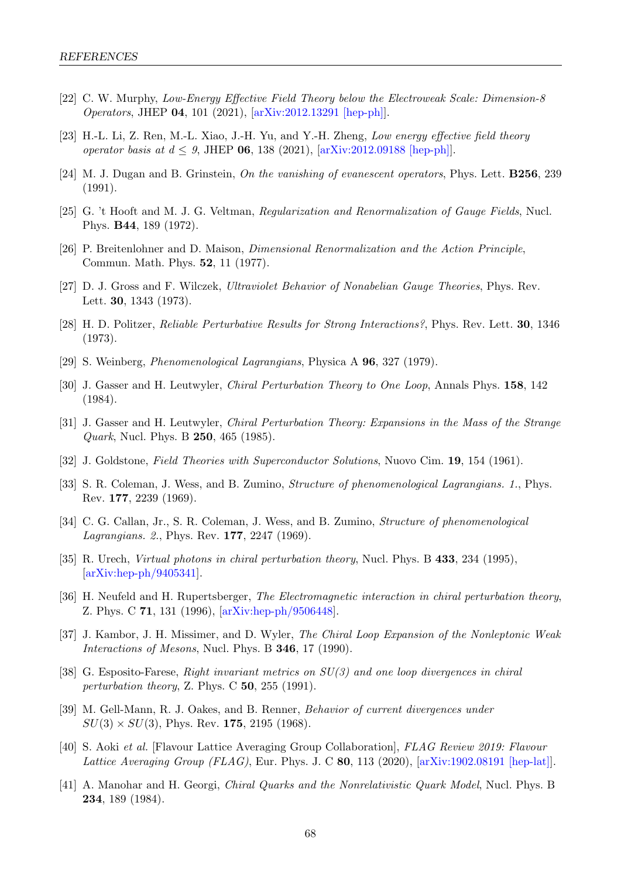- [22] C. W. Murphy, Low-Energy Effective Field Theory below the Electroweak Scale: Dimension-8 Operators, JHEP 04, 101 (2021), [\[arXiv:2012.13291 \[hep-ph\]\]](https://arxiv.org/abs/2012.13291).
- [23] H.-L. Li, Z. Ren, M.-L. Xiao, J.-H. Yu, and Y.-H. Zheng, Low energy effective field theory operator basis at  $d \leq 9$ , JHEP 06, 138 (2021), [\[arXiv:2012.09188 \[hep-ph\]\]](https://arxiv.org/abs/2012.09188).
- [24] M. J. Dugan and B. Grinstein, On the vanishing of evanescent operators, Phys. Lett. **B256**, 239 (1991).
- [25] G. 't Hooft and M. J. G. Veltman, Regularization and Renormalization of Gauge Fields, Nucl. Phys. B44, 189 (1972).
- [26] P. Breitenlohner and D. Maison, Dimensional Renormalization and the Action Principle, Commun. Math. Phys. 52, 11 (1977).
- [27] D. J. Gross and F. Wilczek, Ultraviolet Behavior of Nonabelian Gauge Theories, Phys. Rev. Lett. 30, 1343 (1973).
- [28] H. D. Politzer, Reliable Perturbative Results for Strong Interactions?, Phys. Rev. Lett. 30, 1346 (1973).
- <span id="page-69-9"></span>[29] S. Weinberg, Phenomenological Lagrangians, Physica A 96, 327 (1979).
- <span id="page-69-5"></span>[30] J. Gasser and H. Leutwyler, Chiral Perturbation Theory to One Loop, Annals Phys. 158, 142 (1984).
- <span id="page-69-6"></span>[31] J. Gasser and H. Leutwyler, Chiral Perturbation Theory: Expansions in the Mass of the Strange *Quark*, Nucl. Phys. B **250**, 465 (1985).
- <span id="page-69-0"></span>[32] J. Goldstone, Field Theories with Superconductor Solutions, Nuovo Cim. 19, 154 (1961).
- <span id="page-69-1"></span>[33] S. R. Coleman, J. Wess, and B. Zumino, *Structure of phenomenological Lagrangians. 1.*, Phys. Rev. 177, 2239 (1969).
- <span id="page-69-2"></span>[34] C. G. Callan, Jr., S. R. Coleman, J. Wess, and B. Zumino, Structure of phenomenological Lagrangians. 2., Phys. Rev. 177, 2247 (1969).
- <span id="page-69-3"></span>[35] R. Urech, Virtual photons in chiral perturbation theory, Nucl. Phys. B 433, 234 (1995), [\[arXiv:hep-ph/9405341\]](https://arxiv.org/abs/hep-ph/9405341).
- [36] H. Neufeld and H. Rupertsberger, The Electromagnetic interaction in chiral perturbation theory, Z. Phys. C 71, 131 (1996), [\[arXiv:hep-ph/9506448\]](https://arxiv.org/abs/hep-ph/9506448).
- [37] J. Kambor, J. H. Missimer, and D. Wyler, The Chiral Loop Expansion of the Nonleptonic Weak Interactions of Mesons, Nucl. Phys. B 346, 17 (1990).
- <span id="page-69-4"></span>[38] G. Esposito-Farese, Right invariant metrics on SU(3) and one loop divergences in chiral perturbation theory, Z. Phys. C 50, 255 (1991).
- <span id="page-69-7"></span>[39] M. Gell-Mann, R. J. Oakes, and B. Renner, Behavior of current divergences under  $SU(3) \times SU(3)$ , Phys. Rev. 175, 2195 (1968).
- <span id="page-69-8"></span>[40] S. Aoki et al. [Flavour Lattice Averaging Group Collaboration], FLAG Review 2019: Flavour Lattice Averaging Group (FLAG), Eur. Phys. J. C 80, 113 (2020),  $\left[ \ar{\text{Xiv:}}1902.08191 \right]$  [hep-lat].
- <span id="page-69-10"></span>[41] A. Manohar and H. Georgi, Chiral Quarks and the Nonrelativistic Quark Model, Nucl. Phys. B 234, 189 (1984).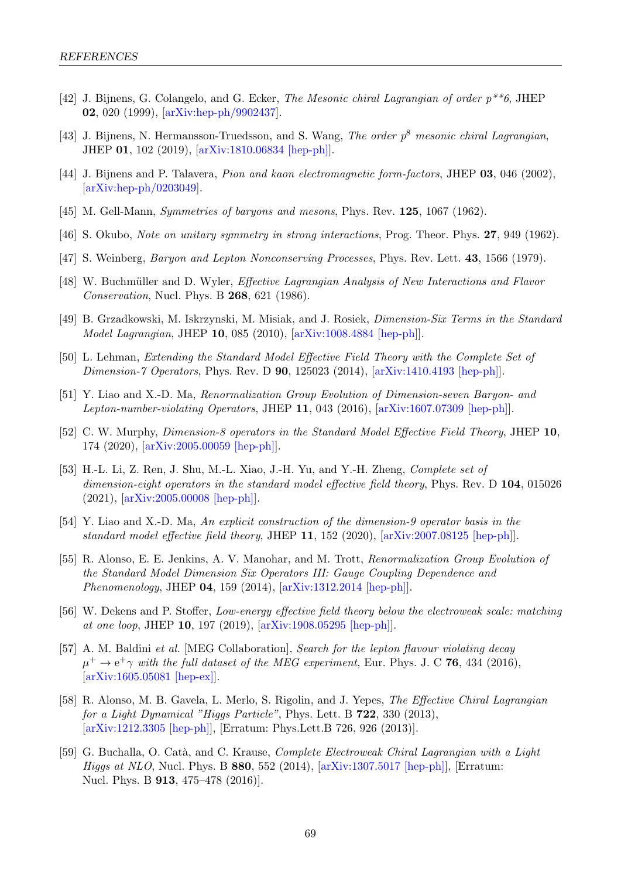- <span id="page-70-0"></span>[42] J. Bijnens, G. Colangelo, and G. Ecker, The Mesonic chiral Lagrangian of order p\*\*6, JHEP 02, 020 (1999), [\[arXiv:hep-ph/9902437\]](https://arxiv.org/abs/hep-ph/9902437).
- <span id="page-70-1"></span>[43] J. Bijnens, N. Hermansson-Truedsson, and S. Wang, The order  $p^8$  mesonic chiral Lagrangian, JHEP 01, 102 (2019), [\[arXiv:1810.06834 \[hep-ph\]\]](https://arxiv.org/abs/1810.06834).
- <span id="page-70-2"></span>[44] J. Bijnens and P. Talavera, Pion and kaon electromagnetic form-factors, JHEP 03, 046 (2002), [\[arXiv:hep-ph/0203049\]](https://arxiv.org/abs/hep-ph/0203049).
- <span id="page-70-3"></span>[45] M. Gell-Mann, Symmetries of baryons and mesons, Phys. Rev. 125, 1067 (1962).
- <span id="page-70-4"></span>[46] S. Okubo, Note on unitary symmetry in strong interactions, Prog. Theor. Phys. 27, 949 (1962).
- <span id="page-70-5"></span>[47] S. Weinberg, *Baryon and Lepton Nonconserving Processes*, Phys. Rev. Lett. **43**, 1566 (1979).
- <span id="page-70-6"></span>[48] W. Buchmüller and D. Wyler, *Effective Lagrangian Analysis of New Interactions and Flavor* Conservation, Nucl. Phys. B 268, 621 (1986).
- <span id="page-70-7"></span>[49] B. Grzadkowski, M. Iskrzynski, M. Misiak, and J. Rosiek, Dimension-Six Terms in the Standard Model Lagrangian, JHEP 10, 085 (2010), [\[arXiv:1008.4884 \[hep-ph\]\]](https://arxiv.org/abs/1008.4884).
- <span id="page-70-8"></span>[50] L. Lehman, Extending the Standard Model Effective Field Theory with the Complete Set of Dimension-7 Operators, Phys. Rev. D **90**, 125023 (2014), [\[arXiv:1410.4193 \[hep-ph\]\]](https://arxiv.org/abs/1410.4193).
- [51] Y. Liao and X.-D. Ma, Renormalization Group Evolution of Dimension-seven Baryon- and Lepton-number-violating Operators, JHEP 11, 043 (2016), [\[arXiv:1607.07309 \[hep-ph\]\]](https://arxiv.org/abs/1607.07309).
- [52] C. W. Murphy, Dimension-8 operators in the Standard Model Effective Field Theory, JHEP 10, 174 (2020), [\[arXiv:2005.00059 \[hep-ph\]\]](https://arxiv.org/abs/2005.00059).
- [53] H.-L. Li, Z. Ren, J. Shu, M.-L. Xiao, J.-H. Yu, and Y.-H. Zheng, Complete set of dimension-eight operators in the standard model effective field theory, Phys. Rev. D 104, 015026 (2021), [\[arXiv:2005.00008 \[hep-ph\]\]](https://arxiv.org/abs/2005.00008).
- <span id="page-70-9"></span>[54] Y. Liao and X.-D. Ma, An explicit construction of the dimension-9 operator basis in the standard model effective field theory, JHEP 11, 152 (2020), [\[arXiv:2007.08125 \[hep-ph\]\]](https://arxiv.org/abs/2007.08125).
- <span id="page-70-10"></span>[55] R. Alonso, E. E. Jenkins, A. V. Manohar, and M. Trott, Renormalization Group Evolution of the Standard Model Dimension Six Operators III: Gauge Coupling Dependence and Phenomenology, JHEP 04, 159 (2014), [\[arXiv:1312.2014 \[hep-ph\]\]](https://arxiv.org/abs/1312.2014).
- <span id="page-70-11"></span>[56] W. Dekens and P. Stoffer, Low-energy effective field theory below the electroweak scale: matching at one loop, JHEP 10, 197 (2019), [\[arXiv:1908.05295 \[hep-ph\]\]](https://arxiv.org/abs/1908.05295).
- <span id="page-70-12"></span>[57] A. M. Baldini et al. [MEG Collaboration], Search for the lepton flavour violating decay  $\mu^+ \to e^+ \gamma$  with the full dataset of the MEG experiment, Eur. Phys. J. C 76, 434 (2016), [\[arXiv:1605.05081 \[hep-ex\]\]](https://arxiv.org/abs/1605.05081).
- <span id="page-70-13"></span>[58] R. Alonso, M. B. Gavela, L. Merlo, S. Rigolin, and J. Yepes, The Effective Chiral Lagrangian for a Light Dynamical "Higgs Particle", Phys. Lett. B 722, 330 (2013), [\[arXiv:1212.3305 \[hep-ph\]\]](https://arxiv.org/abs/1212.3305), [Erratum: Phys.Lett.B 726, 926 (2013)].
- [59] G. Buchalla, O. Catà, and C. Krause, *Complete Electroweak Chiral Lagrangian with a Light Higgs at NLO*, Nucl. Phys. B 880, 552 (2014),  $\left[\text{arXiv:1307.5017 }\right]$  [hep-ph]], [Erratum: Nucl. Phys. B 913, 475–478 (2016)].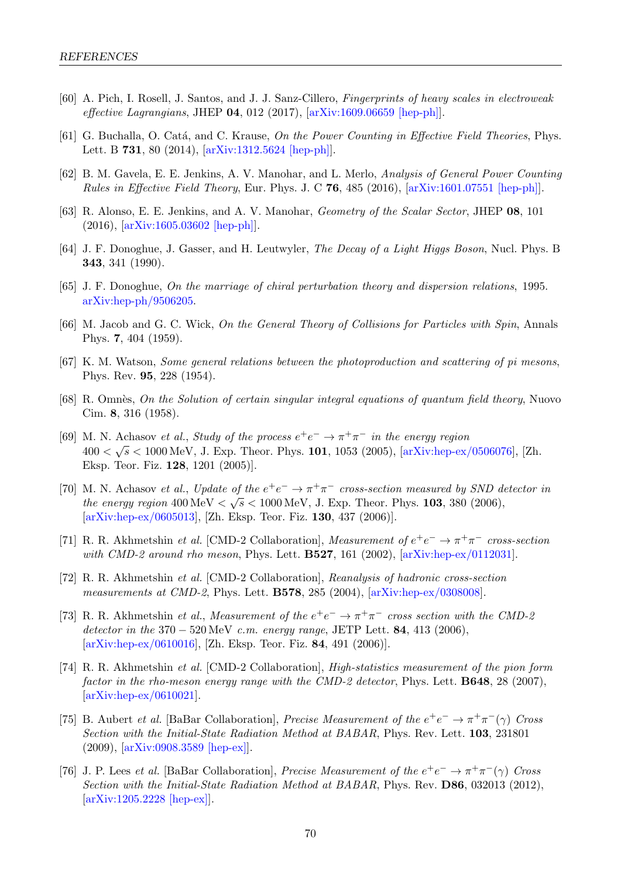- <span id="page-71-0"></span>[60] A. Pich, I. Rosell, J. Santos, and J. J. Sanz-Cillero, Fingerprints of heavy scales in electroweak effective Lagrangians, JHEP 04, 012 (2017), [\[arXiv:1609.06659 \[hep-ph\]\]](https://arxiv.org/abs/1609.06659).
- <span id="page-71-1"></span>[61] G. Buchalla, O. Catá, and C. Krause, On the Power Counting in Effective Field Theories, Phys. Lett. B 731, 80 (2014), [\[arXiv:1312.5624 \[hep-ph\]\]](https://arxiv.org/abs/1312.5624).
- <span id="page-71-2"></span>[62] B. M. Gavela, E. E. Jenkins, A. V. Manohar, and L. Merlo, Analysis of General Power Counting Rules in Effective Field Theory, Eur. Phys. J. C 76, 485 (2016), [\[arXiv:1601.07551 \[hep-ph\]\]](https://arxiv.org/abs/1601.07551).
- <span id="page-71-3"></span>[63] R. Alonso, E. E. Jenkins, and A. V. Manohar, Geometry of the Scalar Sector, JHEP 08, 101 (2016), [\[arXiv:1605.03602 \[hep-ph\]\]](https://arxiv.org/abs/1605.03602).
- <span id="page-71-4"></span>[64] J. F. Donoghue, J. Gasser, and H. Leutwyler, The Decay of a Light Higgs Boson, Nucl. Phys. B 343, 341 (1990).
- <span id="page-71-5"></span>[65] J. F. Donoghue, On the marriage of chiral perturbation theory and dispersion relations, 1995. [arXiv:hep-ph/9506205.](https://arxiv.org/abs/hep-ph/9506205)
- <span id="page-71-7"></span>[66] M. Jacob and G. C. Wick, On the General Theory of Collisions for Particles with Spin, Annals Phys. 7, 404 (1959).
- <span id="page-71-6"></span>[67] K. M. Watson, Some general relations between the photoproduction and scattering of pi mesons, Phys. Rev. 95, 228 (1954).
- <span id="page-71-8"></span>[68] R. Omnès, On the Solution of certain singular integral equations of quantum field theory, Nuovo Cim. 8, 316 (1958).
- <span id="page-71-9"></span>[69] M. N. Achasov et al., Study of the process  $e^+e^- \to \pi^+\pi^-$  in the energy region  $400 < \sqrt{s} < 1000 \,\mathrm{MeV}$ , J. Exp. Theor. Phys. 101, 1053 (2005), [\[arXiv:hep-ex/0506076\]](https://arxiv.org/abs/hep-ex/0506076), [Zh. Eksp. Teor. Fiz. 128, 1201 (2005)].
- <span id="page-71-10"></span>[70] M. N. Achasov et al., Update of the  $e^+e^- \to \pi^+\pi^-$  cross-section measured by SND detector in the energy region  $400 \,\text{MeV} < \sqrt{s} < 1000 \,\text{MeV}$ , J. Exp. Theor. Phys. 103, 380 (2006), [\[arXiv:hep-ex/0605013\]](https://arxiv.org/abs/hep-ex/0605013), [Zh. Eksp. Teor. Fiz. 130, 437 (2006)].
- <span id="page-71-11"></span>[71] R. R. Akhmetshin et al. [CMD-2 Collaboration], Measurement of  $e^+e^- \to \pi^+\pi^-$  cross-section with CMD-2 around rho meson, Phys. Lett. **B527**, 161 (2002), [\[arXiv:hep-ex/0112031\]](https://arxiv.org/abs/hep-ex/0112031).
- [72] R. R. Akhmetshin et al. [CMD-2 Collaboration], Reanalysis of hadronic cross-section measurements at CMD-2, Phys. Lett. **B578**, 285 (2004),  $arXiv:hep-ex/0308008$ .
- [73] R. R. Akhmetshin *et al.*, *Measurement of the*  $e^+e^- \rightarrow \pi^+\pi^-$  cross section with the CMD-2 detector in the  $370 - 520 \,\text{MeV}$  c.m. energy range, JETP Lett. **84**, 413 (2006), [\[arXiv:hep-ex/0610016\]](https://arxiv.org/abs/hep-ex/0610016), [Zh. Eksp. Teor. Fiz. 84, 491 (2006)].
- <span id="page-71-12"></span>[74] R. R. Akhmetshin et al. [CMD-2 Collaboration], High-statistics measurement of the pion form factor in the rho-meson energy range with the CMD-2 detector, Phys. Lett. **B648**, 28 (2007), [\[arXiv:hep-ex/0610021\]](https://arxiv.org/abs/hep-ex/0610021).
- <span id="page-71-13"></span>[75] B. Aubert *et al.* [BaBar Collaboration], *Precise Measurement of the*  $e^+e^- \to \pi^+\pi^-(\gamma)$  Cross Section with the Initial-State Radiation Method at BABAR, Phys. Rev. Lett. 103, 231801 (2009), [\[arXiv:0908.3589 \[hep-ex\]\]](https://arxiv.org/abs/0908.3589).
- <span id="page-71-14"></span>[76] J. P. Lees *et al.* [BaBar Collaboration], *Precise Measurement of the*  $e^+e^- \to \pi^+\pi^-(\gamma)$  Cross Section with the Initial-State Radiation Method at BABAR, Phys. Rev. **D86**, 032013 (2012), [\[arXiv:1205.2228 \[hep-ex\]\]](https://arxiv.org/abs/1205.2228).